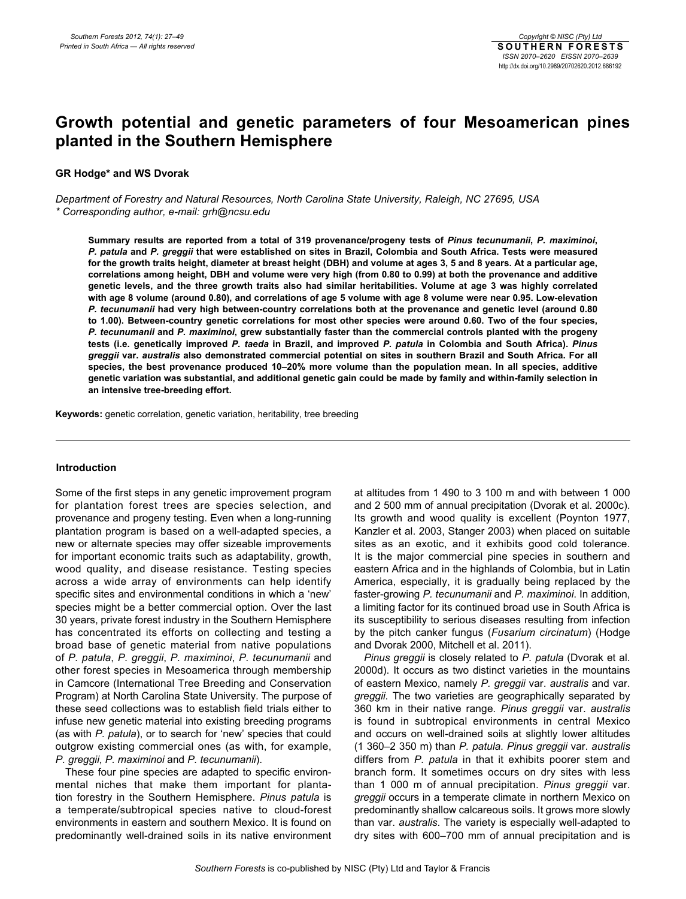# **Growth potential and genetic parameters of four Mesoamerican pines planted in the Southern Hemisphere**

## **GR Hodge\* and WS Dvorak**

*Department of Forestry and Natural Resources, North Carolina State University, Raleigh, NC 27695, USA \* Corresponding author, e-mail: grh@ncsu.edu*

**Summary results are reported from a total of 319 provenance/progeny tests of** *Pinus tecunumanii***,** *P. maximinoi***,** *P. patula* **and** *P. greggii* **that were established on sites in Brazil, Colombia and South Africa. Tests were measured for the growth traits height, diameter at breast height (DBH) and volume at ages 3, 5 and 8 years. At a particular age, correlations among height, DBH and volume were very high (from 0.80 to 0.99) at both the provenance and additive genetic levels, and the three growth traits also had similar heritabilities. Volume at age 3 was highly correlated with age 8 volume (around 0.80), and correlations of age 5 volume with age 8 volume were near 0.95. Low-elevation**  *P. tecunumanii* **had very high between-country correlations both at the provenance and genetic level (around 0.80 to 1.00). Between-country genetic correlations for most other species were around 0.60. Two of the four species,**  *P. tecunumanii* **and** *P. maximinoi***, grew substantially faster than the commercial controls planted with the progeny tests (i.e. genetically improved** *P. taeda* **in Brazil, and improved** *P. patula* **in Colombia and South Africa).** *Pinus greggii* **var.** *australis* **also demonstrated commercial potential on sites in southern Brazil and South Africa. For all species, the best provenance produced 10–20% more volume than the population mean. In all species, additive genetic variation was substantial, and additional genetic gain could be made by family and within-family selection in an intensive tree-breeding effort.**

**Keywords:** genetic correlation, genetic variation, heritability, tree breeding

## **Introduction**

Some of the first steps in any genetic improvement program for plantation forest trees are species selection, and provenance and progeny testing. Even when a long-running plantation program is based on a well-adapted species, a new or alternate species may offer sizeable improvements for important economic traits such as adaptability, growth, wood quality, and disease resistance. Testing species across a wide array of environments can help identify specific sites and environmental conditions in which a 'new' species might be a better commercial option. Over the last 30 years, private forest industry in the Southern Hemisphere has concentrated its efforts on collecting and testing a broad base of genetic material from native populations of *P. patula*, *P. greggii*, *P. maximinoi*, *P. tecunumanii* and other forest species in Mesoamerica through membership in Camcore (International Tree Breeding and Conservation Program) at North Carolina State University. The purpose of these seed collections was to establish field trials either to infuse new genetic material into existing breeding programs (as with *P. patula*), or to search for 'new' species that could outgrow existing commercial ones (as with, for example, *P. greggii*, *P. maximinoi* and *P. tecunumanii*).

These four pine species are adapted to specific environmental niches that make them important for plantation forestry in the Southern Hemisphere. *Pinus patula* is a temperate/subtropical species native to cloud-forest environments in eastern and southern Mexico. It is found on predominantly well-drained soils in its native environment

at altitudes from 1 490 to 3 100 m and with between 1 000 and 2 500 mm of annual precipitation (Dvorak et al. 2000c). Its growth and wood quality is excellent (Poynton 1977, Kanzler et al. 2003, Stanger 2003) when placed on suitable sites as an exotic, and it exhibits good cold tolerance. It is the major commercial pine species in southern and eastern Africa and in the highlands of Colombia, but in Latin America, especially, it is gradually being replaced by the faster-growing *P. tecunumanii* and *P. maximinoi*. In addition, a limiting factor for its continued broad use in South Africa is its susceptibility to serious diseases resulting from infection by the pitch canker fungus (*Fusarium circinatum*) (Hodge and Dvorak 2000, Mitchell et al. 2011).

*Pinus greggii* is closely related to *P. patula* (Dvorak et al. 2000d). It occurs as two distinct varieties in the mountains of eastern Mexico, namely *P. greggii* var. *australis* and var. *greggii.* The two varieties are geographically separated by 360 km in their native range*. Pinus greggii* var. *australis* is found in subtropical environments in central Mexico and occurs on well-drained soils at slightly lower altitudes (1 360–2 350 m) than *P. patula*. *Pinus greggii* var. *australis* differs from *P. patula* in that it exhibits poorer stem and branch form. It sometimes occurs on dry sites with less than 1 000 m of annual precipitation. *Pinus greggii* var. *greggii* occurs in a temperate climate in northern Mexico on predominantly shallow calcareous soils. It grows more slowly than var. *australis*. The variety is especially well-adapted to dry sites with 600–700 mm of annual precipitation and is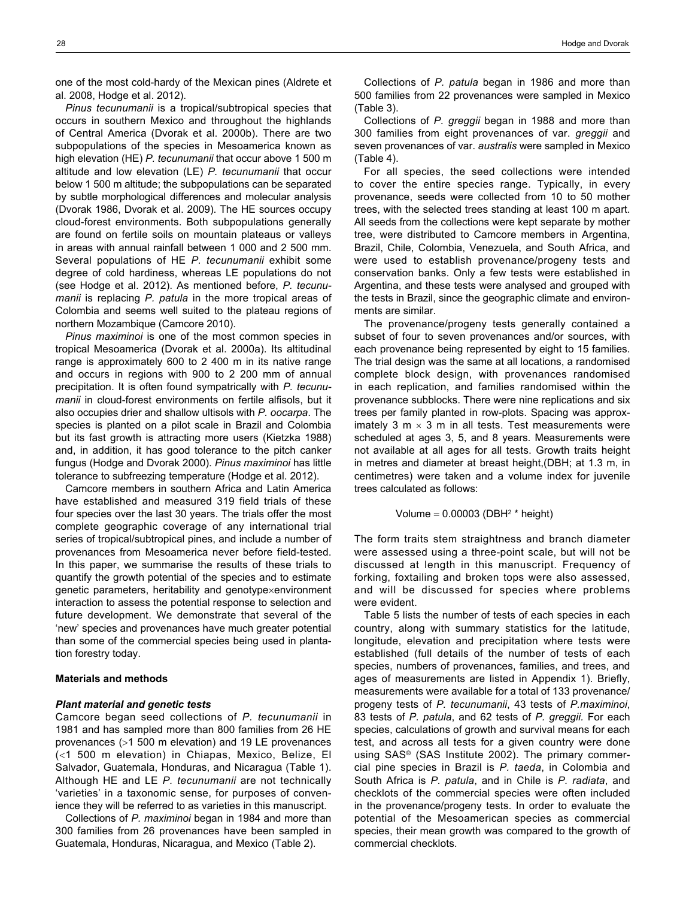one of the most cold-hardy of the Mexican pines (Aldrete et al. 2008, Hodge et al. 2012).

*Pinus tecunumanii* is a tropical/subtropical species that occurs in southern Mexico and throughout the highlands of Central America (Dvorak et al. 2000b). There are two subpopulations of the species in Mesoamerica known as high elevation (HE) *P. tecunumanii* that occur above 1 500 m altitude and low elevation (LE) *P. tecunumanii* that occur below 1 500 m altitude; the subpopulations can be separated by subtle morphological differences and molecular analysis (Dvorak 1986, Dvorak et al. 2009). The HE sources occupy cloud-forest environments. Both subpopulations generally are found on fertile soils on mountain plateaus or valleys in areas with annual rainfall between 1 000 and 2 500 mm. Several populations of HE *P. tecunumanii* exhibit some degree of cold hardiness, whereas LE populations do not (see Hodge et al. 2012). As mentioned before, *P. tecunumanii* is replacing *P. patula* in the more tropical areas of Colombia and seems well suited to the plateau regions of northern Mozambique (Camcore 2010).

*Pinus maximinoi* is one of the most common species in tropical Mesoamerica (Dvorak et al. 2000a). Its altitudinal range is approximately 600 to 2 400 m in its native range and occurs in regions with 900 to 2 200 mm of annual precipitation. It is often found sympatrically with *P. tecunumanii* in cloud-forest environments on fertile alfisols, but it also occupies drier and shallow ultisols with *P. oocarpa*. The species is planted on a pilot scale in Brazil and Colombia but its fast growth is attracting more users (Kietzka 1988) and, in addition, it has good tolerance to the pitch canker fungus (Hodge and Dvorak 2000). *Pinus maximinoi* has little tolerance to subfreezing temperature (Hodge et al. 2012).

Camcore members in southern Africa and Latin America have established and measured 319 field trials of these four species over the last 30 years. The trials offer the most complete geographic coverage of any international trial series of tropical/subtropical pines, and include a number of provenances from Mesoamerica never before field-tested. In this paper, we summarise the results of these trials to quantify the growth potential of the species and to estimate genetic parameters, heritability and genotype×environment interaction to assess the potential response to selection and future development. We demonstrate that several of the 'new' species and provenances have much greater potential than some of the commercial species being used in plantation forestry today.

## **Materials and methods**

## *Plant material and genetic tests*

Camcore began seed collections of *P. tecunumanii* in 1981 and has sampled more than 800 families from 26 HE provenances (>1 500 m elevation) and 19 LE provenances (<1 500 m elevation) in Chiapas, Mexico, Belize, El Salvador, Guatemala, Honduras, and Nicaragua (Table 1). Although HE and LE *P. tecunumanii* are not technically 'varieties' in a taxonomic sense, for purposes of convenience they will be referred to as varieties in this manuscript.

Collections of *P. maximinoi* began in 1984 and more than 300 families from 26 provenances have been sampled in Guatemala, Honduras, Nicaragua, and Mexico (Table 2).

Collections of *P. patula* began in 1986 and more than 500 families from 22 provenances were sampled in Mexico (Table 3).

Collections of *P. greggii* began in 1988 and more than 300 families from eight provenances of var. *greggii* and seven provenances of var. *australis* were sampled in Mexico (Table 4).

For all species, the seed collections were intended to cover the entire species range. Typically, in every provenance, seeds were collected from 10 to 50 mother trees, with the selected trees standing at least 100 m apart. All seeds from the collections were kept separate by mother tree, were distributed to Camcore members in Argentina, Brazil, Chile, Colombia, Venezuela, and South Africa, and were used to establish provenance/progeny tests and conservation banks. Only a few tests were established in Argentina, and these tests were analysed and grouped with the tests in Brazil, since the geographic climate and environments are similar.

The provenance/progeny tests generally contained a subset of four to seven provenances and/or sources, with each provenance being represented by eight to 15 families. The trial design was the same at all locations, a randomised complete block design, with provenances randomised in each replication, and families randomised within the provenance subblocks. There were nine replications and six trees per family planted in row-plots. Spacing was approximately 3 m  $\times$  3 m in all tests. Test measurements were scheduled at ages 3, 5, and 8 years. Measurements were not available at all ages for all tests. Growth traits height in metres and diameter at breast height,(DBH; at 1.3 m, in centimetres) were taken and a volume index for juvenile trees calculated as follows:

 $Volume = 0.00003 (DBH<sup>2</sup> * height)$ 

The form traits stem straightness and branch diameter were assessed using a three-point scale, but will not be discussed at length in this manuscript. Frequency of forking, foxtailing and broken tops were also assessed, and will be discussed for species where problems were evident.

Table 5 lists the number of tests of each species in each country, along with summary statistics for the latitude, longitude, elevation and precipitation where tests were established (full details of the number of tests of each species, numbers of provenances, families, and trees, and ages of measurements are listed in Appendix 1). Briefly, measurements were available for a total of 133 provenance/ progeny tests of *P. tecunumanii*, 43 tests of *P.maximinoi*, 83 tests of *P. patula*, and 62 tests of *P. greggii.* For each species, calculations of growth and survival means for each test, and across all tests for a given country were done using SAS® (SAS Institute 2002). The primary commercial pine species in Brazil is *P. taeda*, in Colombia and South Africa is *P. patula*, and in Chile is *P. radiata*, and checklots of the commercial species were often included in the provenance/progeny tests. In order to evaluate the potential of the Mesoamerican species as commercial species, their mean growth was compared to the growth of commercial checklots.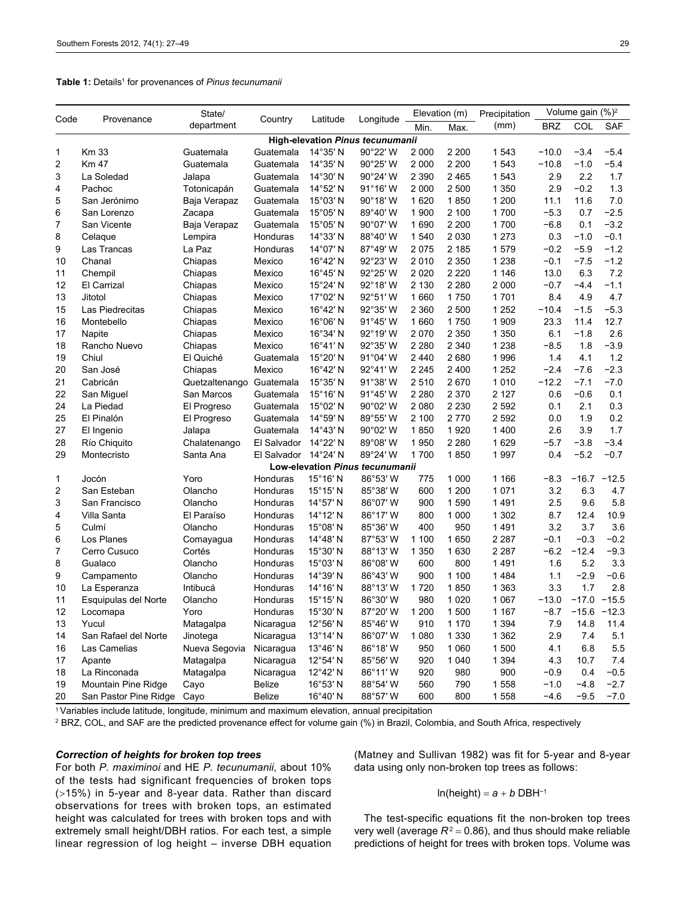| <b>Table 1:</b> Details <sup>1</sup> for provenances of <i>Pinus tecunumanii</i> |  |  |  |
|----------------------------------------------------------------------------------|--|--|--|
|----------------------------------------------------------------------------------|--|--|--|

| Code | Provenance            | State/         | Country              | Latitude          | Longitude                               | Elevation (m) |         | Precipitation |            | Volume gain (%) <sup>2</sup> |            |
|------|-----------------------|----------------|----------------------|-------------------|-----------------------------------------|---------------|---------|---------------|------------|------------------------------|------------|
|      |                       | department     |                      |                   |                                         | Min.          | Max.    | (mm)          | <b>BRZ</b> | COL                          | <b>SAF</b> |
|      |                       |                |                      |                   | <b>High-elevation Pinus tecunumanii</b> |               |         |               |            |                              |            |
| 1    | <b>Km 33</b>          | Guatemala      | Guatemala            | 14°35' N          | 90°22' W                                | 2 0 0 0       | 2 2 0 0 | 1543          | $-10.0$    | $-3.4$                       | $-5.4$     |
| 2    | <b>Km 47</b>          | Guatemala      | Guatemala            | 14°35' N          | 90°25' W                                | 2 0 0 0       | 2 2 0 0 | 1543          | $-10.8$    | $-1.0$                       | $-5.4$     |
| 3    | La Soledad            | Jalapa         | Guatemala            | 14°30' N          | 90°24' W                                | 2 3 9 0       | 2 4 6 5 | 1543          | 2.9        | 2.2                          | 1.7        |
| 4    | Pachoc                | Totonicapán    | Guatemala            | 14°52' N          | 91°16' W                                | 2 0 0 0       | 2 500   | 1 3 5 0       | 2.9        | $-0.2$                       | 1.3        |
| 5    | San Jerónimo          | Baja Verapaz   | Guatemala            | 15°03' N          | 90°18' W                                | 1620          | 1850    | 1 200         | 11.1       | 11.6                         | 7.0        |
| 6    | San Lorenzo           | Zacapa         | Guatemala            | $15^{\circ}05'$ N | 89°40' W                                | 1 900         | 2 100   | 1700          | $-5.3$     | 0.7                          | $-2.5$     |
| 7    | San Vicente           | Baja Verapaz   | Guatemala            | $15^{\circ}05'$ N | 90°07' W                                | 1690          | 2 2 0 0 | 1700          | $-6.8$     | 0.1                          | $-3.2$     |
| 8    | Celaque               | Lempira        | Honduras             | 14°33' N          | 88°40' W                                | 1540          | 2 0 3 0 | 1 2 7 3       | 0.3        | $-1.0$                       | $-0.1$     |
| 9    | Las Trancas           | La Paz         | Honduras             | 14°07' N          | 87°49' W                                | 2075          | 2 185   | 1579          | $-0.2$     | $-5.9$                       | $-1.2$     |
| 10   | Chanal                | Chiapas        | Mexico               | 16°42' N          | 92°23' W                                | 2010          | 2 3 5 0 | 1 2 3 8       | $-0.1$     | $-7.5$                       | $-1.2$     |
| 11   | Chempil               | Chiapas        | Mexico               | 16°45' N          | 92°25' W                                | 2 0 2 0       | 2 2 2 0 | 1 1 4 6       | 13.0       | 6.3                          | 7.2        |
| 12   | El Carrizal           | Chiapas        | Mexico               | $15^{\circ}24'$ N | 92°18' W                                | 2 1 3 0       | 2 2 8 0 | 2 0 0 0       | $-0.7$     | $-4.4$                       | $-1.1$     |
| 13   | Jitotol               | Chiapas        | Mexico               | 17°02' N          | 92°51' W                                | 1660          | 1750    | 1701          | 8.4        | 4.9                          | 4.7        |
| 15   | Las Piedrecitas       | Chiapas        | Mexico               | 16°42' N          | 92°35' W                                | 2 3 6 0       | 2 500   | 1 2 5 2       | $-10.4$    | $-1.5$                       | $-5.3$     |
| 16   | Montebello            | Chiapas        | Mexico               | $16^{\circ}06'$ N | 91°45' W                                | 1660          | 1750    | 1 9 0 9       | 23.3       | 11.4                         | 12.7       |
| 17   | Napite                | Chiapas        | Mexico               | 16°34' N          | 92°19' W                                | 2070          | 2 3 5 0 | 1 3 5 0       | 6.1        | $-1.8$                       | 2.6        |
| 18   | Rancho Nuevo          | Chiapas        | Mexico               | 16°41'N           | 92°35' W                                | 2 2 8 0       | 2 3 4 0 | 1 2 3 8       | $-8.5$     | 1.8                          | $-3.9$     |
| 19   | Chiul                 | El Quiché      | Guatemala            | $15^{\circ}20'$ N | 91°04' W                                | 2 4 4 0       | 2 6 8 0 | 1996          | 1.4        | 4.1                          | 1.2        |
| 20   | San José              | Chiapas        | Mexico               | $16^{\circ}42'$ N | 92°41' W                                | 2 2 4 5       | 2 4 0 0 | 1 2 5 2       | $-2.4$     | $-7.6$                       | $-2.3$     |
| 21   | Cabricán              | Quetzaltenango | Guatemala            | $15^{\circ}35'$ N | 91°38' W                                | 2510          | 2670    | 1010          | $-12.2$    | $-7.1$                       | $-7.0$     |
| 22   | San Miguel            | San Marcos     | Guatemala            | $15^{\circ}16'$ N | $91^{\circ}45'$ W                       | 2 2 8 0       | 2 3 7 0 | 2 1 2 7       | 0.6        | $-0.6$                       | 0.1        |
| 24   | La Piedad             | El Progreso    | Guatemala            | $15^{\circ}02'$ N | 90°02' W                                | 2 0 8 0       | 2 2 3 0 | 2 5 9 2       | 0.1        | 2.1                          | 0.3        |
| 25   | El Pinalón            | El Progreso    | Guatemala            | 14°59′N           | 89°55' W                                | 2 100         | 2770    | 2 5 9 2       | 0.0        | 1.9                          | 0.2        |
| 27   | El Ingenio            | Jalapa         | Guatemala            | 14°43' N          | 90°02′ W                                | 1850          | 1920    | 1 4 0 0       | 2.6        | 3.9                          | 1.7        |
| 28   | Río Chiquito          | Chalatenango   | El Salvador          | 14°22′ N          | 89°08' W                                | 1950          | 2 2 8 0 | 1629          | $-5.7$     | $-3.8$                       | $-3.4$     |
| 29   | Montecristo           | Santa Ana      | El Salvador 14°24' N |                   | 89°24' W                                | 1700          | 1850    | 1997          | 0.4        | $-5.2$                       | $-0.7$     |
|      |                       |                |                      |                   | Low-elevation Pinus tecunumanii         |               |         |               |            |                              |            |
| 1    | Jocón                 | Yoro           | Honduras             | 15°16′N           | 86°53' W                                | 775           | 1 000   | 1 1 6 6       | $-8.3$     | $-16.7$                      | $-12.5$    |
| 2    | San Esteban           | Olancho        | Honduras             | $15^{\circ}15'$ N | 85°38' W                                | 600           | 1 200   | 1 0 7 1       | 3.2        | 6.3                          | 4.7        |
| 3    | San Francisco         | Olancho        | Honduras             | 14°57' N          | 86°07' W                                | 900           | 1590    | 1491          | 2.5        | 9.6                          | 5.8        |
| 4    | Villa Santa           | El Paraíso     | Honduras             | $14^{\circ}12'$ N | 86°17' W                                | 800           | 1 0 0 0 | 1 3 0 2       | 8.7        | 12.4                         | 10.9       |
| 5    | Culmí                 | Olancho        | Honduras             | 15°08′N           | 85°36' W                                | 400           | 950     | 1491          | 3.2        | 3.7                          | 3.6        |
| 6    | Los Planes            | Comayagua      | Honduras             | 14°48′ N          | 87°53' W                                | 1 100         | 1 6 5 0 | 2 2 8 7       | $-0.1$     | $-0.3$                       | $-0.2$     |
| 7    | Cerro Cusuco          | Cortés         | Honduras             | 15°30' N          | 88°13' W                                | 1 3 5 0       | 1 6 3 0 | 2 2 8 7       | $-6.2$     | $-12.4$                      | $-9.3$     |
| 8    | Gualaco               | Olancho        | Honduras             | $15^{\circ}03'$ N | 86°08' W                                | 600           | 800     | 1491          | 1.6        | 5.2                          | 3.3        |
| 9    | Campamento            | Olancho        | Honduras             | 14°39' N          | 86°43' W                                | 900           | 1 100   | 1484          | 1.1        | $-2.9$                       | $-0.6$     |
| 10   | La Esperanza          | Intibucá       | Honduras             | 14°16′N           | 88°13' W                                | 1720          | 1850    | 1 3 6 3       | 3.3        | 1.7                          | 2.8        |
| 11   | Esquipulas del Norte  | Olancho        | Honduras             | $15^{\circ}15'$ N | 86°30' W                                | 980           | 1 0 2 0 | 1 0 6 7       | $-13.0$    | $-17.0$                      | $-15.5$    |
| 12   | Locomapa              | Yoro           | Honduras             | 15°30′N           | 87°20' W                                | 1 200         | 1 500   | 1 1 6 7       | $-8.7$     | $-15.6 -12.3$                |            |
| 13   | Yucul                 | Matagalpa      | Nicaragua            | 12°56′N           | 85°46′ W                                | 910           | 1 1 7 0 | 1 3 9 4       | 7.9        | 14.8                         | 11.4       |
| 14   | San Rafael del Norte  | Jinotega       | Nicaragua            | $13^{\circ}14'$ N | 86°07' W                                | 1 0 8 0       | 1 3 3 0 | 1 3 6 2       | 2.9        | 7.4                          | 5.1        |
| 16   | Las Camelias          | Nueva Segovia  | Nicaragua            | $13^{\circ}46'$ N | 86°18' W                                | 950           | 1 0 6 0 | 1500          | 4.1        | 6.8                          | 5.5        |
| 17   | Apante                | Matagalpa      | Nicaragua            | 12°54' N          | 85°56' W                                | 920           | 1 0 4 0 | 1 3 9 4       | 4.3        | 10.7                         | 7.4        |
| 18   | La Rinconada          | Matagalpa      | Nicaragua            | 12°42' N          | 86°11'W                                 | 920           | 980     | 900           | $-0.9$     | 0.4                          | $-0.5$     |
| 19   | Mountain Pine Ridge   | Cayo           | Belize               | 16°53' N          | 88°54' W                                | 560           | 790     | 1558          | $-1.0$     | $-4.8$                       | $-2.7$     |
| 20   | San Pastor Pine Ridge | Cayo           | Belize               | 16°40' N          | 88°57' W                                | 600           | 800     | 1558          | $-4.6$     | $-9.5$                       | $-7.0$     |

1 Variables include latitude, longitude, minimum and maximum elevation, annual precipitation

2 BRZ, COL, and SAF are the predicted provenance effect for volume gain (%) in Brazil, Colombia, and South Africa, respectively

## *Correction of heights for broken top trees*

For both *P. maximinoi* and HE *P. tecunumanii*, about 10% of the tests had significant frequencies of broken tops (>15%) in 5-year and 8-year data. Rather than discard observations for trees with broken tops, an estimated height was calculated for trees with broken tops and with extremely small height/DBH ratios. For each test, a simple linear regression of log height – inverse DBH equation (Matney and Sullivan 1982) was fit for 5-year and 8-year data using only non-broken top trees as follows:

#### $ln(height) = *a* + *b* DBH<sup>-1</sup>$

The test-specific equations fit the non-broken top trees very well (average  $R^2 = 0.86$ ), and thus should make reliable predictions of height for trees with broken tops. Volume was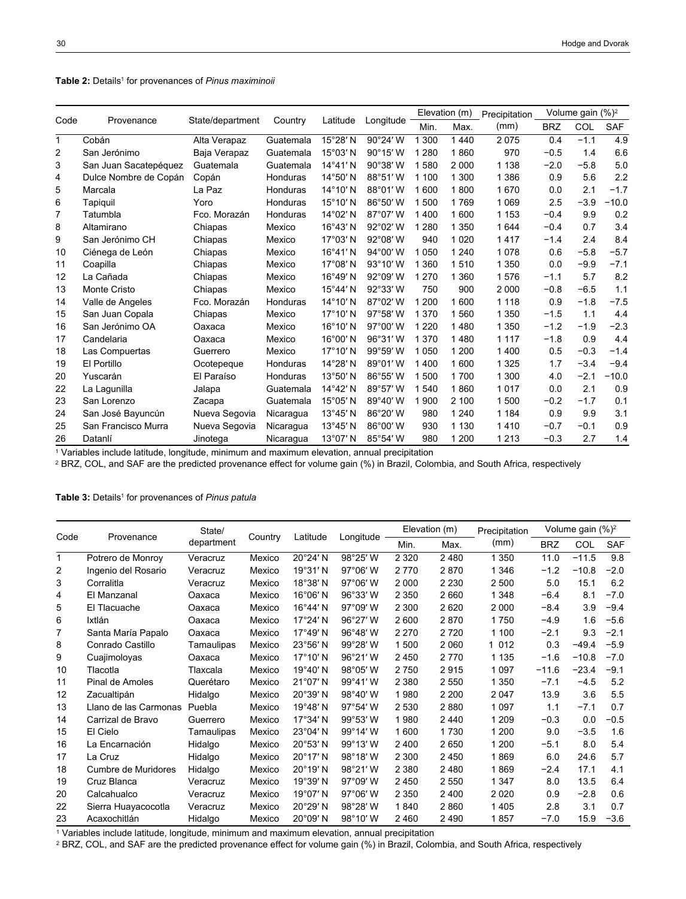|      |                       |                  |           |                   |                    |         | Elevation (m) | Precipitation |            | Volume gain (%) <sup>2</sup> |            |
|------|-----------------------|------------------|-----------|-------------------|--------------------|---------|---------------|---------------|------------|------------------------------|------------|
| Code | Provenance            | State/department | Country   | Latitude          | Longitude          | Min.    | Max.          | (mm)          | <b>BRZ</b> | COL                          | <b>SAF</b> |
| 1    | Cobán                 | Alta Verapaz     | Guatemala | 15°28' N          | 90°24' W           | 1 300   | 1440          | 2075          | 0.4        | $-1.1$                       | 4.9        |
| 2    | San Jerónimo          | Baja Verapaz     | Guatemala | 15°03' N          | $90^{\circ}$ 15' W | 1 2 8 0 | 1860          | 970           | $-0.5$     | 1.4                          | 6.6        |
| 3    | San Juan Sacatepéquez | Guatemala        | Guatemala | 14°41'N           | 90°38' W           | 1580    | 2 0 0 0       | 1 1 3 8       | $-2.0$     | $-5.8$                       | 5.0        |
| 4    | Dulce Nombre de Copán | Copán            | Honduras  | 14°50'N           | 88°51' W           | 1 100   | 1 300         | 1 3 8 6       | 0.9        | 5.6                          | 2.2        |
| 5    | Marcala               | La Paz           | Honduras  | $14^{\circ}10'$ N | 88°01' W           | 1600    | 1800          | 1670          | 0.0        | 2.1                          | $-1.7$     |
| 6    | Tapiquil              | Yoro             | Honduras  | $15^{\circ}10'$ N | 86°50' W           | 1 500   | 1769          | 1 0 6 9       | 2.5        | $-3.9$                       | $-10.0$    |
| 7    | Tatumbla              | Fco. Morazán     | Honduras  | $14^{\circ}02'$ N | 87°07' W           | 1400    | 1 600         | 1 1 5 3       | $-0.4$     | 9.9                          | 0.2        |
| 8    | Altamirano            | Chiapas          | Mexico    | 16°43' N          | 92°02' W           | 1 2 8 0 | 1 3 5 0       | 1644          | $-0.4$     | 0.7                          | 3.4        |
| 9    | San Jerónimo CH       | Chiapas          | Mexico    | 17°03' N          | 92°08' W           | 940     | 1 0 2 0       | 1417          | $-1.4$     | 2.4                          | 8.4        |
| 10   | Ciénega de León       | Chiapas          | Mexico    | 16°41'N           | $94^{\circ}00'$ W  | 1 0 5 0 | 1 2 4 0       | 1078          | 0.6        | $-5.8$                       | $-5.7$     |
| 11   | Coapilla              | Chiapas          | Mexico    | 17°08' N          | $93^{\circ}10'$ W  | 1 3 6 0 | 1510          | 1 3 5 0       | 0.0        | $-9.9$                       | $-7.1$     |
| 12   | La Cañada             | Chiapas          | Mexico    | $16^{\circ}49'$ N | 92°09' W           | 1 2 7 0 | 1 3 6 0       | 1576          | $-1.1$     | 5.7                          | 8.2        |
| 13   | Monte Cristo          | Chiapas          | Mexico    | 15°44' N          | 92°33' W           | 750     | 900           | 2 0 0 0       | $-0.8$     | $-6.5$                       | 1.1        |
| 14   | Valle de Angeles      | Fco. Morazán     | Honduras  | 14°10'N           | 87°02' W           | 1 200   | 1600          | 1 1 1 8       | 0.9        | $-1.8$                       | $-7.5$     |
| 15   | San Juan Copala       | Chiapas          | Mexico    | 17°10'N           | $97^{\circ}58'$ W  | 1 3 7 0 | 1560          | 1 3 5 0       | $-1.5$     | 1.1                          | 4.4        |
| 16   | San Jerónimo OA       | Oaxaca           | Mexico    | 16°10'N           | $97^{\circ}00'$ W  | 1 2 2 0 | 1480          | 1 3 5 0       | $-1.2$     | $-1.9$                       | $-2.3$     |
| 17   | Candelaria            | Oaxaca           | Mexico    | $16°00'$ N        | 96°31' W           | 1 3 7 0 | 1480          | 1 1 1 7       | $-1.8$     | 0.9                          | 4.4        |
| 18   | Las Compuertas        | Guerrero         | Mexico    | 17°10'N           | 99°59' W           | 1 0 5 0 | 1 200         | 1400          | 0.5        | $-0.3$                       | $-1.4$     |
| 19   | El Portillo           | Ocotepeque       | Honduras  | 14°28' N          | 89°01' W           | 1400    | 1 600         | 1 3 2 5       | 1.7        | $-3.4$                       | $-9.4$     |
| 20   | Yuscarán              | El Paraíso       | Honduras  | 13°50'N           | 86°55' W           | 1500    | 1700          | 1 300         | 4.0        | $-2.1$                       | $-10.0$    |
| 22   | La Lagunilla          | Jalapa           | Guatemala | 14°42' N          | 89°57' W           | 1540    | 1860          | 1017          | 0.0        | 2.1                          | 0.9        |
| 23   | San Lorenzo           | Zacapa           | Guatemala | 15°05'N           | 89°40' W           | 1 900   | 2 100         | 1500          | $-0.2$     | $-1.7$                       | 0.1        |
| 24   | San José Bayuncún     | Nueva Segovia    | Nicaragua | 13°45' N          | 86°20' W           | 980     | 1 2 4 0       | 1 1 8 4       | 0.9        | 9.9                          | 3.1        |
| 25   | San Francisco Murra   | Nueva Segovia    | Nicaragua | 13°45' N          | 86°00' W           | 930     | 1 1 3 0       | 1410          | $-0.7$     | $-0.1$                       | 0.9        |
| 26   | Datanlí               | Jinotega         | Nicaragua | 13°07' N          | 85°54' W           | 980     | 1 200         | 1 2 1 3       | $-0.3$     | 2.7                          | 1.4        |

## **Table 2:** Details1 for provenances of *Pinus maximinoii*

1 Variables include latitude, longitude, minimum and maximum elevation, annual precipitation

2 BRZ, COL, and SAF are the predicted provenance effect for volume gain (%) in Brazil, Colombia, and South Africa, respectively

| Table 3: Details <sup>1</sup> for provenances of Pinus patula |  |
|---------------------------------------------------------------|--|
|---------------------------------------------------------------|--|

| Code | Provenance            | State/     | Country | Latitude           | Longitude         | Elevation (m) |         | Precipitation |            | Volume gain $(\%)^2$ |            |
|------|-----------------------|------------|---------|--------------------|-------------------|---------------|---------|---------------|------------|----------------------|------------|
|      |                       | department |         |                    |                   | Min.          | Max.    | (mm)          | <b>BRZ</b> | COL                  | <b>SAF</b> |
| 1    | Potrero de Monroy     | Veracruz   | Mexico  | 20°24' N           | 98°25' W          | 2 3 2 0       | 2 4 8 0 | 1 3 5 0       | 11.0       | $-11.5$              | 9.8        |
| 2    | Ingenio del Rosario   | Veracruz   | Mexico  | 19°31'N            | $97^{\circ}06'$ W | 2770          | 2870    | 1 346         | $-1.2$     | $-10.8$              | $-2.0$     |
| 3    | Corralitla            | Veracruz   | Mexico  | 18°38' N           | $97^{\circ}06'$ W | 2 0 0 0       | 2 2 3 0 | 2 500         | 5.0        | 15.1                 | 6.2        |
| 4    | El Manzanal           | Oaxaca     | Mexico  | 16°06' N           | 96°33' W          | 2 3 5 0       | 2 6 6 0 | 1 3 4 8       | $-6.4$     | 8.1                  | $-7.0$     |
| 5    | El Tlacuache          | Oaxaca     | Mexico  | 16°44' N           | 97°09' W          | 2 3 0 0       | 2 6 2 0 | 2 0 0 0       | $-8.4$     | 3.9                  | $-9.4$     |
| 6    | Ixtlán                | Oaxaca     | Mexico  | 17°24' N           | 96°27' W          | 2 600         | 2870    | 1750          | $-4.9$     | 1.6                  | $-5.6$     |
| 7    | Santa María Papalo    | Oaxaca     | Mexico  | 17°49' N           | 96°48' W          | 2 2 7 0       | 2720    | 1 100         | $-2.1$     | 9.3                  | $-2.1$     |
| 8    | Conrado Castillo      | Tamaulipas | Mexico  | 23°56' N           | 99°28' W          | 1500          | 2 0 6 0 | 1 0 1 2       | 0.3        | $-49.4$              | $-5.9$     |
| 9    | Cuajimoloyas          | Oaxaca     | Mexico  | 17°10'N            | 96°21'W           | 2450          | 2770    | 1 1 3 5       | $-1.6$     | $-10.8$              | $-7.0$     |
| 10   | Tlacotla              | Tlaxcala   | Mexico  | $19^{\circ}40'$ N  | 98°05' W          | 2750          | 2915    | 1 0 9 7       | $-11.6$    | $-23.4$              | $-9.1$     |
| 11   | Pinal de Amoles       | Querétaro  | Mexico  | $21^{\circ}07'$ N  | 99°41' W          | 2 3 8 0       | 2 5 5 0 | 1 3 5 0       | $-7.1$     | $-4.5$               | 5.2        |
| 12   | Zacualtipán           | Hidalgo    | Mexico  | 20°39' N           | 98°40' W          | 1980          | 2 2 0 0 | 2047          | 13.9       | 3.6                  | 5.5        |
| 13   | Llano de las Carmonas | Puebla     | Mexico  | 19°48' N           | 97°54' W          | 2530          | 2880    | 1 0 9 7       | 1.1        | $-7.1$               | 0.7        |
| 14   | Carrizal de Bravo     | Guerrero   | Mexico  | 17°34' N           | 99°53' W          | 1980          | 2 4 4 0 | 1 209         | $-0.3$     | 0.0                  | $-0.5$     |
| 15   | El Cielo              | Tamaulipas | Mexico  | $23^{\circ}04'$ N  | 99°14' W          | 1 600         | 1730    | 1 200         | 9.0        | $-3.5$               | 1.6        |
| 16   | La Encarnación        | Hidalgo    | Mexico  | 20°53' N           | 99°13' W          | 2400          | 2650    | 1 200         | $-5.1$     | 8.0                  | 5.4        |
| 17   | La Cruz               | Hidalgo    | Mexico  | 20°17' N           | 98°18' W          | 2 3 0 0       | 2 4 5 0 | 1869          | 6.0        | 24.6                 | 5.7        |
| 18   | Cumbre de Muridores   | Hidalgo    | Mexico  | $20^{\circ}$ 19' N | 98°21'W           | 2 3 8 0       | 2480    | 1869          | $-2.4$     | 17.1                 | 4.1        |
| 19   | Cruz Blanca           | Veracruz   | Mexico  | 19°39' N           | 97°09' W          | 2450          | 2 5 5 0 | 1 3 4 7       | 8.0        | 13.5                 | 6.4        |
| 20   | Calcahualco           | Veracruz   | Mexico  | 19°07' N           | 97°06' W          | 2 3 5 0       | 2 4 0 0 | 2 0 2 0       | 0.9        | $-2.8$               | 0.6        |
| 22   | Sierra Huayacocotla   | Veracruz   | Mexico  | 20°29' N           | 98°28' W          | 1840          | 2860    | 1405          | 2.8        | 3.1                  | 0.7        |
| 23   | Acaxochitlán          | Hidalgo    | Mexico  | $20^{\circ}09'$ N  | 98°10' W          | 2460          | 2 4 9 0 | 1857          | $-7.0$     | 15.9                 | $-3.6$     |

1 Variables include latitude, longitude, minimum and maximum elevation, annual precipitation

2 BRZ, COL, and SAF are the predicted provenance effect for volume gain (%) in Brazil, Colombia, and South Africa, respectively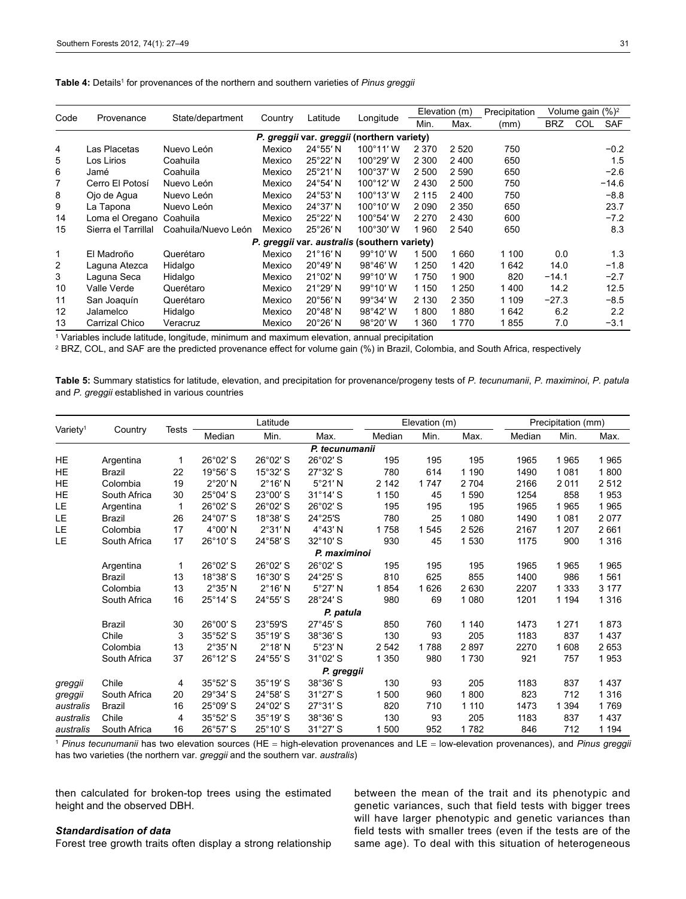|      |                     |                     |         |                   |                                              |         | Elevation (m) | Precipitation |            | Volume gain (%) <sup>2</sup> |            |
|------|---------------------|---------------------|---------|-------------------|----------------------------------------------|---------|---------------|---------------|------------|------------------------------|------------|
| Code | Provenance          | State/department    | Country | Latitude          | Longitude                                    | Min.    | Max.          | (mm)          | <b>BRZ</b> | COL                          | <b>SAF</b> |
|      |                     |                     |         |                   | P. greggii var. greggii (northern variety)   |         |               |               |            |                              |            |
| 4    | Las Placetas        | Nuevo León          | Mexico  | 24°55' N          | 100°11'W                                     | 2 3 7 0 | 2 5 2 0       | 750           |            |                              | $-0.2$     |
| 5    | Los Lirios          | Coahuila            | Mexico  | $25^{\circ}22'$ N | 100°29' W                                    | 2 3 0 0 | 2400          | 650           |            |                              | 1.5        |
| 6    | Jamé                | Coahuila            | Mexico  | $25^{\circ}21'$ N | $100^{\circ}37'$ W                           | 2500    | 2 5 9 0       | 650           |            |                              | $-2.6$     |
| 7    | Cerro El Potosí     | Nuevo León          | Mexico  | $24^{\circ}54'$ N | 100°12' W                                    | 2430    | 2 500         | 750           |            |                              | $-14.6$    |
| 8    | Ojo de Aqua         | Nuevo León          | Mexico  | $24^{\circ}53'$ N | 100°13' W                                    | 2 1 1 5 | 2400          | 750           |            |                              | $-8.8$     |
| 9    | La Tapona           | Nuevo León          | Mexico  | $24^{\circ}37'$ N | $100^{\circ}10'$ W                           | 2090    | 2 3 5 0       | 650           |            |                              | 23.7       |
| 14   | Loma el Oregano     | Coahuila            | Mexico  | $25^{\circ}22'$ N | 100°54' W                                    | 2 2 7 0 | 2430          | 600           |            |                              | $-7.2$     |
| 15   | Sierra el Tarrillal | Coahuila/Nuevo León | Mexico  | $25^{\circ}26'$ N | $100^{\circ}30'$ W                           | 1960    | 2 5 4 0       | 650           |            |                              | 8.3        |
|      |                     |                     |         |                   | P. greggii var. australis (southern variety) |         |               |               |            |                              |            |
| 1    | El Madroño          | Querétaro           | Mexico  | $21^{\circ}16'$ N | $99^{\circ}10'$ W                            | 1500    | 1660          | 1 100         | 0.0        |                              | 1.3        |
| 2    | Laguna Atezca       | Hidalgo             | Mexico  | 20°49' N          | $98^{\circ}46'$ W                            | 1 250   | 1420          | 1642          | 14.0       |                              | $-1.8$     |
| 3    | Laguna Seca         | Hidalgo             | Mexico  | $21^{\circ}02'$ N | $99^{\circ}10'$ W                            | 1750    | 1900          | 820           | $-14.1$    |                              | $-2.7$     |
| 10   | Valle Verde         | Querétaro           | Mexico  | 21°29' N          | $99^{\circ}10'$ W                            | 1 150   | 1 250         | 1400          | 14.2       |                              | 12.5       |
| 11   | San Joaquín         | Querétaro           | Mexico  | $20^{\circ}56'$ N | $99^{\circ}34'$ W                            | 2 1 3 0 | 2 3 5 0       | 1 1 0 9       | $-27.3$    |                              | -8.5       |
| 12   | Jalamelco           | Hidalgo             | Mexico  | $20^{\circ}48'$ N | 98°42' W                                     | 1800    | 1880          | 1642          | 6.2        |                              | 2.2        |
| 13   | Carrizal Chico      | Veracruz            | Mexico  | $20^{\circ}26'$ N | 98°20' W                                     | 1 3 6 0 | 1770          | 1855          | 7.0        |                              | $-3.1$     |

1 Variables include latitude, longitude, minimum and maximum elevation, annual precipitation

<sup>2</sup> BRZ, COL, and SAF are the predicted provenance effect for volume gain (%) in Brazil, Colombia, and South Africa, respectively

**Table 5:** Summary statistics for latitude, elevation, and precipitation for provenance/progeny tests of *P. tecunumanii*, *P. maximinoi*, *P. patula* and *P. greggii* established in various countries

|                      |               |       |                    | Latitude         |                    |         | Elevation (m) |         |        | Precipitation (mm) |         |
|----------------------|---------------|-------|--------------------|------------------|--------------------|---------|---------------|---------|--------|--------------------|---------|
| Variety <sup>1</sup> | Country       | Tests | Median             | Min.             | Max.               | Median  | Min.          | Max.    | Median | Min.               | Max.    |
|                      |               |       |                    |                  | P. tecunumanii     |         |               |         |        |                    |         |
| HE                   | Argentina     | 1     | $26^{\circ}02'$ S  | 26°02' S         | 26°02' S           | 195     | 195           | 195     | 1965   | 1965               | 1965    |
| <b>HE</b>            | <b>Brazil</b> | 22    | 19°56' S           | 15°32' S         | $27^{\circ}32'$ S  | 780     | 614           | 1 1 9 0 | 1490   | 1081               | 1800    |
| <b>HE</b>            | Colombia      | 19    | $2°20'$ N          | $2^{\circ}16'$ N | $5°21'$ N          | 2 1 4 2 | 1747          | 2 7 0 4 | 2166   | 2011               | 2512    |
| HE                   | South Africa  | 30    | $25^{\circ}04'$ S  | 23°00'S          | $31^{\circ}$ 14' S | 1 150   | 45            | 1590    | 1254   | 858                | 1953    |
| LE                   | Argentina     | 1     | $26^{\circ}02'$ S  | 26°02' S         | $26^{\circ}02'$ S  | 195     | 195           | 195     | 1965   | 1965               | 1965    |
| LE                   | <b>Brazil</b> | 26    | 24°07′ S           | 18°38' S         | 24°25'S            | 780     | 25            | 1 0 8 0 | 1490   | 1 0 8 1            | 2077    |
| LE                   | Colombia      | 17    | $4^{\circ}00'$ N   | $2°31'$ N        | 4°43' N            | 1758    | 1545          | 2 5 2 6 | 2167   | 1 2 0 7            | 2661    |
| LE                   | South Africa  | 17    | $26^{\circ}10'$ S  | 24°58′ S         | 32°10'S            | 930     | 45            | 1530    | 1175   | 900                | 1 3 1 6 |
|                      |               |       |                    |                  | P. maximinoi       |         |               |         |        |                    |         |
|                      | Argentina     | 1     | $26^{\circ}02'$ S  | 26°02' S         | 26°02' S           | 195     | 195           | 195     | 1965   | 1965               | 1965    |
|                      | <b>Brazil</b> | 13    | 18°38' S           | 16°30'S          | 24°25′ S           | 810     | 625           | 855     | 1400   | 986                | 1561    |
|                      | Colombia      | 13    | $2°35'$ N          | $2^{\circ}16'$ N | $5°27'$ N          | 1854    | 1 6 2 6       | 2630    | 2207   | 1 3 3 3            | 3 1 7 7 |
|                      | South Africa  | 16    | $25^{\circ}$ 14' S | 24°55' S         | 28°24' S           | 980     | 69            | 1 0 8 0 | 1201   | 1 1 9 4            | 1 3 1 6 |
|                      |               |       |                    |                  | P. patula          |         |               |         |        |                    |         |
|                      | <b>Brazil</b> | 30    | 26°00'S            | 23°59'S          | 27°45'S            | 850     | 760           | 1 1 4 0 | 1473   | 1 2 7 1            | 1873    |
|                      | Chile         | 3     | $35^{\circ}52'$ S  | 35°19' S         | 38°36' S           | 130     | 93            | 205     | 1183   | 837                | 1437    |
|                      | Colombia      | 13    | $2°35'$ N          | $2^{\circ}18'$ N | $5°23'$ N          | 2 5 4 2 | 1788          | 2897    | 2270   | 1608               | 2653    |
|                      | South Africa  | 37    | 26°12' S           | 24°55' S         | $31^{\circ}02'$ S  | 1 3 5 0 | 980           | 1730    | 921    | 757                | 1953    |
|                      |               |       |                    |                  | P. greggii         |         |               |         |        |                    |         |
| greggii              | Chile         | 4     | 35°52' S           | 35°19' S         | 38°36′ S           | 130     | 93            | 205     | 1183   | 837                | 1437    |
| greggii              | South Africa  | 20    | $29°34'$ S         | 24°58' S         | 31°27' S           | 1500    | 960           | 1800    | 823    | 712                | 1 3 1 6 |
| australis            | <b>Brazil</b> | 16    | $25^{\circ}09'$ S  | 24°02′ S         | $27^{\circ}31'$ S  | 820     | 710           | 1 1 1 0 | 1473   | 1 3 9 4            | 1769    |
| australis            | Chile         | 4     | 35°52' S           | 35°19' S         | 38°36′ S           | 130     | 93            | 205     | 1183   | 837                | 1437    |
| australis            | South Africa  | 16    | 26°57' S           | 25°10'S          | $31°27'$ S         | 1500    | 952           | 1782    | 846    | 712                | 1 1 9 4 |

<sup>1</sup> *Pinus tecunumanii* has two elevation sources (HE = high-elevation provenances and LE = low-elevation provenances), and *Pinus greggii* has two varieties (the northern var. *greggii* and the southern var. *australis*)

then calculated for broken-top trees using the estimated height and the observed DBH.

## *Standardisation of data*

Forest tree growth traits often display a strong relationship

between the mean of the trait and its phenotypic and genetic variances, such that field tests with bigger trees will have larger phenotypic and genetic variances than field tests with smaller trees (even if the tests are of the same age). To deal with this situation of heterogeneous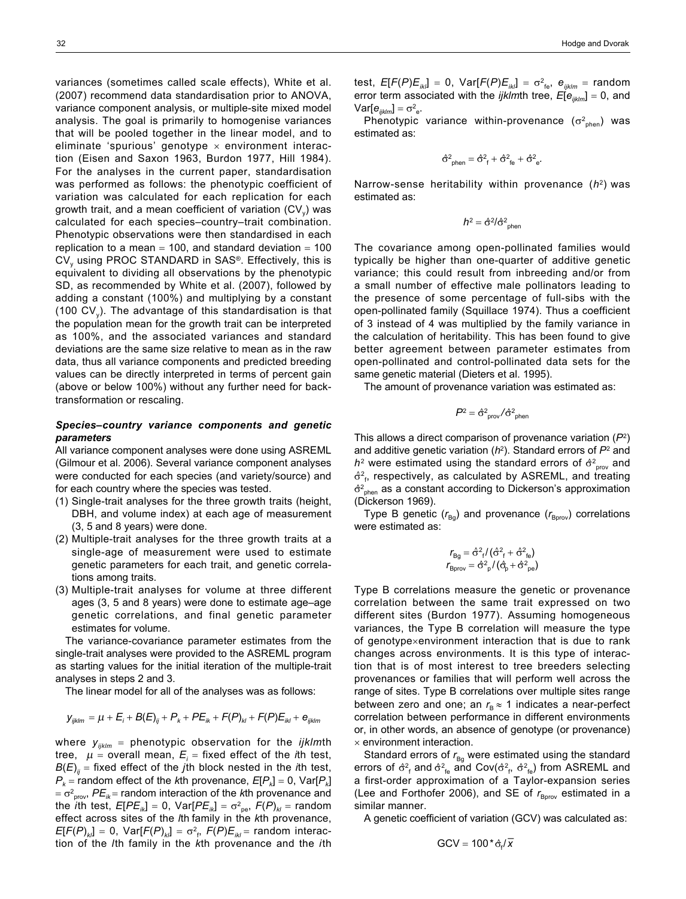variances (sometimes called scale effects), White et al. (2007) recommend data standardisation prior to ANOVA, variance component analysis, or multiple-site mixed model analysis. The goal is primarily to homogenise variances that will be pooled together in the linear model, and to eliminate 'spurious' genotype  $\times$  environment interaction (Eisen and Saxon 1963, Burdon 1977, Hill 1984). For the analyses in the current paper, standardisation was performed as follows: the phenotypic coefficient of variation was calculated for each replication for each growth trait, and a mean coefficient of variation (CV.) was calculated for each species–country–trait combination. Phenotypic observations were then standardised in each replication to a mean  $= 100$ , and standard deviation  $= 100$  $CV<sub>v</sub>$  using PROC STANDARD in SAS®. Effectively, this is equivalent to dividing all observations by the phenotypic SD, as recommended by White et al. (2007), followed by adding a constant (100%) and multiplying by a constant  $(100 \text{ CV}_{u})$ . The advantage of this standardisation is that the population mean for the growth trait can be interpreted as 100%, and the associated variances and standard deviations are the same size relative to mean as in the raw data, thus all variance components and predicted breeding values can be directly interpreted in terms of percent gain (above or below 100%) without any further need for backtransformation or rescaling.

## *Species–country variance components and genetic parameters*

All variance component analyses were done using ASREML (Gilmour et al. 2006). Several variance component analyses were conducted for each species (and variety/source) and for each country where the species was tested.

- (1) Single-trait analyses for the three growth traits (height, DBH, and volume index) at each age of measurement (3, 5 and 8 years) were done.
- (2) Multiple-trait analyses for the three growth traits at a single-age of measurement were used to estimate genetic parameters for each trait, and genetic correlations among traits.
- (3) Multiple-trait analyses for volume at three different ages (3, 5 and 8 years) were done to estimate age–age genetic correlations, and final genetic parameter estimates for volume.

The variance-covariance parameter estimates from the single-trait analyses were provided to the ASREML program as starting values for the initial iteration of the multiple-trait analyses in steps 2 and 3.

The linear model for all of the analyses was as follows:

$$
y_{ijklm} = \mu + E_i + B(E)_{ij} + P_k + PE_{ik} + F(P)_{kl} + F(P)E_{ikl} + e_{ijklm}
$$

where *yijklm* = phenotypic observation for the *ijklm*th tree,  $\mu$  = overall mean,  $E_i$  = fixed effect of the *i*th test,  $B(E)_{ii}$  = fixed effect of the *j*th block nested in the *i*th test,  $P_k$  = random effect of the *k*th provenance,  $E[P_k] = 0$ ,  $Var[P_k]$  $=$   $\sigma^2_{\text{prov}}$ ,  $PE_{ik}$  = random interaction of the *k*th provenance and the *i*th test,  $E[PE_{ik}] = 0$ ,  $Var[PE_{ik}] = \sigma^2_{pe}$ ,  $F(P)_{kl}$  = random effect across sites of the *l*th family in the *k*th provenance,  $E[F(P)_{kl}] = 0$ ,  $Var[F(P)_{kl}] = \sigma^2_{\scriptscriptstyle{f}}, F(P)E_{\scriptscriptstyle{ikl}} = \text{random interac-}$ tion of the *l* th family in the *k*th provenance and the *i* th

test,  $E[F(P)E_{ikl}] = 0$ ,  $Var[F(P)E_{ikl}] = \sigma^2_{fe}$ ,  $e_{ijklm}$  = random error term associated with the *ijklm*th tree,  $E[e_{ijklm}] = 0$ , and  $Var[e_{ijklm}] = σ<sup>2</sup><sub>e</sub>.$ 

Phenotypic variance within-provenance  $(\sigma^2_{\text{phen}})$  was estimated as:

$$
\hat{\sigma}_{\text{phen}}^2 = \hat{\sigma}_{\text{f}}^2 + \hat{\sigma}_{\text{fe}}^2 + \hat{\sigma}_{\text{e}}^2.
$$

Narrow-sense heritability within provenance (*h*2) was estimated as:

 $h^2 = \hat{\sigma}^2/\hat{\sigma}^2$ <sub>phen</sub>

The covariance among open-pollinated families would typically be higher than one-quarter of additive genetic variance; this could result from inbreeding and/or from a small number of effective male pollinators leading to the presence of some percentage of full-sibs with the open-pollinated family (Squillace 1974). Thus a coefficient of 3 instead of 4 was multiplied by the family variance in the calculation of heritability. This has been found to give better agreement between parameter estimates from open-pollinated and control-pollinated data sets for the same genetic material (Dieters et al. 1995).

The amount of provenance variation was estimated as:

$$
P^2 = \hat{\sigma}^2_{\text{prov}} / \hat{\sigma}^2_{\text{phen}}
$$

This allows a direct comparison of provenance variation  $(P<sup>2</sup>)$ and additive genetic variation ( $h^2$ ). Standard errors of  $P^2$  and  $h^2$  were estimated using the standard errors of  $\hat{\sigma}^2$ <sub>prov</sub> and  $\hat{\sigma}^2$ <sub>f</sub>, respectively, as calculated by ASREML, and treating  $\hat{\sigma}^2$ <sub>phen</sub> as a constant according to Dickerson's approximation (Dickerson 1969).

Type B genetic  $(r_{\text{Bg}})$  and provenance  $(r_{\text{Bprov}})$  correlations were estimated as:

$$
r_{\text{Bg}} = \hat{\sigma}_{\text{f}}^2 / (\hat{\sigma}_{\text{f}}^2 + \hat{\sigma}_{\text{fe}}^2)
$$

$$
r_{\text{Bprov}} = \hat{\sigma}_{\text{p}}^2 / (\hat{\sigma}_{\text{p}} + \hat{\sigma}_{\text{pe}}^2)
$$

Type B correlations measure the genetic or provenance correlation between the same trait expressed on two different sites (Burdon 1977). Assuming homogeneous variances, the Type B correlation will measure the type of genotype×environment interaction that is due to rank changes across environments. It is this type of interaction that is of most interest to tree breeders selecting provenances or families that will perform well across the range of sites. Type B correlations over multiple sites range between zero and one; an  $r_B \approx 1$  indicates a near-perfect correlation between performance in different environments or, in other words, an absence of genotype (or provenance)  $\times$  environment interaction.

Standard errors of  $r_{\text{Bg}}$  were estimated using the standard errors of  $\hat{\sigma}^2$ <sub>f</sub> and  $\hat{\sigma}^2$ <sub>fe</sub> and Cov( $\hat{\sigma}^2$ <sub>ff</sub>,  $\hat{\sigma}^2$ <sub>fe</sub>) from ASREML and a first-order approximation of a Taylor-expansion series (Lee and Forthofer 2006), and SE of  $r_{\text{Bprov}}$  estimated in a similar manner.

A genetic coefficient of variation (GCV) was calculated as:

$$
GCV = 100 * \hat{\sigma}_{f}/\overline{x}
$$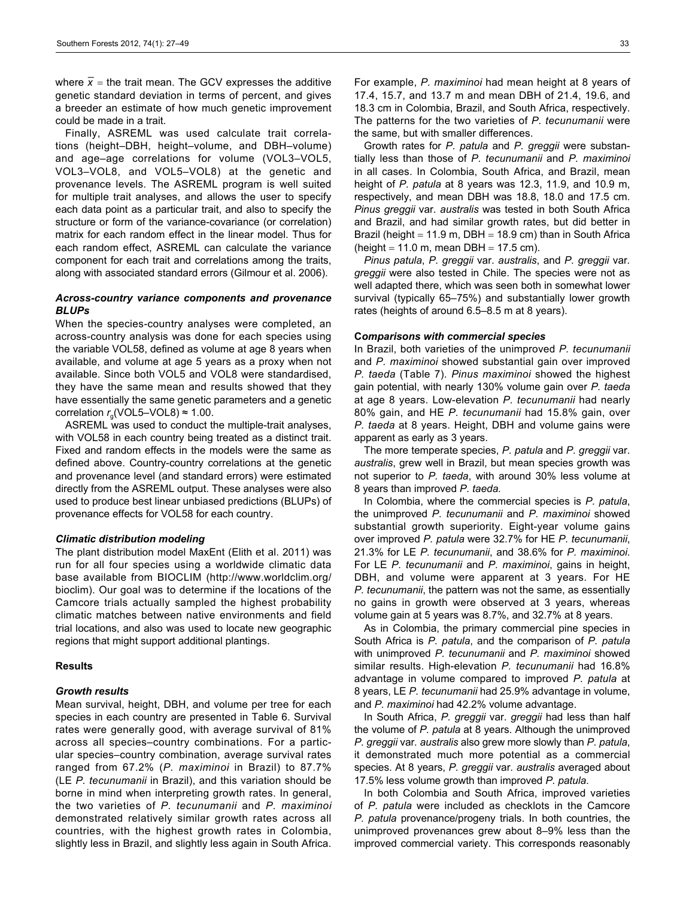where  $\bar{x}$  = the trait mean. The GCV expresses the additive genetic standard deviation in terms of percent, and gives a breeder an estimate of how much genetic improvement could be made in a trait.

Finally, ASREML was used calculate trait correlations (height–DBH, height–volume, and DBH–volume) and age–age correlations for volume (VOL3–VOL5, VOL3–VOL8, and VOL5–VOL8) at the genetic and provenance levels. The ASREML program is well suited for multiple trait analyses, and allows the user to specify each data point as a particular trait, and also to specify the structure or form of the variance-covariance (or correlation) matrix for each random effect in the linear model. Thus for each random effect, ASREML can calculate the variance component for each trait and correlations among the traits, along with associated standard errors (Gilmour et al. 2006).

## *Across-country variance components and provenance BLUPs*

When the species-country analyses were completed, an across-country analysis was done for each species using the variable VOL58, defined as volume at age 8 years when available, and volume at age 5 years as a proxy when not available. Since both VOL5 and VOL8 were standardised, they have the same mean and results showed that they have essentially the same genetic parameters and a genetic correlation  $r_{\rm g}$ (VOL5–VOL8)  $\approx$  1.00.

ASREML was used to conduct the multiple-trait analyses, with VOL58 in each country being treated as a distinct trait. Fixed and random effects in the models were the same as defined above. Country-country correlations at the genetic and provenance level (and standard errors) were estimated directly from the ASREML output. These analyses were also used to produce best linear unbiased predictions (BLUPs) of provenance effects for VOL58 for each country.

## *Climatic distribution modeling*

The plant distribution model MaxEnt (Elith et al. 2011) was run for all four species using a worldwide climatic data base available from BIOCLIM (http://www.worldclim.org/ bioclim). Our goal was to determine if the locations of the Camcore trials actually sampled the highest probability climatic matches between native environments and field trial locations, and also was used to locate new geographic regions that might support additional plantings.

## **Results**

### *Growth results*

Mean survival, height, DBH, and volume per tree for each species in each country are presented in Table 6. Survival rates were generally good, with average survival of 81% across all species–country combinations. For a particular species–country combination, average survival rates ranged from 67.2% (*P. maximinoi* in Brazil) to 87.7% (LE *P. tecunumanii* in Brazil), and this variation should be borne in mind when interpreting growth rates. In general, the two varieties of *P. tecunumanii* and *P. maximinoi* demonstrated relatively similar growth rates across all countries, with the highest growth rates in Colombia, slightly less in Brazil, and slightly less again in South Africa.

Growth rates for *P. patula* and *P. greggii* were substantially less than those of *P. tecunumanii* and *P. maximinoi* in all cases. In Colombia, South Africa, and Brazil, mean height of *P. patula* at 8 years was 12.3, 11.9, and 10.9 m, respectively, and mean DBH was 18.8, 18.0 and 17.5 cm. *Pinus greggii* var. *australis* was tested in both South Africa and Brazil, and had similar growth rates, but did better in Brazil (height = 11.9 m, DBH = 18.9 cm) than in South Africa  $(height = 11.0 m, mean DBH = 17.5 cm).$ 

*Pinus patula*, *P. greggii* var. *australis*, and *P. greggii* var*. greggii* were also tested in Chile. The species were not as well adapted there, which was seen both in somewhat lower survival (typically 65–75%) and substantially lower growth rates (heights of around 6.5–8.5 m at 8 years).

## **C***omparisons with commercial species*

In Brazil, both varieties of the unimproved *P. tecunumanii*  and *P. maximinoi* showed substantial gain over improved *P. taeda* (Table 7). *Pinus maximinoi* showed the highest gain potential, with nearly 130% volume gain over *P. taeda* at age 8 years. Low-elevation *P. tecunumanii* had nearly 80% gain, and HE *P. tecunumanii* had 15.8% gain, over *P. taeda* at 8 years. Height, DBH and volume gains were apparent as early as 3 years.

The more temperate species, *P. patula* and *P. greggii* var. *australis*, grew well in Brazil, but mean species growth was not superior to *P. taeda*, with around 30% less volume at 8 years than improved *P. taeda.*

In Colombia, where the commercial species is *P. patula*, the unimproved *P. tecunumanii* and *P. maximinoi* showed substantial growth superiority. Eight-year volume gains over improved *P. patula* were 32.7% for HE *P. tecunumanii*, 21.3% for LE *P. tecunumanii*, and 38.6% for *P. maximinoi*. For LE *P. tecunumanii* and *P. maximinoi*, gains in height, DBH, and volume were apparent at 3 years. For HE *P. tecunumanii*, the pattern was not the same, as essentially no gains in growth were observed at 3 years, whereas volume gain at 5 years was 8.7%, and 32.7% at 8 years.

As in Colombia, the primary commercial pine species in South Africa is *P. patula*, and the comparison of *P. patula* with unimproved *P. tecunumanii* and *P. maximinoi* showed similar results. High-elevation *P. tecunumanii* had 16.8% advantage in volume compared to improved *P. patula* at 8 years, LE *P. tecunumanii* had 25.9% advantage in volume, and *P. maximinoi* had 42.2% volume advantage.

In South Africa, *P. greggii* var. *greggii* had less than half the volume of *P. patula* at 8 years. Although the unimproved *P. greggii* var*. australis* also grew more slowly than *P. patula*, it demonstrated much more potential as a commercial species. At 8 years, *P. greggii* var. *australis* averaged about 17.5% less volume growth than improved *P. patula*.

In both Colombia and South Africa, improved varieties of *P. patula* were included as checklots in the Camcore *P. patula* provenance/progeny trials. In both countries, the unimproved provenances grew about 8–9% less than the improved commercial variety. This corresponds reasonably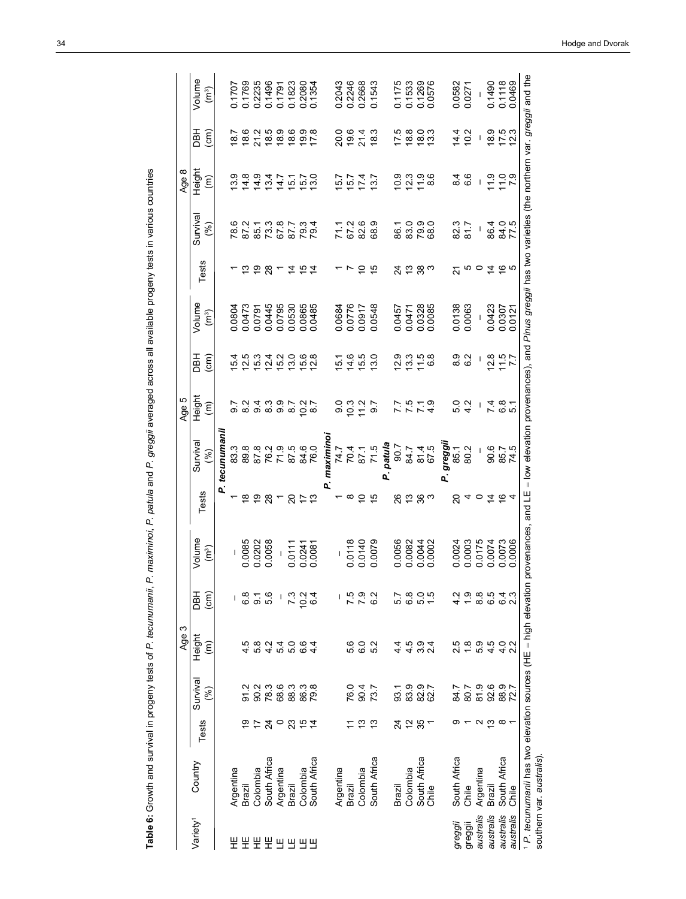| Variety <sup>1</sup> |              |                                        |                             | ω<br>Age                       |                                                                                  |                             |                |                      | Age 5                              |                          |                             |                |                                          | Age 8                          |                                                                                                   |                             |
|----------------------|--------------|----------------------------------------|-----------------------------|--------------------------------|----------------------------------------------------------------------------------|-----------------------------|----------------|----------------------|------------------------------------|--------------------------|-----------------------------|----------------|------------------------------------------|--------------------------------|---------------------------------------------------------------------------------------------------|-----------------------------|
|                      | Country      | Tests                                  | Survival<br>(%)             | Height<br>$\widehat{\epsilon}$ | <b>HBL</b><br>$\overline{cm}$                                                    | Volume<br>(m <sup>3</sup> ) | Tests          | Survival<br>(%)      | Height<br>$\widehat{\epsilon}$     | 핆<br>ί                   | Volume<br>(m <sup>3</sup> ) | Tests          | Survival<br>(%)                          | Height<br>$\widehat{\epsilon}$ | HBC<br><u>(cm</u>                                                                                 | Volume<br>(m <sup>3</sup> ) |
|                      |              |                                        |                             |                                |                                                                                  |                             | ď,             | tecunumanii          |                                    |                          |                             |                |                                          |                                |                                                                                                   |                             |
|                      | Argentina    |                                        |                             |                                | I                                                                                |                             |                | 83.3                 |                                    |                          | 0.0804                      |                |                                          | $\bar{\omega}$                 | Ľ<br><u>18</u>                                                                                    | 0.1707                      |
| 뿦뿦뿦뿦퍌퍌퍌              | Brazil       |                                        |                             |                                | 6.8                                                                              |                             |                | 89.8                 | 2 2 4 5 6 7 8 7<br>V 7 4 6 9 7 8 7 |                          | 0.0473                      |                |                                          | 0<br>0 0 0 0 4<br>0 0 0 0 4    |                                                                                                   | 0.1769                      |
|                      | Colombia     | やけみ                                    |                             | 4. 10<br>4. 10                 | $\overline{9}$                                                                   | 0.0085<br>0.0202            | $\frac{8}{10}$ | 87.8                 |                                    |                          | 0.0791                      |                |                                          |                                | $18.6$<br>21.2                                                                                    | 0.2235                      |
|                      | South Africa |                                        | 2<br>2020 8020<br>2020 8020 | 4 0 0 0 4<br><i>U</i> 4 0 0 4  | 5.6                                                                              | 0.0058                      | 28             | Ņ<br>76.             |                                    |                          | 0.0445                      | $298 - 757$    |                                          |                                | 18.5                                                                                              | 0.1496                      |
|                      | Argentina    |                                        |                             |                                |                                                                                  |                             |                | တ                    |                                    |                          | 0.0795                      |                |                                          | 14570<br>1457                  | 18.9                                                                                              | 0.1791                      |
|                      | Brazil       | $-2.50$                                |                             |                                | 7.3                                                                              | 0.0111                      |                | ယ္<br>$\overline{8}$ |                                    |                          | 0.0530                      |                |                                          |                                | $6990$<br>$97$                                                                                    | 0.1823                      |
|                      | Colombia     |                                        |                             |                                | $rac{2}{6}$ 4                                                                    | 0.0241                      | 78             | 84.6<br>76.0         | $10.2$<br>8.7                      |                          | 0.0865                      |                |                                          |                                |                                                                                                   | 0.2080                      |
|                      | South Africa |                                        |                             |                                |                                                                                  |                             | $\frac{3}{2}$  |                      |                                    |                          | 0.0485                      |                |                                          |                                |                                                                                                   | 0.1354                      |
|                      |              |                                        |                             |                                |                                                                                  |                             | ď,             | maximinoi            |                                    |                          |                             |                |                                          |                                |                                                                                                   |                             |
|                      | Argentina    |                                        |                             |                                | $\overline{1}$                                                                   | $\mathsf I$                 |                | 74.7                 | 0.6                                | 15.1                     | 0.0684                      |                |                                          |                                | 20.0                                                                                              | 0.2043                      |
|                      | Brazil       |                                        | 76.0                        |                                |                                                                                  | 0.0118                      | $\frac{1}{2}$  | 70.4                 |                                    |                          | 0.0776                      | $\overline{ }$ |                                          |                                |                                                                                                   | 0.2246                      |
|                      | Colombia     | ក ដ<br>ស                               | 90.4                        | 60 N<br>60 N                   | $7.\overline{5}$<br>7.9                                                          | 0.0140                      |                | 87.1                 |                                    | $1450$<br>$150$<br>$150$ | 0.0917                      | ុ កំ           | 779888                                   | 1574<br>1574<br>1574           | $\frac{19.4}{21.4}$                                                                               | 0.2668                      |
|                      | South Africa |                                        | 73.7                        |                                | 6.2                                                                              | 0.0079                      | 5              | 71.5                 |                                    |                          | 0.0548                      |                |                                          |                                | 18.3                                                                                              | 0.1543                      |
|                      |              |                                        |                             |                                |                                                                                  |                             |                | patula<br>.<br>م     |                                    |                          |                             |                |                                          |                                |                                                                                                   |                             |
|                      | Brazil       |                                        |                             | 4.4                            |                                                                                  | 0.0056                      | 26             | 90.7                 |                                    |                          | 0.0457                      |                |                                          |                                |                                                                                                   | 0.1175                      |
|                      | Colombia     | 2257                                   | 3<br>3 3 3 3<br>5 3 3 3     |                                | 5<br>6<br>6<br>6<br>6<br>6<br>6<br>7<br>6<br>7<br>6<br>7<br>6<br>2<br>6<br>2<br> | 0.0082                      | $\frac{3}{2}$  | 84.7                 | 7.574<br>7.574                     |                          | 0.0471                      | న చి జి బ      | $\frac{1}{8}$ 0.00<br>$\frac{1}{8}$ 0.00 |                                | $\frac{1}{2}$ $\frac{1}{2}$ $\frac{1}{2}$ $\frac{1}{2}$ $\frac{1}{2}$ $\frac{1}{2}$ $\frac{1}{2}$ | 0.1533                      |
|                      | South Africa |                                        |                             |                                |                                                                                  | 0.0044<br>0.0002            | ని చ           | 81.4                 |                                    |                          | 0.0328<br>0.0085            |                |                                          |                                |                                                                                                   | 0.1269<br>0.0576            |
|                      | Chile        |                                        |                             |                                |                                                                                  |                             |                | 67.5                 |                                    |                          |                             |                |                                          |                                |                                                                                                   |                             |
|                      |              |                                        |                             |                                |                                                                                  |                             |                | greggii<br>ď,        |                                    |                          |                             |                |                                          |                                |                                                                                                   |                             |
| greggii              | South Africa | თ                                      |                             |                                |                                                                                  | 0.0024                      | 20             | 85.1                 |                                    |                          | 0.0138                      |                | 82.3                                     | 8.4                            | 14.4                                                                                              | 0.0582                      |
| greggii              | Chile        |                                        |                             |                                | $\frac{2}{4}$ $\frac{5}{1}$                                                      | 0.0003                      |                | 80.2                 | 5.0<br>5.4                         | ၈<br>စံ ဖ                | 0.0063                      |                | 81.7                                     | <u>0</u><br>ق                  | 10.2                                                                                              | 0.0271                      |
| australis            | Argentina    |                                        |                             |                                | 8.5<br>6.5                                                                       | 0.0175                      |                |                      | $\overline{\phantom{a}}$           |                          |                             | 5 n 0 4<br>2   |                                          |                                | $\mathbf{I}$                                                                                      |                             |
| australis            | Brazil       | $ \alpha$ $\overline{\omega}$ $\infty$ | 779697<br>287887            |                                |                                                                                  | 0.0074                      | 40464          | 90.6                 |                                    | 12.8                     | 0.0423                      |                | 864                                      | 11.9                           | 8 1 1 2<br>8 1 2 3                                                                                | 0.1490                      |
| australis            | South Africa |                                        |                             |                                | 623                                                                              | 0.0073                      |                | 85.7<br>74.5         | 787<br>787                         | $\frac{7.7}{7.7}$        | 0.0307                      | ဖ္ ဖ           | 84.0<br>77.5                             | 7.9                            |                                                                                                   | 0.1118                      |
| australis            | Chile        |                                        |                             |                                |                                                                                  |                             |                |                      |                                    |                          | 0.0121                      |                |                                          |                                |                                                                                                   | 0.0469                      |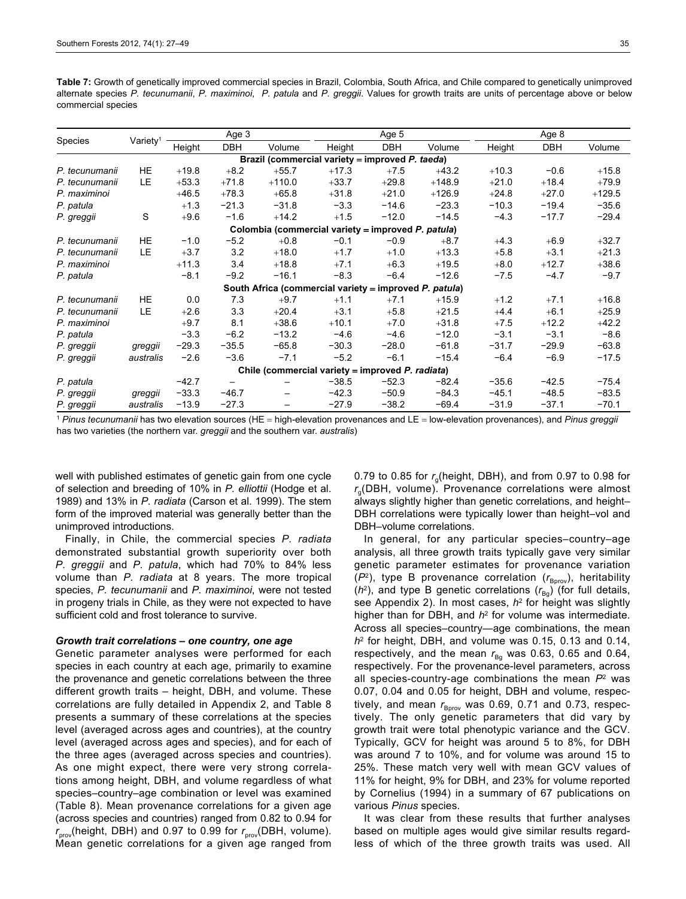**Table 7:** Growth of genetically improved commercial species in Brazil, Colombia, South Africa, and Chile compared to genetically unimproved alternate species *P. tecunumanii*, *P. maximinoi*, *P. patula* and *P. greggii*. Values for growth traits are units of percentage above or below commercial species

| <b>Species</b> | Variety <sup>1</sup> |         | Age 3      |          |                                                        | Age 5      |          |         | Age 8      |          |
|----------------|----------------------|---------|------------|----------|--------------------------------------------------------|------------|----------|---------|------------|----------|
|                |                      | Height  | <b>DBH</b> | Volume   | Height                                                 | <b>DBH</b> | Volume   | Height  | <b>DBH</b> | Volume   |
|                |                      |         |            |          | Brazil (commercial variety = improved P. taeda)        |            |          |         |            |          |
| P. tecunumanii | <b>HE</b>            | $+19.8$ | $+8.2$     | $+55.7$  | $+17.3$                                                | $+7.5$     | $+43.2$  | $+10.3$ | $-0.6$     | $+15.8$  |
| P. tecunumanii | LE                   | $+53.3$ | $+71.8$    | $+110.0$ | $+33.7$                                                | $+29.8$    | $+148.9$ | $+21.0$ | $+18.4$    | $+79.9$  |
| P. maximinoi   |                      | $+46.5$ | $+78.3$    | $+65.8$  | $+31.8$                                                | $+21.0$    | $+126.9$ | $+24.8$ | $+27.0$    | $+129.5$ |
| P. patula      |                      | $+1.3$  | $-21.3$    | $-31.8$  | $-3.3$                                                 | $-14.6$    | $-23.3$  | $-10.3$ | $-19.4$    | $-35.6$  |
| P. greggii     | S                    | $+9.6$  | $-1.6$     | $+14.2$  | $+1.5$                                                 | $-12.0$    | $-14.5$  | $-4.3$  | $-17.7$    | $-29.4$  |
|                |                      |         |            |          | Colombia (commercial variety = improved P. patula)     |            |          |         |            |          |
| P. tecunumanii | <b>HE</b>            | $-1.0$  | $-5.2$     | $+0.8$   | $-0.1$                                                 | $-0.9$     | $+8.7$   | $+4.3$  | $+6.9$     | $+32.7$  |
| P. tecunumanii | <b>LE</b>            | $+3.7$  | 3.2        | $+18.0$  | $+1.7$                                                 | $+1.0$     | $+13.3$  | $+5.8$  | $+3.1$     | $+21.3$  |
| P. maximinoi   |                      | $+11.3$ | 3.4        | $+18.8$  | $+7.1$                                                 | $+6.3$     | $+19.5$  | $+8.0$  | $+12.7$    | $+38.6$  |
| P. patula      |                      | $-8.1$  | $-9.2$     | $-16.1$  | $-8.3$                                                 | $-6.4$     | $-12.6$  | $-7.5$  | $-4.7$     | $-9.7$   |
|                |                      |         |            |          | South Africa (commercial variety = improved P. patula) |            |          |         |            |          |
| P. tecunumanii | <b>HE</b>            | 0.0     | 7.3        | $+9.7$   | $+1.1$                                                 | $+7.1$     | $+15.9$  | $+1.2$  | $+7.1$     | $+16.8$  |
| P. tecunumanii | LE                   | $+2.6$  | 3.3        | $+20.4$  | $+3.1$                                                 | $+5.8$     | $+21.5$  | $+4.4$  | $+6.1$     | $+25.9$  |
| P. maximinoi   |                      | $+9.7$  | 8.1        | $+38.6$  | $+10.1$                                                | $+7.0$     | $+31.8$  | $+7.5$  | $+12.2$    | $+42.2$  |
| P. patula      |                      | $-3.3$  | $-6.2$     | $-13.2$  | $-4.6$                                                 | $-4.6$     | $-12.0$  | $-3.1$  | $-3.1$     | $-8.6$   |
| P. greggii     | greggii              | $-29.3$ | $-35.5$    | $-65.8$  | $-30.3$                                                | $-28.0$    | $-61.8$  | $-31.7$ | $-29.9$    | $-63.8$  |
| P. greggii     | australis            | $-2.6$  | $-3.6$     | $-7.1$   | $-5.2$                                                 | $-6.1$     | $-15.4$  | $-6.4$  | $-6.9$     | $-17.5$  |
|                |                      |         |            |          | Chile (commercial variety = improved P. radiata)       |            |          |         |            |          |
| P. patula      |                      | $-42.7$ |            |          | $-38.5$                                                | $-52.3$    | $-82.4$  | $-35.6$ | $-42.5$    | $-75.4$  |
| P. greggii     | greggii              | $-33.3$ | $-46.7$    |          | $-42.3$                                                | $-50.9$    | $-84.3$  | $-45.1$ | $-48.5$    | $-83.5$  |
| P. greggii     | australis            | $-13.9$ | $-27.3$    |          | $-27.9$                                                | $-38.2$    | $-69.4$  | $-31.9$ | $-37.1$    | $-70.1$  |

<sup>1</sup> *Pinus tecunumanii* has two elevation sources (HE = high-elevation provenances and LE = low-elevation provenances), and *Pinus greggii* has two varieties (the northern var. *greggii* and the southern var. *australis*)

well with published estimates of genetic gain from one cycle of selection and breeding of 10% in *P. elliottii* (Hodge et al. 1989) and 13% in *P. radiata* (Carson et al. 1999). The stem form of the improved material was generally better than the unimproved introductions.

Finally, in Chile, the commercial species *P. radiata* demonstrated substantial growth superiority over both *P. greggii* and *P. patula*, which had 70% to 84% less volume than *P. radiata* at 8 years. The more tropical species, *P. tecunumanii* and *P. maximinoi*, were not tested in progeny trials in Chile, as they were not expected to have sufficient cold and frost tolerance to survive.

### *Growth trait correlations – one country, one age*

Genetic parameter analyses were performed for each species in each country at each age, primarily to examine the provenance and genetic correlations between the three different growth traits – height, DBH, and volume. These correlations are fully detailed in Appendix 2, and Table 8 presents a summary of these correlations at the species level (averaged across ages and countries), at the country level (averaged across ages and species), and for each of the three ages (averaged across species and countries). As one might expect, there were very strong correlations among height, DBH, and volume regardless of what species–country–age combination or level was examined (Table 8). Mean provenance correlations for a given age (across species and countries) ranged from 0.82 to 0.94 for  $r_{\text{prov}}$ (height, DBH) and 0.97 to 0.99 for  $r_{\text{prov}}$ (DBH, volume). Mean genetic correlations for a given age ranged from

0.79 to 0.85 for *r<sub>o</sub>*(height, DBH), and from 0.97 to 0.98 for r<sub>g</sub>(DBH, volume). Provenance correlations were almost always slightly higher than genetic correlations, and height– DBH correlations were typically lower than height–vol and DBH–volume correlations.

In general, for any particular species–country–age analysis, all three growth traits typically gave very similar genetic parameter estimates for provenance variation  $(P^2)$ , type B provenance correlation  $(r_{\text{Bprov}})$ , heritability  $(h^2)$ , and type B genetic correlations  $(r_{\text{Bg}})$  (for full details, see Appendix 2). In most cases, *h*2 for height was slightly higher than for DBH, and *h*2 for volume was intermediate. Across all species–country—age combinations, the mean *h*2 for height, DBH, and volume was 0.15, 0.13 and 0.14, respectively, and the mean  $r_{Bq}$  was 0.63, 0.65 and 0.64, respectively. For the provenance-level parameters, across all species-country-age combinations the mean *P*2 was 0.07, 0.04 and 0.05 for height, DBH and volume, respectively, and mean  $r_{\text{Borov}}$  was 0.69, 0.71 and 0.73, respectively. The only genetic parameters that did vary by growth trait were total phenotypic variance and the GCV. Typically, GCV for height was around 5 to 8%, for DBH was around 7 to 10%, and for volume was around 15 to 25%. These match very well with mean GCV values of 11% for height, 9% for DBH, and 23% for volume reported by Cornelius (1994) in a summary of 67 publications on various *Pinus* species.

It was clear from these results that further analyses based on multiple ages would give similar results regardless of which of the three growth traits was used. All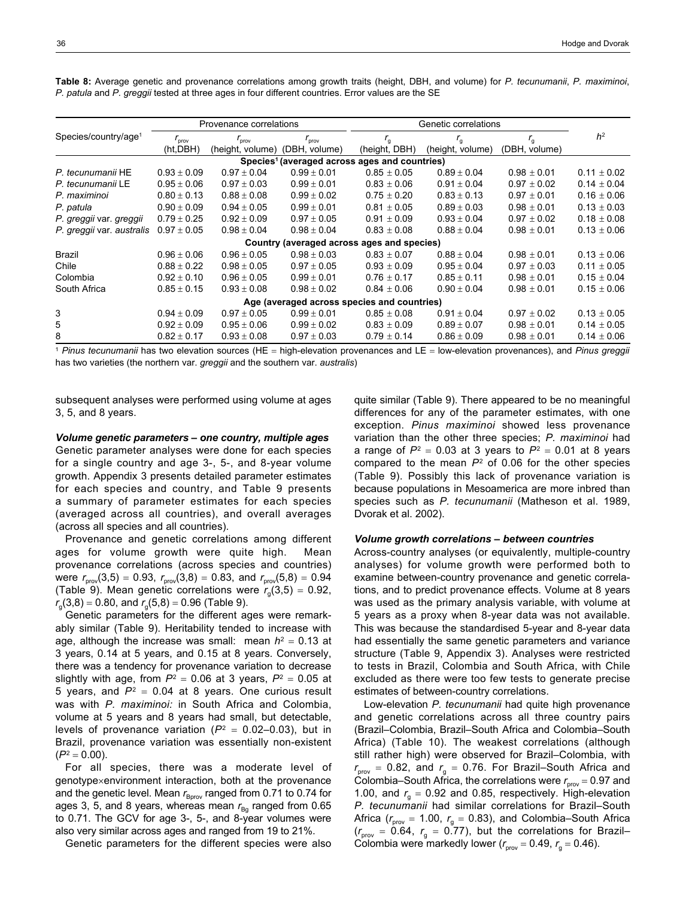Species/country/age1 Provenance correlations extending the Genetic correlations  $r_{\rm prov}$  *r*<sub>prov</sub>  $r_{\rm prov}$   $r_g$   $r_g$   $r_g$   $r_g$  $r_{\text{prov}}$ <br>(ht,DBH)  $r_{\text{prov}}$ (height, volume) (DBH, volume)  $r_{\text{prov}}$ *r*g (height, DBH) *r*g (height, volume) *r*g (DBH, volume) **Species1 (averaged across ages and countries)** *P. tecunumanii* HE 0.93 ± 0.09 0.97 ± 0.04 0.99 ± 0.01 0.85 ± 0.05 0.89 ± 0.04 0.98 ± 0.01 0.11 ± 0.02 *P. tecunumanii* LE 0.95 ± 0.06 0.97 ± 0.03 0.99 ± 0.01 0.83 ± 0.06 0.91 ± 0.04 0.97 ± 0.02 0.14 ± 0.04 *P. maximinoi* 0.80 ± 0.13 0.88 ± 0.08 0.99 ± 0.02 0.75 ± 0.20 0.83 ± 0.13 0.97 ± 0.01 0.16 ± 0.06 *P. patula* 0.90 ± 0.09 0.94 ± 0.05 0.99 ± 0.01 0.81 ± 0.05 0.89 ± 0.03 0.98 ± 0.01 0.13 ± 0.03 *P. greggii* var. *greggii* 0.79 ± 0.25 0.92 ± 0.09 0.97 ± 0.05 0.91 ± 0.09 0.93 ± 0.04 0.97 ± 0.02 0.18 ± 0.08 *P. greggii* var. *australis* 0.97 ± 0.05 0.98 ± 0.04 0.98 ± 0.04 0.83 ± 0.08 0.88 ± 0.04 0.98 ± 0.01 0.13 ± 0.06 **Country (averaged across ages and species)** Brazil 0.96 ± 0.06 0.96 ± 0.05 0.98 ± 0.03 0.83 ± 0.07 0.88 ± 0.04 0.98 ± 0.01 0.13 ± 0.06

 $\text{Chile} \text{ \hspace{1.5mm} 0.88 \pm 0.22} \hspace{1.5mm} \text{0.98 \pm 0.05} \hspace{1.5mm} \text{0.97 \pm 0.05} \hspace{1.5mm} \text{0.93 \pm 0.09}} \hspace{1.5mm} \text{0.93 \pm 0.04}} \hspace{1.5mm} \text{0.97 \pm 0.03}} \hspace{1.5mm} \text{0.11 \pm 0.05}$  ${\tt Colombia} \hspace{1.5cm} 0.92 \pm 0.10 \hspace{1.5cm} 0.96 \pm 0.05 \hspace{1.5cm} 0.99 \pm 0.01 \hspace{1.5cm} 0.76 \pm 0.17 \hspace{1.5cm} 0.85 \pm 0.11 \hspace{1.5cm} 0.98 \pm 0.01 \hspace{1.5cm} 0.15 \pm 0.04$ South Africa  $0.85 \pm 0.15$   $0.93 \pm 0.08$   $0.98 \pm 0.02$   $0.84 \pm 0.06$   $0.90 \pm 0.04$   $0.98 \pm 0.01$   $0.15 \pm 0.06$ **Age (averaged across species and countries)**  $\begin{array}{llll} 3 \qquad \qquad & 0.94 \pm 0.09 \qquad 0.97 \pm 0.05 \qquad & 0.99 \pm 0.01 \qquad & 0.85 \pm 0.08 \qquad & 0.91 \pm 0.04 \qquad & 0.97 \pm 0.02 \qquad & 0.13 \pm 0.05 \end{array}$ 5 0.92 ± 0.09 0.95 ± 0.06 0.99 ± 0.02 0.83 ± 0.09 0.89 ± 0.07 0.98 ± 0.01 0.14 ± 0.05

**Table 8:** Average genetic and provenance correlations among growth traits (height, DBH, and volume) for *P. tecunumanii*, *P. maximinoi*, *P. patula* and *P. greggii* tested at three ages in four different countries. Error values are the SE

 $\begin{array}{llll} 8 \qquad \qquad & 0.82 \pm 0.17 \qquad 0.93 \pm 0.08 \qquad & 0.97 \pm 0.03 \qquad & 0.79 \pm 0.14 \qquad & 0.86 \pm 0.09 \qquad & 0.98 \pm 0.01 \qquad & 0.14 \pm 0.06 \end{array}$ <sup>1</sup> *Pinus tecunumanii* has two elevation sources (HE = high-elevation provenances and LE = low-elevation provenances), and *Pinus greggii* has two varieties (the northern var. *greggii* and the southern var. *australis*)

subsequent analyses were performed using volume at ages 3, 5, and 8 years.

*Volume genetic parameters – one country, multiple ages*

Genetic parameter analyses were done for each species for a single country and age 3-, 5-, and 8-year volume growth. Appendix 3 presents detailed parameter estimates for each species and country, and Table 9 presents a summary of parameter estimates for each species (averaged across all countries), and overall averages (across all species and all countries).

Provenance and genetic correlations among different ages for volume growth were quite high. Mean provenance correlations (across species and countries) were  $r_{\text{prov}}(3,5) = 0.93$ ,  $r_{\text{prov}}(3,8) = 0.83$ , and  $r_{\text{prov}}(5,8) = 0.94$ (Table 9). Mean genetic correlations were  $r<sub>0</sub>(3,5) = 0.92$ ,  $r_{\rm g}(3,8) = 0.80$ , and  $r_{\rm g}(5,8) = 0.96$  (Table 9).

Genetic parameters for the different ages were remarkably similar (Table 9). Heritability tended to increase with age, although the increase was small: mean  $h^2 = 0.13$  at 3 years, 0.14 at 5 years, and 0.15 at 8 years. Conversely, there was a tendency for provenance variation to decrease slightly with age, from  $P^2 = 0.06$  at 3 years,  $P^2 = 0.05$  at 5 years, and  $P^2 = 0.04$  at 8 years. One curious result was with *P. maximinoi:* in South Africa and Colombia, volume at 5 years and 8 years had small, but detectable, levels of provenance variation ( $P^2 = 0.02-0.03$ ), but in Brazil, provenance variation was essentially non-existent  $(P^2 = 0.00)$ .

For all species, there was a moderate level of genotype×environment interaction, both at the provenance and the genetic level. Mean  $r_{\text{Bprov}}$  ranged from 0.71 to 0.74 for ages 3, 5, and 8 years, whereas mean  $r_{\text{Bg}}$  ranged from 0.65 to 0.71. The GCV for age 3-, 5-, and 8-year volumes were also very similar across ages and ranged from 19 to 21%.

Genetic parameters for the different species were also

quite similar (Table 9). There appeared to be no meaningful differences for any of the parameter estimates, with one exception. *Pinus maximinoi* showed less provenance variation than the other three species; *P. maximinoi* had a range of  $P^2 = 0.03$  at 3 years to  $P^2 = 0.01$  at 8 years compared to the mean  $P<sup>2</sup>$  of 0.06 for the other species (Table 9). Possibly this lack of provenance variation is because populations in Mesoamerica are more inbred than species such as *P. tecunumanii* (Matheson et al. 1989, Dvorak et al. 2002).

#### *Volume growth correlations – between countries*

Across-country analyses (or equivalently, multiple-country analyses) for volume growth were performed both to examine between-country provenance and genetic correlations, and to predict provenance effects. Volume at 8 years was used as the primary analysis variable, with volume at 5 years as a proxy when 8-year data was not available. This was because the standardised 5-year and 8-year data had essentially the same genetic parameters and variance structure (Table 9, Appendix 3). Analyses were restricted to tests in Brazil, Colombia and South Africa, with Chile excluded as there were too few tests to generate precise estimates of between-country correlations.

Low-elevation *P. tecunumanii* had quite high provenance and genetic correlations across all three country pairs (Brazil–Colombia, Brazil–South Africa and Colombia–South Africa) (Table 10). The weakest correlations (although still rather high) were observed for Brazil–Colombia, with  $r_{\text{prov}} = 0.82$ , and  $r_{\text{q}} = 0.76$ . For Brazil–South Africa and Colombia–South Africa, the correlations were  $r_{\text{prov}} = 0.97$  and 1.00, and  $r<sub>g</sub> = 0.92$  and 0.85, respectively. High-elevation *P. tecunumanii* had similar correlations for Brazil–South Africa ( $r_{\text{prov}}$  = 1.00,  $r_{\text{g}}$  = 0.83), and Colombia–South Africa  $(r_{\text{prov}} = 0.64, r_{\text{g}} = 0.77)$ , but the correlations for Brazil– Colombia were markedly lower ( $r_{\text{prov}} = 0.49$ ,  $r_{\text{q}} = 0.46$ ).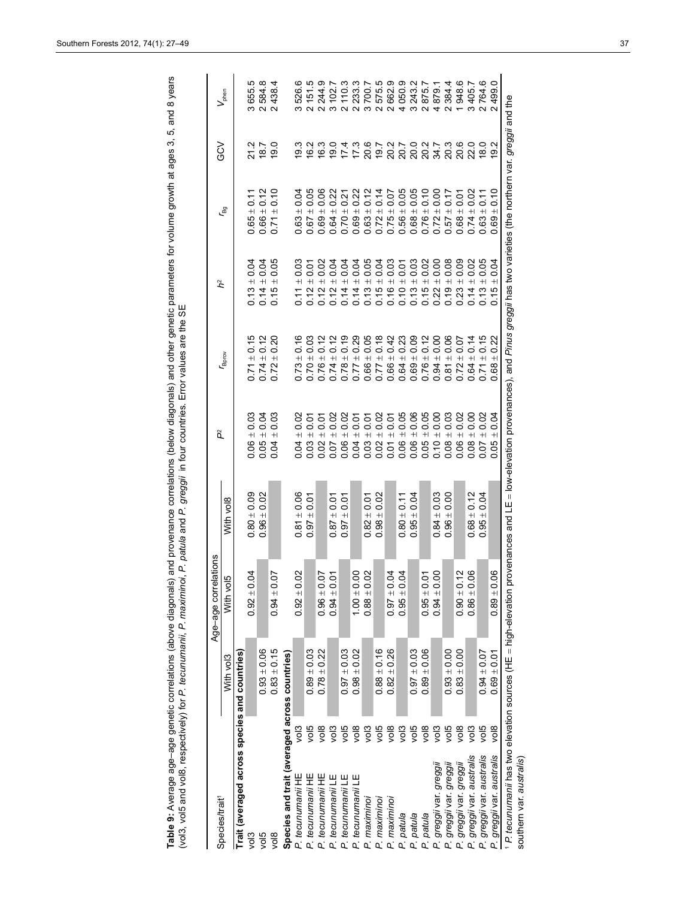| Ź<br>i<br>ļ                               |             |
|-------------------------------------------|-------------|
|                                           |             |
| ว<br>?<br>เ<br>- And of and of a solution |             |
|                                           |             |
|                                           |             |
|                                           |             |
| j                                         |             |
| s<br>S                                    |             |
|                                           |             |
|                                           |             |
|                                           |             |
|                                           |             |
| .<br>.<br>.                               |             |
|                                           |             |
| $\ddot{\cdot}$                            |             |
|                                           |             |
|                                           |             |
|                                           |             |
|                                           |             |
| ומימה מוזמה                               |             |
|                                           | ļ<br>J      |
| l                                         | )<br>)      |
| I                                         |             |
|                                           |             |
| $\overline{\phantom{a}}$<br>ļ             |             |
|                                           |             |
|                                           |             |
| ייה המה הוא היי                           |             |
|                                           | ימים ביים   |
|                                           | l<br>!<br>. |
| l                                         |             |
|                                           |             |
|                                           |             |
| i                                         |             |
|                                           |             |
|                                           |             |
|                                           |             |
| :<br>;<br>;                               |             |
| j                                         |             |
| i<br>Ó<br>١                               | 3           |
|                                           |             |
| i                                         | C           |
| $\vdots$                                  |             |
|                                           |             |
|                                           |             |
|                                           |             |
| $\frac{5}{2}$                             | Í           |
|                                           | ׇ֚֬֡֡֡֡֡֡   |
|                                           |             |
|                                           | vimino      |
| gonals) and pr                            |             |
|                                           |             |
|                                           | ı           |
|                                           |             |
|                                           |             |
|                                           |             |
|                                           | I           |
|                                           |             |
| i                                         |             |
|                                           |             |
|                                           |             |
| $\ddot{\phantom{a}}$<br>¢                 |             |
| i<br>(                                    |             |
| į                                         |             |
| ֘<br>֚֘֝֬                                 |             |
|                                           | í           |
| ہ<br>ا                                    |             |
|                                           |             |
| :<br>:                                    |             |
|                                           |             |
| ة<br>ك                                    |             |

| 0.00<br>0.04<br>0.02<br>0.02<br>0.07<br>0.07<br>$\frac{5}{9}$<br>vol5<br>$0.92 +$<br>$0.94 +$<br>$0.92 +$<br>$0.96 \pm$<br>$0.94 \pm$<br>$1.00 \pm$<br>$0.88 +$<br>With<br>$0.93 \pm 0.06$<br>$0.83 \pm 0.15$<br>$0.88 \pm 0.16$<br>$0.89 \pm 0.03$<br>$0.78 \pm 0.22$<br>$0.97 \pm 0.03$<br>$0.98 \pm 0.02$<br>Trait (averaged across species and countries)<br>Species and trait (averaged across countries)<br>With vol3<br>Jon<br>Slov<br>Slov<br>Slov<br>Slov<br>Slov<br>vol3<br>ciov<br>P. tecunumanii HE<br>P. tecunumanii HE<br>P. tecunumanii HE<br>P. tecunumanii LE<br>P. tecunumanii LE<br>P. tecunumanii l<br>P. maximinoi<br>Species/trait<br>P. maximino<br>yol8<br>vol3<br>vol5 | $0.80 \pm 0.09$<br>0.96 ± 0.02<br>$\pm$ 0.06<br>ē<br>With vol8<br>ö<br>$+$<br>ρö<br>$\overline{\infty}$<br>ö<br>$\circ$ | ã                                             |                                              |                                    |                              |                   |                                      |
|-------------------------------------------------------------------------------------------------------------------------------------------------------------------------------------------------------------------------------------------------------------------------------------------------------------------------------------------------------------------------------------------------------------------------------------------------------------------------------------------------------------------------------------------------------------------------------------------------------------------------------------------------------------------------------------------------|-------------------------------------------------------------------------------------------------------------------------|-----------------------------------------------|----------------------------------------------|------------------------------------|------------------------------|-------------------|--------------------------------------|
|                                                                                                                                                                                                                                                                                                                                                                                                                                                                                                                                                                                                                                                                                                 |                                                                                                                         |                                               | <b>B</b> prov                                | $\tilde{h}^2$                      | ු                            | SCV               | $V_{\text{phen}}$                    |
|                                                                                                                                                                                                                                                                                                                                                                                                                                                                                                                                                                                                                                                                                                 |                                                                                                                         |                                               |                                              |                                    |                              |                   |                                      |
|                                                                                                                                                                                                                                                                                                                                                                                                                                                                                                                                                                                                                                                                                                 |                                                                                                                         | ±0.03<br>0.06                                 | $\pm 0.15$<br>0.71                           | $\Omega$<br>$\overline{+}$<br>0.13 | $0.65 \pm 0.11$              |                   | ю<br>655.<br>ო                       |
|                                                                                                                                                                                                                                                                                                                                                                                                                                                                                                                                                                                                                                                                                                 |                                                                                                                         | ± 0.04<br>0.05                                | $0.74 \pm 0.12$                              | 9.04<br>$\ddot{+}$<br>0.14         | 0.12<br>$0.66 \pm 0$         | 18.7              | $\infty$<br>584.<br>$\sim$ $\sim$    |
|                                                                                                                                                                                                                                                                                                                                                                                                                                                                                                                                                                                                                                                                                                 |                                                                                                                         | 0.03<br>$+$<br>0.04                           | 0.20<br>$\overline{+}$<br>0.72               | రి<br>ö<br>$+1$<br>0.15            | 0.10<br>$+$<br>0.71          | $\circ$<br>တ      | 4<br>438.                            |
|                                                                                                                                                                                                                                                                                                                                                                                                                                                                                                                                                                                                                                                                                                 |                                                                                                                         |                                               |                                              |                                    |                              |                   |                                      |
|                                                                                                                                                                                                                                                                                                                                                                                                                                                                                                                                                                                                                                                                                                 |                                                                                                                         | 0.02<br>$+$<br>0.04                           | $0.73 \pm 0.16$                              | පි<br>$+$<br>r.o                   | 0.04<br>$0.63 \pm 0$         | ო<br>თ            | ဖ<br>526.<br>ო                       |
|                                                                                                                                                                                                                                                                                                                                                                                                                                                                                                                                                                                                                                                                                                 |                                                                                                                         | 0.01<br>$\overline{+}$<br>0.03                | $0.70 \pm$                                   | čο<br>Ο<br>$\pm$                   | $0.67 \pm$                   | 16.2              | ю<br>151<br>$\sim$                   |
|                                                                                                                                                                                                                                                                                                                                                                                                                                                                                                                                                                                                                                                                                                 |                                                                                                                         | 10.01<br>0.02                                 | $0.76 \pm 0.12$                              | $\frac{8}{2}$<br>$+1$<br>0.12      | 0.06<br>$0.69 +$             | $\overline{6}$ .3 | တ<br>244<br>$\sim$                   |
|                                                                                                                                                                                                                                                                                                                                                                                                                                                                                                                                                                                                                                                                                                 | $= 0.01$<br>87                                                                                                          | 0.02<br>$\pm$<br>0.07                         | $0.74 \pm$                                   | ş<br>$+1$                          | 0.22<br>$+$<br>0.64          | $19.0$<br>$7.4$   | 102<br>S                             |
|                                                                                                                                                                                                                                                                                                                                                                                                                                                                                                                                                                                                                                                                                                 | έ<br>Õ<br>$+$<br>56<br>ခဲ ခ                                                                                             | ± 0.02<br>0.06                                | $0.78 \pm 0.19$                              | $\tilde{q}$<br>$+1$<br>0.14        | $\frac{21}{2}$<br>$0.70 \pm$ |                   | ო<br>$\frac{10}{1}$<br>$\sim$ $\sim$ |
|                                                                                                                                                                                                                                                                                                                                                                                                                                                                                                                                                                                                                                                                                                 |                                                                                                                         | 0.07<br>$+$<br>0.04                           | 0.29<br>$0.77 \pm$                           | 9.04<br>$+1$<br>0.14               | 0.22<br>$0.69 +$             | 17.3              | က္<br>233.                           |
|                                                                                                                                                                                                                                                                                                                                                                                                                                                                                                                                                                                                                                                                                                 | ± 0.01<br>$\overline{8}$<br>o o                                                                                         | 5<br>0.01<br>$+1$<br>0.03                     | 0.05<br>$0.66 \pm$                           | 0.05<br>$^{+}$<br>0.13             | $0.63 \pm 0$                 | 20.6              | 700.<br>ო                            |
|                                                                                                                                                                                                                                                                                                                                                                                                                                                                                                                                                                                                                                                                                                 | 0.02<br>$+$<br>88                                                                                                       | ± 0.02<br>$\mathcal{S}^{\mathcal{O}}$<br>0.07 | $.77 \pm 0.18$<br>ö                          | $\tilde{q}$<br>$+1$<br>0.15        | 0.14<br>$0.72 \pm 0$         | 19.7              | Ю<br>575.<br>$\sim$                  |
| $0.82 \pm 0.26$<br>Slov<br>P. maximino                                                                                                                                                                                                                                                                                                                                                                                                                                                                                                                                                                                                                                                          | 0.04<br>$0.97 \pm$                                                                                                      | 0.01<br>$+$                                   | 0.42<br>$0.66 \pm 0.03$                      | 0.03<br>$+1$<br>0.16               | 0.07<br>$+$<br>0.75          | 20.2              | တ<br>662.<br>$\sim$                  |
| 0.04<br>$0.95 +$<br>Slov                                                                                                                                                                                                                                                                                                                                                                                                                                                                                                                                                                                                                                                                        | $\overline{1}$<br>$0.80 \pm$                                                                                            | ±0.05<br>0.06                                 | $.64 \pm 0.23$<br>$\circ$                    | $\frac{5}{2}$<br>$+$<br>0.10       | 0.05<br>$0.56 \pm 0$         | 20.7<br>20.0      | တ္<br>050<br>4                       |
| $0.97 \pm 0.03$<br>glov<br>P. patula<br>P. patula<br>P. patula                                                                                                                                                                                                                                                                                                                                                                                                                                                                                                                                                                                                                                  | 0.04<br>$\frac{1}{\pm 1}$<br>$\overline{95}$<br>$\circ$                                                                 | ± 0.06<br>0.06                                | 0.09<br>$-69 +$<br>ö                         | 0.03<br>$+1$<br>0.13               | 0.05<br>$0.68 \pm 0.03$      |                   | 243.2<br>ო                           |
| 0.01<br>$0.95 +$<br>$0.89 \pm 0.06$<br>yol8                                                                                                                                                                                                                                                                                                                                                                                                                                                                                                                                                                                                                                                     |                                                                                                                         | 0.05<br>$+$<br>0.05                           | $0.76 \pm 0.12$                              | 0.02<br>$+1$<br>0.15               | 0.10<br>$0.76 \pm 0$         | 20.2              | 875.7<br>$\sim$                      |
| 0.00<br>$0.94 \pm$<br>Slov<br>P. greggii var. greggii                                                                                                                                                                                                                                                                                                                                                                                                                                                                                                                                                                                                                                           | $84 \pm 0.03$<br>o o                                                                                                    | ± 0.00<br>0.10                                | <b>0.00</b><br>$-1 + 6$<br>$\circ$           | 0.00<br>$+1$<br>0.22               | 0.00<br>$0.72 \pm$           | 34.7              | 879.<br>4                            |
| $0.93 \pm 0.00$<br>Jon<br>P. greggii var. greggii                                                                                                                                                                                                                                                                                                                                                                                                                                                                                                                                                                                                                                               | 0.00<br>$+$<br>8                                                                                                        | 0.03<br>$+$<br>0.08                           | 0.06<br>$+$<br>$\overleftarrow{\infty}$<br>ö | 0.08<br>$+$<br>0.19                | 0.17<br>$+$<br>0.57          | 20.3              | 4<br>384.<br>$\sim$                  |
| $0.90 +$<br>$0.83 \pm 0.00$<br>8lov                                                                                                                                                                                                                                                                                                                                                                                                                                                                                                                                                                                                                                                             | 0.12                                                                                                                    | ± 0.02<br>0.06                                | $.72 \pm 0.07$<br>$\circ$                    | 0.09<br>$\pm$<br>0.23              | 5<br>0.01<br>$0.68 \pm$      | 20.6              | 948.6                                |
| 0.06<br>$0.86 \pm$<br>Slov<br>P. greggii var. greggii<br>P. greggii var. australis                                                                                                                                                                                                                                                                                                                                                                                                                                                                                                                                                                                                              | $.68 \pm 0.12$                                                                                                          | 0.00<br>$\pm$<br>0.08                         | $64 \pm 0.14$                                | 0.02<br>$\overline{+}$<br>0.14     | 0.02<br>$+$<br>0.74          | 22.0              | 405.7<br>ო                           |
| $0.94 \pm 0.07$<br>vol5<br>P. greggii var. australis                                                                                                                                                                                                                                                                                                                                                                                                                                                                                                                                                                                                                                            | 0.04<br>$+1$<br>99<br>ခဲ ခ                                                                                              | ± 0.02<br>0.07                                | 0.15<br>$0.71 \pm 0$                         | 0.05<br>$+1$<br>0.13               | 71<br>0.11<br>$0.63 \pm 0$   | $18.0$<br>$19.2$  | G<br>764.<br>$\sim$                  |
| $0.89 +$<br>$0.69 \pm 0.01$<br>vol8<br>P. greggii var. australis                                                                                                                                                                                                                                                                                                                                                                                                                                                                                                                                                                                                                                | 0.06                                                                                                                    | 0.04<br>$+1$<br>$\overline{0}$<br>$\circ$     | 0.22<br>$-88^{\frac{1}{4}}$<br>$\circ$       | 0.04<br>$+1$<br>0.15               | 0.10<br>$+$<br>0.69          |                   | $\circ$<br>499.<br>$\mathbf{\Omega}$ |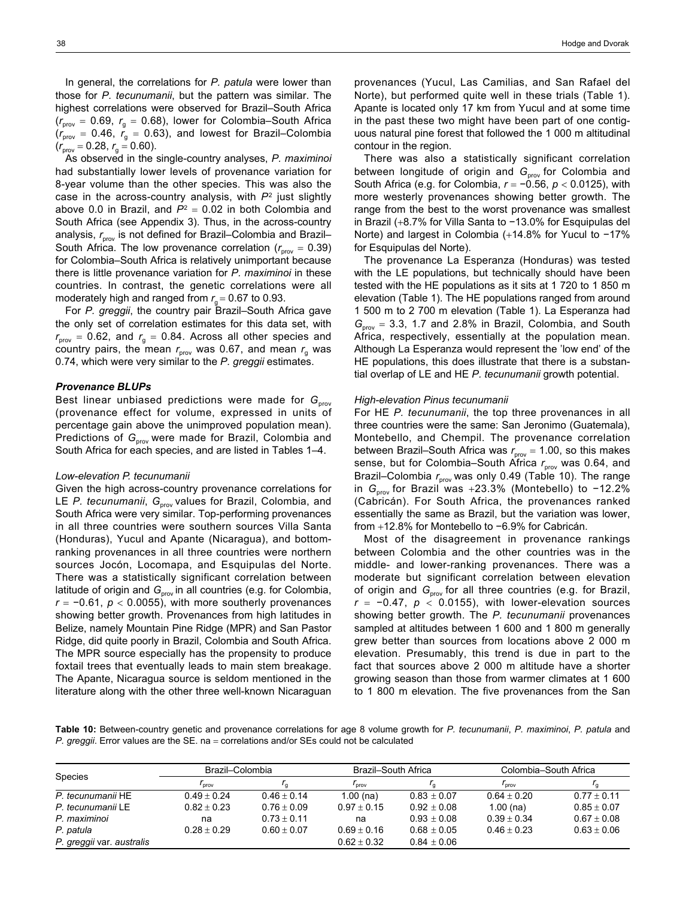In general, the correlations for *P. patula* were lower than those for *P. tecunumanii*, but the pattern was similar. The highest correlations were observed for Brazil–South Africa  $(r_{\text{prov}} = 0.69, r_{\text{g}} = 0.68)$ , lower for Colombia–South Africa  $(r_{\text{prov}} = 0.46, r_{\text{g}} = 0.63)$ , and lowest for Brazil–Colombia  $(r_{\text{prov}} = 0.28, r_{\text{g}} = 0.60)$ .

As observed in the single-country analyses, *P. maximinoi* had substantially lower levels of provenance variation for 8-year volume than the other species. This was also the case in the across-country analysis, with  $P<sup>2</sup>$  just slightly above 0.0 in Brazil, and  $P^2 = 0.02$  in both Colombia and South Africa (see Appendix 3). Thus, in the across-country analysis,  $r_{\text{prov}}$  is not defined for Brazil–Colombia and Brazil– South Africa. The low provenance correlation ( $r_{\text{prov}} = 0.39$ ) for Colombia–South Africa is relatively unimportant because there is little provenance variation for *P. maximinoi* in these countries. In contrast, the genetic correlations were all moderately high and ranged from  $r<sub>g</sub> = 0.67$  to 0.93.

For *P. greggii*, the country pair Brazil–South Africa gave the only set of correlation estimates for this data set, with  $r_{\text{prov}} = 0.62$ , and  $r_a = 0.84$ . Across all other species and country pairs, the mean  $r_{\text{orov}}$  was 0.67, and mean  $r_a$  was 0.74, which were very similar to the *P. greggii* estimates.

## *Provenance BLUPs*

Best linear unbiased predictions were made for G<sub>prov</sub> (provenance effect for volume, expressed in units of percentage gain above the unimproved population mean). Predictions of G<sub>prov</sub> were made for Brazil, Colombia and South Africa for each species, and are listed in Tables 1–4.

#### *Low-elevation P. tecunumanii*

Given the high across-country provenance correlations for LE *P. tecunumanii*, G<sub>prov</sub> values for Brazil, Colombia, and South Africa were very similar. Top-performing provenances in all three countries were southern sources Villa Santa (Honduras), Yucul and Apante (Nicaragua), and bottomranking provenances in all three countries were northern sources Jocón, Locomapa, and Esquipulas del Norte. There was a statistically significant correlation between latitude of origin and G<sub>prov</sub> in all countries (e.g. for Colombia, *r* = −0.61, *p* < 0.0055), with more southerly provenances showing better growth. Provenances from high latitudes in Belize, namely Mountain Pine Ridge (MPR) and San Pastor Ridge, did quite poorly in Brazil, Colombia and South Africa. The MPR source especially has the propensity to produce foxtail trees that eventually leads to main stem breakage. The Apante, Nicaragua source is seldom mentioned in the literature along with the other three well-known Nicaraguan

provenances (Yucul, Las Camilias, and San Rafael del Norte), but performed quite well in these trials (Table 1). Apante is located only 17 km from Yucul and at some time in the past these two might have been part of one contiguous natural pine forest that followed the 1 000 m altitudinal contour in the region.

There was also a statistically significant correlation between longitude of origin and G<sub>prov</sub> for Colombia and South Africa (e.g. for Colombia, *r* = −0.56, *p* < 0.0125), with more westerly provenances showing better growth. The range from the best to the worst provenance was smallest in Brazil (+8.7% for Villa Santa to −13.0% for Esquipulas del Norte) and largest in Colombia (+14.8% for Yucul to −17% for Esquipulas del Norte).

The provenance La Esperanza (Honduras) was tested with the LE populations, but technically should have been tested with the HE populations as it sits at 1 720 to 1 850 m elevation (Table 1). The HE populations ranged from around 1 500 m to 2 700 m elevation (Table 1). La Esperanza had  $G<sub>orov</sub> = 3.3, 1.7$  and 2.8% in Brazil, Colombia, and South Africa, respectively, essentially at the population mean. Although La Esperanza would represent the 'low end' of the HE populations, this does illustrate that there is a substantial overlap of LE and HE *P. tecunumanii* growth potential.

#### *High-elevation Pinus tecunumanii*

For HE *P. tecunumanii*, the top three provenances in all three countries were the same: San Jeronimo (Guatemala), Montebello, and Chempil. The provenance correlation between Brazil–South Africa was  $r_{\text{orov}} = 1.00$ , so this makes sense, but for Colombia–South Africa r<sub>prov</sub> was 0.64, and Brazil–Colombia  $r_{\text{prov}}$  was only 0.49 (Table 10). The range in *G*prov for Brazil was +23.3% (Montebello) to −12.2% (Cabricán). For South Africa, the provenances ranked essentially the same as Brazil, but the variation was lower, from +12.8% for Montebello to −6.9% for Cabricán.

Most of the disagreement in provenance rankings between Colombia and the other countries was in the middle- and lower-ranking provenances. There was a moderate but significant correlation between elevation of origin and G<sub>prov</sub> for all three countries (e.g. for Brazil, *r* = −0.47, *p* < 0.0155), with lower-elevation sources showing better growth. The *P. tecunumanii* provenances sampled at altitudes between 1 600 and 1 800 m generally grew better than sources from locations above 2 000 m elevation. Presumably, this trend is due in part to the fact that sources above 2 000 m altitude have a shorter growing season than those from warmer climates at 1 600 to 1 800 m elevation. The five provenances from the San

**Table 10:** Between-country genetic and provenance correlations for age 8 volume growth for *P. tecunumanii*, *P. maximinoi*, *P. patula* and *P. greggii*. Error values are the SE. na = correlations and/or SEs could not be calculated

|                           | Brazil-Colombia |               | Brazil-South Africa |               | Colombia-South Africa |               |
|---------------------------|-----------------|---------------|---------------------|---------------|-----------------------|---------------|
| Species                   | prov            |               | $^{\prime}$ prov    |               | orov                  |               |
| P. tecunumanii HE         | $0.49 + 0.24$   | $0.46 + 0.14$ | $1.00$ (na)         | $0.83 + 0.07$ | $0.64 + 0.20$         | $0.77 + 0.11$ |
| P. tecunumanii LE         | $0.82 + 0.23$   | $0.76 + 0.09$ | $0.97 + 0.15$       | $0.92 + 0.08$ | $1.00$ (na)           | $0.85 + 0.07$ |
| P. maximinoi              | na              | $0.73 + 0.11$ | na                  | $0.93 + 0.08$ | $0.39 + 0.34$         | $0.67 + 0.08$ |
| P. patula                 | $0.28 + 0.29$   | $0.60 + 0.07$ | $0.69 + 0.16$       | $0.68 + 0.05$ | $0.46 + 0.23$         | $0.63 + 0.06$ |
| P. greggii var. australis |                 |               | $0.62 + 0.32$       | $0.84 + 0.06$ |                       |               |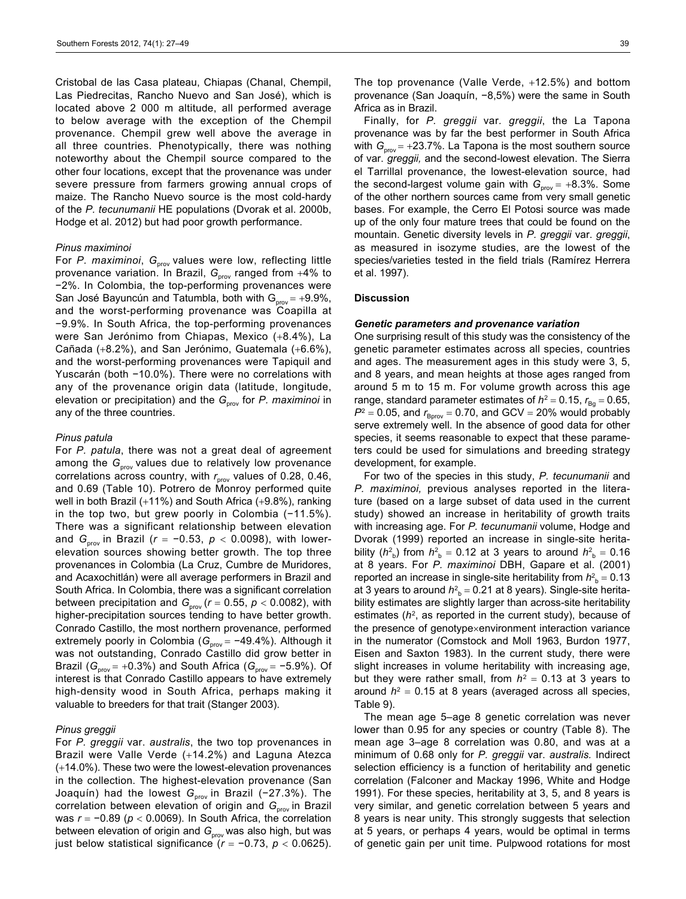Cristobal de las Casa plateau, Chiapas (Chanal, Chempil, Las Piedrecitas, Rancho Nuevo and San José), which is located above 2 000 m altitude, all performed average to below average with the exception of the Chempil provenance. Chempil grew well above the average in all three countries. Phenotypically, there was nothing noteworthy about the Chempil source compared to the other four locations, except that the provenance was under severe pressure from farmers growing annual crops of maize. The Rancho Nuevo source is the most cold-hardy of the *P. tecunumanii* HE populations (Dvorak et al. 2000b, Hodge et al. 2012) but had poor growth performance.

#### *Pinus maximinoi*

For *P. maximinoi*, G<sub>prov</sub> values were low, reflecting little provenance variation. In Brazil, G<sub>prov</sub> ranged from +4% to −2%. In Colombia, the top-performing provenances were San José Bayuncún and Tatumbla, both with  $G_{\text{prev}} = +9.9\%$ , and the worst-performing provenance was Coapilla at −9.9%. In South Africa, the top-performing provenances were San Jerónimo from Chiapas, Mexico (+8.4%), La Cañada (+8.2%), and San Jerónimo, Guatemala (+6.6%), and the worst-performing provenances were Tapiquil and Yuscarán (both −10.0%). There were no correlations with any of the provenance origin data (latitude, longitude, elevation or precipitation) and the G<sub>prov</sub> for *P. maximinoi* in any of the three countries.

### *Pinus patula*

For *P. patula*, there was not a great deal of agreement among the G<sub>prov</sub> values due to relatively low provenance correlations across country, with  $r_{\text{prov}}$  values of 0.28, 0.46, and 0.69 (Table 10). Potrero de Monroy performed quite well in both Brazil (+11%) and South Africa (+9.8%), ranking in the top two, but grew poorly in Colombia (−11.5%). There was a significant relationship between elevation and  $G_{\text{new}}$  in Brazil ( $r = -0.53$ ,  $p < 0.0098$ ), with lowerelevation sources showing better growth. The top three provenances in Colombia (La Cruz, Cumbre de Muridores, and Acaxochitlán) were all average performers in Brazil and South Africa. In Colombia, there was a significant correlation between precipitation and  $G<sub>prov</sub>$  ( $r = 0.55$ ,  $p < 0.0082$ ), with higher-precipitation sources tending to have better growth. Conrado Castillo, the most northern provenance, performed extremely poorly in Colombia (G<sub>prov</sub> = -49.4%). Although it was not outstanding, Conrado Castillo did grow better in Brazil ( $G<sub>prov</sub> = +0.3%$ ) and South Africa ( $G<sub>prov</sub> = -5.9%$ ). Of interest is that Conrado Castillo appears to have extremely high-density wood in South Africa, perhaps making it valuable to breeders for that trait (Stanger 2003).

#### *Pinus greggii*

For *P. greggii* var. *australis*, the two top provenances in Brazil were Valle Verde (+14.2%) and Laguna Atezca (+14.0%). These two were the lowest-elevation provenances in the collection. The highest-elevation provenance (San Joaquín) had the lowest *G*<sub>prov</sub> in Brazil (−27.3%). The correlation between elevation of origin and G<sub>prov</sub> in Brazil was *r* = −0.89 (*p* < 0.0069). In South Africa, the correlation between elevation of origin and G<sub>prov</sub> was also high, but was just below statistical significance (*r* = −0.73, *p* < 0.0625). The top provenance (Valle Verde, +12.5%) and bottom provenance (San Joaquín, −8,5%) were the same in South Africa as in Brazil.

Finally, for *P. greggii* var*. greggii*, the La Tapona provenance was by far the best performer in South Africa with  $G_{\text{new}} = +23.7\%$ . La Tapona is the most southern source of var. *greggii,* and the second-lowest elevation. The Sierra el Tarrillal provenance, the lowest-elevation source, had the second-largest volume gain with  $G_{\text{prov}} = +8.3\%$ . Some of the other northern sources came from very small genetic bases. For example, the Cerro El Potosi source was made up of the only four mature trees that could be found on the mountain. Genetic diversity levels in *P. greggii* var. *greggii*, as measured in isozyme studies, are the lowest of the species/varieties tested in the field trials (Ramírez Herrera et al. 1997).

### **Discussion**

#### *Genetic parameters and provenance variation*

One surprising result of this study was the consistency of the genetic parameter estimates across all species, countries and ages. The measurement ages in this study were 3, 5, and 8 years, and mean heights at those ages ranged from around 5 m to 15 m. For volume growth across this age range, standard parameter estimates of  $h^2 = 0.15$ ,  $r_{Ba} = 0.65$ ,  $P^2 = 0.05$ , and  $r_{\text{Borov}} = 0.70$ , and GCV = 20% would probably serve extremely well. In the absence of good data for other species, it seems reasonable to expect that these parameters could be used for simulations and breeding strategy development, for example.

For two of the species in this study, *P. tecunumanii* and *P. maximinoi,* previous analyses reported in the literature (based on a large subset of data used in the current study) showed an increase in heritability of growth traits with increasing age. For *P. tecunumanii* volume, Hodge and Dvorak (1999) reported an increase in single-site heritability ( $h^2$ <sub>b</sub>) from  $h^2$ <sub>b</sub> = 0.12 at 3 years to around  $h^2$ <sub>b</sub> = 0.16 at 8 years. For *P. maximinoi* DBH, Gapare et al. (2001) reported an increase in single-site heritability from  $h^2$ <sub>b</sub> = 0.13 at 3 years to around  $h^2$ <sub>b</sub> = 0.21 at 8 years). Single-site heritability estimates are slightly larger than across-site heritability estimates  $(h^2)$ , as reported in the current study), because of the presence of genotype×environment interaction variance in the numerator (Comstock and Moll 1963, Burdon 1977, Eisen and Saxton 1983). In the current study, there were slight increases in volume heritability with increasing age, but they were rather small, from  $h^2 = 0.13$  at 3 years to around  $h^2 = 0.15$  at 8 years (averaged across all species, Table 9).

The mean age 5–age 8 genetic correlation was never lower than 0.95 for any species or country (Table 8). The mean age 3–age 8 correlation was 0.80, and was at a minimum of 0.68 only for *P. greggii* var. *australis.* Indirect selection efficiency is a function of heritability and genetic correlation (Falconer and Mackay 1996, White and Hodge 1991). For these species, heritability at 3, 5, and 8 years is very similar, and genetic correlation between 5 years and 8 years is near unity. This strongly suggests that selection at 5 years, or perhaps 4 years, would be optimal in terms of genetic gain per unit time. Pulpwood rotations for most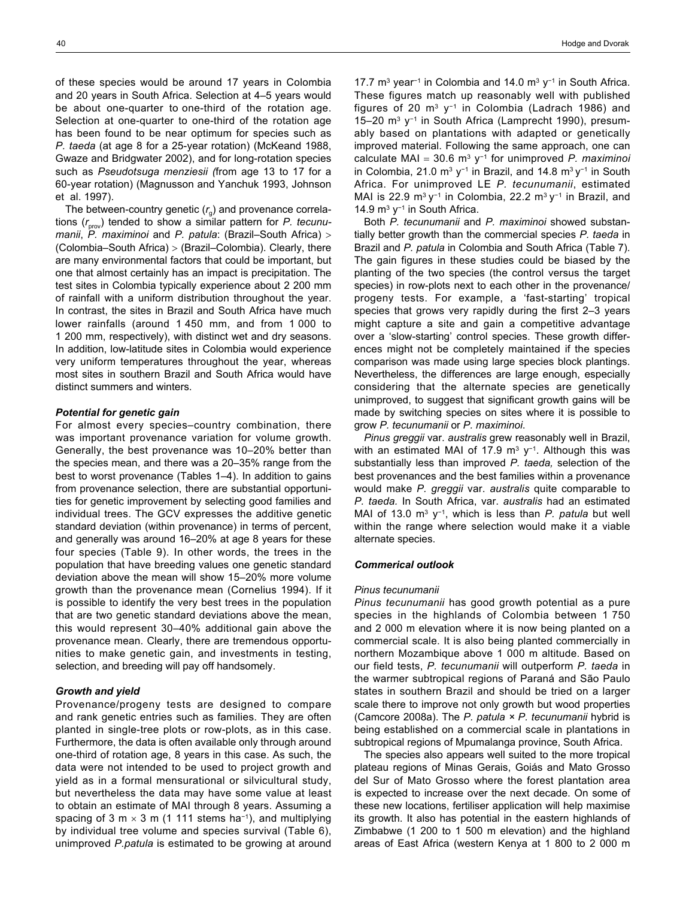of these species would be around 17 years in Colombia and 20 years in South Africa. Selection at 4–5 years would be about one-quarter to one-third of the rotation age. Selection at one-quarter to one-third of the rotation age has been found to be near optimum for species such as *P. taeda* (at age 8 for a 25-year rotation) (McKeand 1988, Gwaze and Bridgwater 2002), and for long-rotation species such as *Pseudotsuga menziesii (*from age 13 to 17 for a 60-year rotation) (Magnusson and Yanchuk 1993, Johnson et al. 1997).

The between-country genetic  $(r_q)$  and provenance correlations ( $r_{\text{prov}}$ ) tended to show a similar pattern for *P. tecunumanii*, *P. maximinoi* and *P. patula*: (Brazil–South Africa) > (Colombia–South Africa) > (Brazil–Colombia). Clearly, there are many environmental factors that could be important, but one that almost certainly has an impact is precipitation. The test sites in Colombia typically experience about 2 200 mm of rainfall with a uniform distribution throughout the year. In contrast, the sites in Brazil and South Africa have much lower rainfalls (around 1 450 mm, and from 1 000 to 1 200 mm, respectively), with distinct wet and dry seasons. In addition, low-latitude sites in Colombia would experience very uniform temperatures throughout the year, whereas most sites in southern Brazil and South Africa would have distinct summers and winters.

### *Potential for genetic gain*

For almost every species–country combination, there was important provenance variation for volume growth. Generally, the best provenance was 10–20% better than the species mean, and there was a 20–35% range from the best to worst provenance (Tables 1–4). In addition to gains from provenance selection, there are substantial opportunities for genetic improvement by selecting good families and individual trees. The GCV expresses the additive genetic standard deviation (within provenance) in terms of percent, and generally was around 16–20% at age 8 years for these four species (Table 9). In other words, the trees in the population that have breeding values one genetic standard deviation above the mean will show 15–20% more volume growth than the provenance mean (Cornelius 1994). If it is possible to identify the very best trees in the population that are two genetic standard deviations above the mean, this would represent 30–40% additional gain above the provenance mean. Clearly, there are tremendous opportunities to make genetic gain, and investments in testing, selection, and breeding will pay off handsomely.

## *Growth and yield*

Provenance/progeny tests are designed to compare and rank genetic entries such as families. They are often planted in single-tree plots or row-plots, as in this case. Furthermore, the data is often available only through around one-third of rotation age, 8 years in this case. As such, the data were not intended to be used to project growth and yield as in a formal mensurational or silvicultural study, but nevertheless the data may have some value at least to obtain an estimate of MAI through 8 years. Assuming a spacing of 3 m  $\times$  3 m (1 111 stems ha<sup>-1</sup>), and multiplying by individual tree volume and species survival (Table 6), unimproved *P.patula* is estimated to be growing at around

17.7 m3 year−1 in Colombia and 14.0 m3 y−1 in South Africa. These figures match up reasonably well with published figures of 20 m3 y−1 in Colombia (Ladrach 1986) and 15–20 m3 y−1 in South Africa (Lamprecht 1990), presumably based on plantations with adapted or genetically improved material. Following the same approach, one can calculate MAI = 30.6 m3 y−1 for unimproved *P. maximinoi* in Colombia, 21.0 m3 y−1 in Brazil, and 14.8 m3 y−1 in South Africa. For unimproved LE *P. tecunumanii*, estimated MAI is 22.9 m3 y−1 in Colombia, 22.2 m3 y−1 in Brazil, and 14.9 m3 y−1 in South Africa.

Both *P. tecunumanii* and *P. maximinoi* showed substantially better growth than the commercial species *P. taeda* in Brazil and *P. patula* in Colombia and South Africa (Table 7). The gain figures in these studies could be biased by the planting of the two species (the control versus the target species) in row-plots next to each other in the provenance/ progeny tests. For example, a 'fast-starting' tropical species that grows very rapidly during the first 2–3 years might capture a site and gain a competitive advantage over a 'slow-starting' control species. These growth differences might not be completely maintained if the species comparison was made using large species block plantings. Nevertheless, the differences are large enough, especially considering that the alternate species are genetically unimproved, to suggest that significant growth gains will be made by switching species on sites where it is possible to grow *P. tecunumanii* or *P. maximinoi*.

*Pinus greggii* var. *australis* grew reasonably well in Brazil, with an estimated MAI of 17.9 m<sup>3</sup> y<sup>-1</sup>. Although this was substantially less than improved *P. taeda,* selection of the best provenances and the best families within a provenance would make *P. greggii* var. *australis* quite comparable to *P. taeda.* In South Africa, var. *australis* had an estimated MAI of 13.0 m3 y−1, which is less than *P. patula* but well within the range where selection would make it a viable alternate species.

## *Commerical outlook*

#### *Pinus tecunumanii*

*Pinus tecunumanii* has good growth potential as a pure species in the highlands of Colombia between 1 750 and 2 000 m elevation where it is now being planted on a commercial scale. It is also being planted commercially in northern Mozambique above 1 000 m altitude. Based on our field tests, *P. tecunumanii* will outperform *P. taeda* in the warmer subtropical regions of Paraná and São Paulo states in southern Brazil and should be tried on a larger scale there to improve not only growth but wood properties (Camcore 2008a). The *P. patula × P. tecunumanii* hybrid is being established on a commercial scale in plantations in subtropical regions of Mpumalanga province, South Africa.

The species also appears well suited to the more tropical plateau regions of Minas Gerais, Goiás and Mato Grosso del Sur of Mato Grosso where the forest plantation area is expected to increase over the next decade. On some of these new locations, fertiliser application will help maximise its growth. It also has potential in the eastern highlands of Zimbabwe (1 200 to 1 500 m elevation) and the highland areas of East Africa (western Kenya at 1 800 to 2 000 m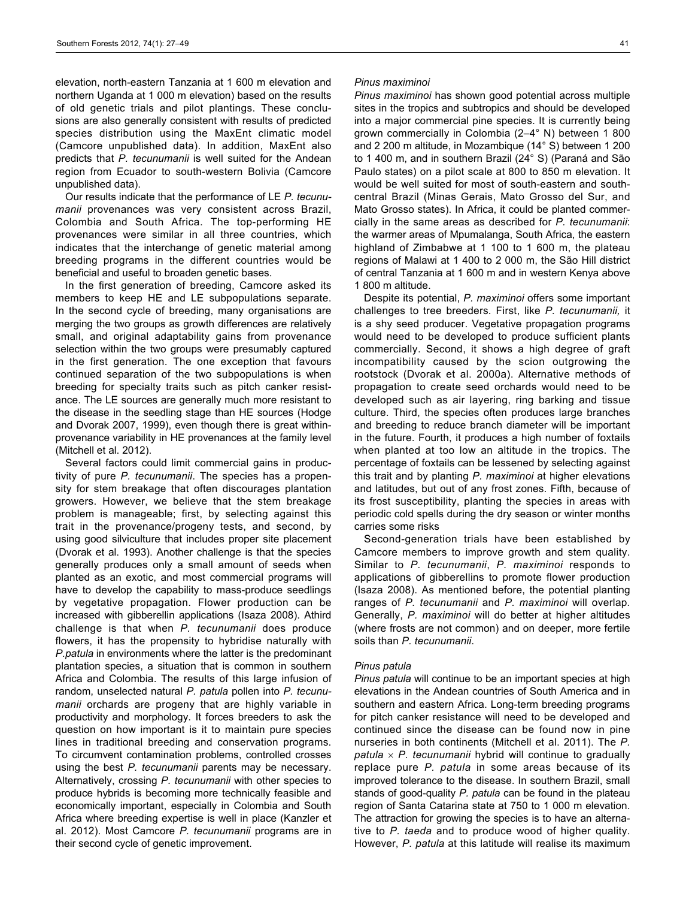elevation, north-eastern Tanzania at 1 600 m elevation and northern Uganda at 1 000 m elevation) based on the results of old genetic trials and pilot plantings. These conclusions are also generally consistent with results of predicted species distribution using the MaxEnt climatic model (Camcore unpublished data). In addition, MaxEnt also predicts that *P. tecunumanii* is well suited for the Andean region from Ecuador to south-western Bolivia (Camcore unpublished data).

Our results indicate that the performance of LE *P. tecunumanii* provenances was very consistent across Brazil, Colombia and South Africa. The top-performing HE provenances were similar in all three countries, which indicates that the interchange of genetic material among breeding programs in the different countries would be beneficial and useful to broaden genetic bases.

In the first generation of breeding, Camcore asked its members to keep HE and LE subpopulations separate. In the second cycle of breeding, many organisations are merging the two groups as growth differences are relatively small, and original adaptability gains from provenance selection within the two groups were presumably captured in the first generation. The one exception that favours continued separation of the two subpopulations is when breeding for specialty traits such as pitch canker resistance. The LE sources are generally much more resistant to the disease in the seedling stage than HE sources (Hodge and Dvorak 2007, 1999), even though there is great withinprovenance variability in HE provenances at the family level (Mitchell et al. 2012).

Several factors could limit commercial gains in productivity of pure *P. tecunumanii*. The species has a propensity for stem breakage that often discourages plantation growers. However, we believe that the stem breakage problem is manageable; first, by selecting against this trait in the provenance/progeny tests, and second, by using good silviculture that includes proper site placement (Dvorak et al. 1993). Another challenge is that the species generally produces only a small amount of seeds when planted as an exotic, and most commercial programs will have to develop the capability to mass-produce seedlings by vegetative propagation. Flower production can be increased with gibberellin applications (Isaza 2008). Athird challenge is that when *P. tecunumanii* does produce flowers, it has the propensity to hybridise naturally with *P.patula* in environments where the latter is the predominant plantation species, a situation that is common in southern Africa and Colombia. The results of this large infusion of random, unselected natural *P. patula* pollen into *P. tecunumanii* orchards are progeny that are highly variable in productivity and morphology. It forces breeders to ask the question on how important is it to maintain pure species lines in traditional breeding and conservation programs. To circumvent contamination problems, controlled crosses using the best *P. tecunumanii* parents may be necessary. Alternatively, crossing *P. tecunumanii* with other species to produce hybrids is becoming more technically feasible and economically important, especially in Colombia and South Africa where breeding expertise is well in place (Kanzler et al. 2012). Most Camcore *P. tecunumanii* programs are in their second cycle of genetic improvement.

#### *Pinus maximinoi*

*Pinus maximinoi* has shown good potential across multiple sites in the tropics and subtropics and should be developed into a major commercial pine species. It is currently being grown commercially in Colombia (2–4° N) between 1 800 and 2 200 m altitude, in Mozambique (14° S) between 1 200 to 1 400 m, and in southern Brazil (24° S) (Paraná and São Paulo states) on a pilot scale at 800 to 850 m elevation. It would be well suited for most of south-eastern and southcentral Brazil (Minas Gerais, Mato Grosso del Sur, and Mato Grosso states). In Africa, it could be planted commercially in the same areas as described for *P. tecunumanii*: the warmer areas of Mpumalanga, South Africa, the eastern highland of Zimbabwe at 1 100 to 1 600 m, the plateau regions of Malawi at 1 400 to 2 000 m, the São Hill district of central Tanzania at 1 600 m and in western Kenya above 1 800 m altitude.

Despite its potential, *P. maximinoi* offers some important challenges to tree breeders. First, like *P. tecunumanii,* it is a shy seed producer. Vegetative propagation programs would need to be developed to produce sufficient plants commercially. Second, it shows a high degree of graft incompatibility caused by the scion outgrowing the rootstock (Dvorak et al. 2000a). Alternative methods of propagation to create seed orchards would need to be developed such as air layering, ring barking and tissue culture. Third, the species often produces large branches and breeding to reduce branch diameter will be important in the future. Fourth, it produces a high number of foxtails when planted at too low an altitude in the tropics. The percentage of foxtails can be lessened by selecting against this trait and by planting *P. maximinoi* at higher elevations and latitudes, but out of any frost zones. Fifth, because of its frost susceptibility, planting the species in areas with periodic cold spells during the dry season or winter months carries some risks

Second-generation trials have been established by Camcore members to improve growth and stem quality. Similar to *P. tecunumanii*, *P. maximinoi* responds to applications of gibberellins to promote flower production (Isaza 2008). As mentioned before, the potential planting ranges of *P. tecunumanii* and *P. maximinoi* will overlap*.* Generally, *P. maximinoi* will do better at higher altitudes (where frosts are not common) and on deeper, more fertile soils than *P. tecunumanii*.

### *Pinus patula*

*Pinus patula* will continue to be an important species at high elevations in the Andean countries of South America and in southern and eastern Africa. Long-term breeding programs for pitch canker resistance will need to be developed and continued since the disease can be found now in pine nurseries in both continents (Mitchell et al. 2011). The *P. patula* × *P. tecunumanii* hybrid will continue to gradually replace pure *P. patula* in some areas because of its improved tolerance to the disease. In southern Brazil, small stands of good-quality *P. patula* can be found in the plateau region of Santa Catarina state at 750 to 1 000 m elevation. The attraction for growing the species is to have an alternative to *P. taeda* and to produce wood of higher quality. However, *P. patula* at this latitude will realise its maximum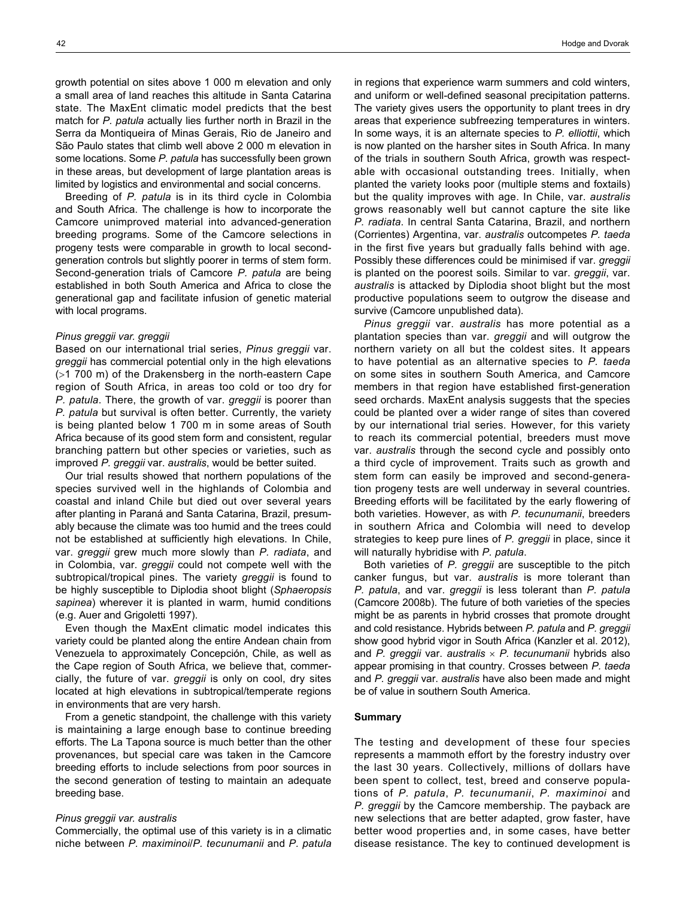growth potential on sites above 1 000 m elevation and only a small area of land reaches this altitude in Santa Catarina state. The MaxEnt climatic model predicts that the best match for *P. patula* actually lies further north in Brazil in the Serra da Montiqueira of Minas Gerais, Rio de Janeiro and São Paulo states that climb well above 2 000 m elevation in some locations. Some *P. patula* has successfully been grown in these areas, but development of large plantation areas is limited by logistics and environmental and social concerns.

Breeding of *P. patula* is in its third cycle in Colombia and South Africa. The challenge is how to incorporate the Camcore unimproved material into advanced-generation breeding programs. Some of the Camcore selections in progeny tests were comparable in growth to local secondgeneration controls but slightly poorer in terms of stem form. Second-generation trials of Camcore *P. patula* are being established in both South America and Africa to close the generational gap and facilitate infusion of genetic material with local programs.

## *Pinus greggii var. greggii*

Based on our international trial series, *Pinus greggii* var. *greggii* has commercial potential only in the high elevations (>1 700 m) of the Drakensberg in the north-eastern Cape region of South Africa, in areas too cold or too dry for *P. patula*. There, the growth of var. *greggii* is poorer than *P. patula* but survival is often better. Currently, the variety is being planted below 1 700 m in some areas of South Africa because of its good stem form and consistent, regular branching pattern but other species or varieties, such as improved *P. greggii* var. *australis*, would be better suited.

Our trial results showed that northern populations of the species survived well in the highlands of Colombia and coastal and inland Chile but died out over several years after planting in Paraná and Santa Catarina, Brazil, presumably because the climate was too humid and the trees could not be established at sufficiently high elevations. In Chile, var. *greggii* grew much more slowly than *P. radiata*, and in Colombia, var. *greggii* could not compete well with the subtropical/tropical pines. The variety *greggii* is found to be highly susceptible to Diplodia shoot blight (*Sphaeropsis sapinea*) wherever it is planted in warm, humid conditions (e.g. Auer and Grigoletti 1997).

Even though the MaxEnt climatic model indicates this variety could be planted along the entire Andean chain from Venezuela to approximately Concepción, Chile, as well as the Cape region of South Africa, we believe that, commercially, the future of var. *greggii* is only on cool, dry sites located at high elevations in subtropical/temperate regions in environments that are very harsh.

From a genetic standpoint, the challenge with this variety is maintaining a large enough base to continue breeding efforts. The La Tapona source is much better than the other provenances, but special care was taken in the Camcore breeding efforts to include selections from poor sources in the second generation of testing to maintain an adequate breeding base.

#### *Pinus greggii var. australis*

Commercially, the optimal use of this variety is in a climatic niche between *P. maximinoi*/*P. tecunumanii* and *P. patula* in regions that experience warm summers and cold winters, and uniform or well-defined seasonal precipitation patterns. The variety gives users the opportunity to plant trees in dry areas that experience subfreezing temperatures in winters. In some ways, it is an alternate species to *P. elliottii*, which is now planted on the harsher sites in South Africa. In many of the trials in southern South Africa, growth was respectable with occasional outstanding trees. Initially, when planted the variety looks poor (multiple stems and foxtails) but the quality improves with age. In Chile, var. *australis* grows reasonably well but cannot capture the site like *P. radiata*. In central Santa Catarina, Brazil, and northern (Corrientes) Argentina, var. *australis* outcompetes *P. taeda* in the first five years but gradually falls behind with age. Possibly these differences could be minimised if var. *greggii* is planted on the poorest soils. Similar to var. *greggii*, var. *australis* is attacked by Diplodia shoot blight but the most productive populations seem to outgrow the disease and survive (Camcore unpublished data).

*Pinus greggii* var. *australis* has more potential as a plantation species than var. *greggii* and will outgrow the northern variety on all but the coldest sites. It appears to have potential as an alternative species to *P. taeda* on some sites in southern South America, and Camcore members in that region have established first-generation seed orchards. MaxEnt analysis suggests that the species could be planted over a wider range of sites than covered by our international trial series. However, for this variety to reach its commercial potential, breeders must move var. *australis* through the second cycle and possibly onto a third cycle of improvement. Traits such as growth and stem form can easily be improved and second-generation progeny tests are well underway in several countries. Breeding efforts will be facilitated by the early flowering of both varieties. However, as with *P. tecunumanii*, breeders in southern Africa and Colombia will need to develop strategies to keep pure lines of *P. greggii* in place, since it will naturally hybridise with *P. patula*.

Both varieties of *P. greggii* are susceptible to the pitch canker fungus, but var. *australis* is more tolerant than *P. patula*, and var. *greggii* is less tolerant than *P. patula* (Camcore 2008b). The future of both varieties of the species might be as parents in hybrid crosses that promote drought and cold resistance. Hybrids between *P. patula* and *P. greggii* show good hybrid vigor in South Africa (Kanzler et al. 2012), and *P. greggii* var. *australis* × *P. tecunumanii* hybrids also appear promising in that country. Crosses between *P. taeda* and *P. greggii* var. *australis* have also been made and might be of value in southern South America.

## **Summary**

The testing and development of these four species represents a mammoth effort by the forestry industry over the last 30 years. Collectively, millions of dollars have been spent to collect, test, breed and conserve populations of *P. patula*, *P. tecunumanii*, *P. maximinoi* and *P. greggii* by the Camcore membership. The payback are new selections that are better adapted, grow faster, have better wood properties and, in some cases, have better disease resistance. The key to continued development is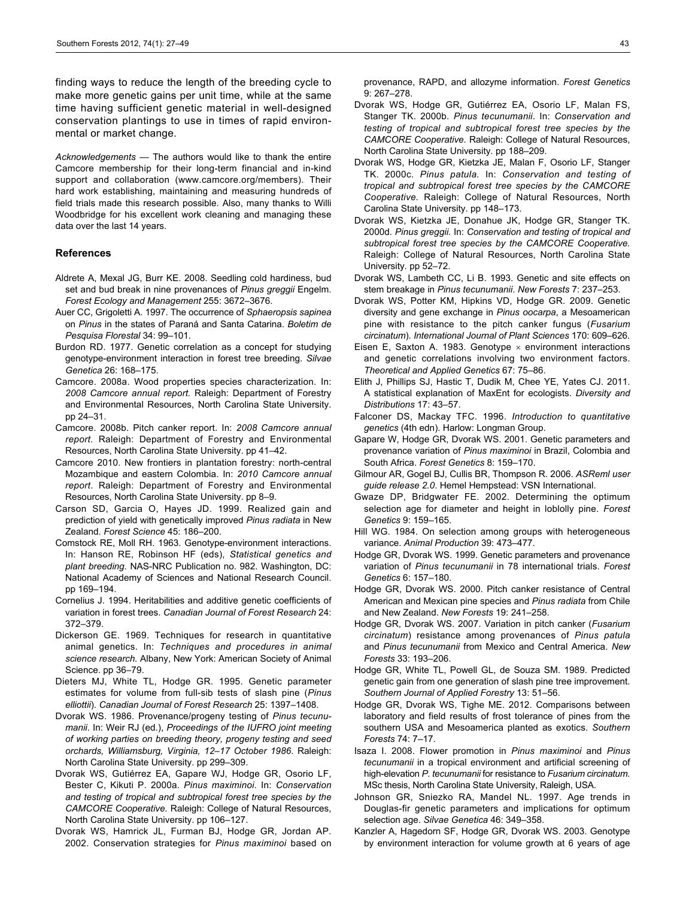finding ways to reduce the length of the breeding cycle to make more genetic gains per unit time, while at the same time having sufficient genetic material in well-designed conservation plantings to use in times of rapid environmental or market change.

*Acknowledgements —* The authors would like to thank the entire Camcore membership for their long-term financial and in-kind support and collaboration (www.camcore.org/members). Their hard work establishing, maintaining and measuring hundreds of field trials made this research possible. Also, many thanks to Willi Woodbridge for his excellent work cleaning and managing these data over the last 14 years.

## **References**

- Aldrete A, Mexal JG, Burr KE. 2008. Seedling cold hardiness, bud set and bud break in nine provenances of *Pinus greggii* Engelm. *Forest Ecology and Management* 255: 3672–3676.
- Auer CC, Grigoletti A. 1997. The occurrence of *Sphaeropsis sapinea* on *Pinus* in the states of Paraná and Santa Catarina. *Boletim de Pesquisa Florestal* 34: 99–101.
- Burdon RD. 1977. Genetic correlation as a concept for studying genotype-environment interaction in forest tree breeding. *Silvae Genetica* 26: 168–175.
- Camcore. 2008a. Wood properties species characterization. In: *2008 Camcore annual report.* Raleigh: Department of Forestry and Environmental Resources, North Carolina State University. pp 24–31.
- Camcore. 2008b. Pitch canker report. In: *2008 Camcore annual report.* Raleigh: Department of Forestry and Environmental Resources, North Carolina State University. pp 41–42.
- Camcore 2010. New frontiers in plantation forestry: north-central Mozambique and eastern Colombia. In: *2010 Camcore annual report*. Raleigh: Department of Forestry and Environmental Resources, North Carolina State University. pp 8–9.
- Carson SD, Garcia O, Hayes JD. 1999. Realized gain and prediction of yield with genetically improved *Pinus radiata* in New Zealand. *Forest Science* 45: 186–200.
- Comstock RE, Moll RH. 1963. Genotype-environment interactions. In: Hanson RE, Robinson HF (eds), *Statistical genetics and plant breeding.* NAS-NRC Publication no. 982. Washington, DC: National Academy of Sciences and National Research Council. pp 169–194.
- Cornelius J. 1994. Heritabilities and additive genetic coefficients of variation in forest trees. *Canadian Journal of Forest Research* 24: 372–379.
- Dickerson GE. 1969. Techniques for research in quantitative animal genetics. In: *Techniques and procedures in animal science research.* Albany, New York: American Society of Animal Science. pp 36–79.
- Dieters MJ, White TL, Hodge GR. 1995. Genetic parameter estimates for volume from full-sib tests of slash pine (*Pinus elliottii*). *Canadian Journal of Forest Research* 25: 1397–1408.
- Dvorak WS. 1986. Provenance/progeny testing of *Pinus tecunumanii*. In: Weir RJ (ed.), *Proceedings of the IUFRO joint meeting of working parties on breeding theory, progeny testing and seed orchards, Williamsburg, Virginia, 12–17 October 1986*. Raleigh: North Carolina State University. pp 299–309.
- Dvorak WS, Gutiérrez EA, Gapare WJ, Hodge GR, Osorio LF, Bester C, Kikuti P. 2000a. *Pinus maximinoi*. In: *Conservation and testing of tropical and subtropical forest tree species by the CAMCORE Cooperative.* Raleigh: College of Natural Resources, North Carolina State University. pp 106–127.
- Dvorak WS, Hamrick JL, Furman BJ, Hodge GR, Jordan AP. 2002. Conservation strategies for *Pinus maximinoi* based on
- Dvorak WS, Hodge GR, Gutiérrez EA, Osorio LF, Malan FS, Stanger TK. 2000b. *Pinus tecunumanii*. In: *Conservation and testing of tropical and subtropical forest tree species by the CAMCORE Cooperative.* Raleigh: College of Natural Resources, North Carolina State University. pp 188–209.
- Dvorak WS, Hodge GR, Kietzka JE, Malan F, Osorio LF, Stanger TK. 2000c. *Pinus patula.* In: *Conservation and testing of tropical and subtropical forest tree species by the CAMCORE Cooperative.* Raleigh: College of Natural Resources, North Carolina State University. pp 148–173.
- Dvorak WS, Kietzka JE, Donahue JK, Hodge GR, Stanger TK. 2000d. *Pinus greggii.* In: *Conservation and testing of tropical and subtropical forest tree species by the CAMCORE Cooperative.* Raleigh: College of Natural Resources, North Carolina State University. pp 52–72.
- Dvorak WS, Lambeth CC, Li B. 1993. Genetic and site effects on stem breakage in *Pinus tecunumanii*. *New Forests* 7: 237–253.
- Dvorak WS, Potter KM, Hipkins VD, Hodge GR. 2009. Genetic diversity and gene exchange in *Pinus oocarpa*, a Mesoamerican pine with resistance to the pitch canker fungus (*Fusarium circinatum*). *International Journal of Plant Sciences* 170: 609–626.
- Eisen E, Saxton A. 1983. Genotype  $\times$  environment interactions and genetic correlations involving two environment factors. *Theoretical and Applied Genetics* 67: 75–86.
- Elith J, Phillips SJ, Hastic T, Dudik M, Chee YE, Yates CJ. 2011. A statistical explanation of MaxEnt for ecologists. *Diversity and Distributions* 17: 43–57.
- Falconer DS, Mackay TFC. 1996. *Introduction to quantitative genetics* (4th edn). Harlow: Longman Group.
- Gapare W, Hodge GR, Dvorak WS. 2001. Genetic parameters and provenance variation of *Pinus maximinoi* in Brazil, Colombia and South Africa. *Forest Genetics* 8: 159–170.
- Gilmour AR, Gogel BJ, Cullis BR, Thompson R. 2006. *ASReml user guide release 2.0*. Hemel Hempstead: VSN International.
- Gwaze DP, Bridgwater FE. 2002. Determining the optimum selection age for diameter and height in loblolly pine. *Forest Genetics* 9: 159–165.
- Hill WG. 1984. On selection among groups with heterogeneous variance. *Animal Production* 39: 473–477.
- Hodge GR, Dvorak WS. 1999. Genetic parameters and provenance variation of *Pinus tecunumanii* in 78 international trials. *Forest Genetics* 6: 157–180.
- Hodge GR, Dvorak WS. 2000. Pitch canker resistance of Central American and Mexican pine species and *Pinus radiata* from Chile and New Zealand. *New Forests* 19: 241–258.
- Hodge GR, Dvorak WS. 2007. Variation in pitch canker (*Fusarium circinatum*) resistance among provenances of *Pinus patula* and *Pinus tecunumanii* from Mexico and Central America. *New Forests* 33: 193–206.
- Hodge GR, White TL, Powell GL, de Souza SM. 1989. Predicted genetic gain from one generation of slash pine tree improvement. *Southern Journal of Applied Forestry* 13: 51–56.
- Hodge GR, Dvorak WS, Tighe ME. 2012. Comparisons between laboratory and field results of frost tolerance of pines from the southern USA and Mesoamerica planted as exotics. *Southern Forests* 74: 7–17.
- Isaza I. 2008. Flower promotion in *Pinus maximinoi* and *Pinus tecunumanii* in a tropical environment and artificial screening of high-elevation *P. tecunumanii* for resistance to *Fusarium circinatum.* MSc thesis, North Carolina State University, Raleigh, USA.
- Johnson GR, Sniezko RA, Mandel NL. 1997. Age trends in Douglas-fir genetic parameters and implications for optimum selection age. *Silvae Genetica* 46: 349–358.
- Kanzler A, Hagedorn SF, Hodge GR, Dvorak WS. 2003. Genotype by environment interaction for volume growth at 6 years of age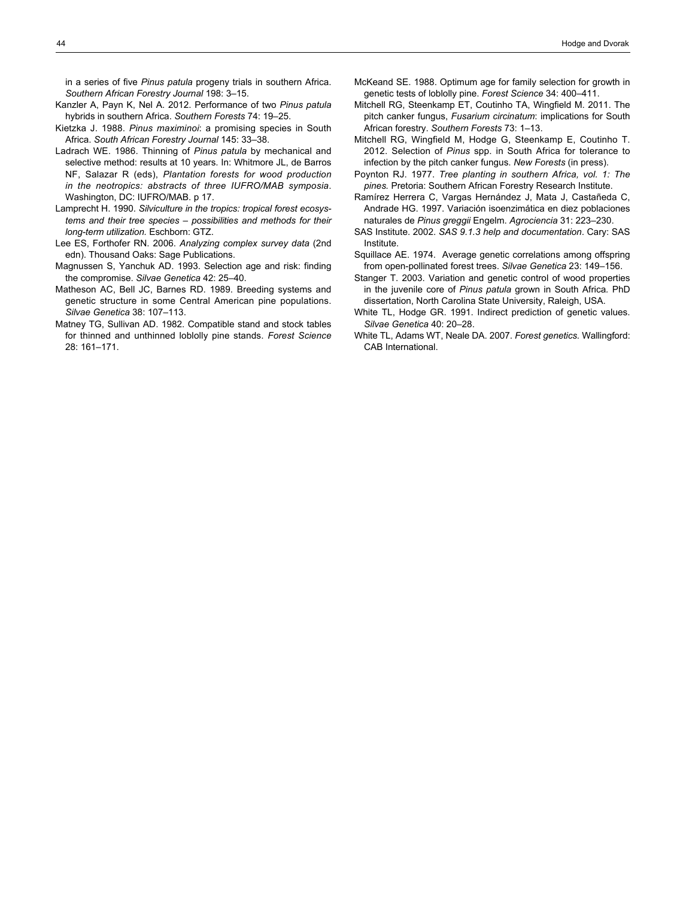in a series of five *Pinus patula* progeny trials in southern Africa. *Southern African Forestry Journal* 198: 3–15.

- Kanzler A, Payn K, Nel A. 2012. Performance of two *Pinus patula* hybrids in southern Africa. *Southern Forests* 74: 19–25.
- Kietzka J. 1988. *Pinus maximinoi*: a promising species in South Africa. *South African Forestry Journal* 145: 33–38.
- Ladrach WE. 1986. Thinning of *Pinus patula* by mechanical and selective method: results at 10 years. In: Whitmore JL, de Barros NF, Salazar R (eds), *Plantation forests for wood production in the neotropics: abstracts of three IUFRO/MAB symposia*. Washington, DC: IUFRO/MAB. p 17.
- Lamprecht H. 1990. *Silviculture in the tropics: tropical forest ecosystems and their tree species – possibilities and methods for their long-term utilization.* Eschborn: GTZ.
- Lee ES, Forthofer RN. 2006. *Analyzing complex survey data* (2nd edn). Thousand Oaks: Sage Publications.
- Magnussen S, Yanchuk AD. 1993. Selection age and risk: finding the compromise. *Silvae Genetica* 42: 25–40.
- Matheson AC, Bell JC, Barnes RD. 1989. Breeding systems and genetic structure in some Central American pine populations. *Silvae Genetica* 38: 107–113.
- Matney TG, Sullivan AD. 1982. Compatible stand and stock tables for thinned and unthinned loblolly pine stands. *Forest Science* 28: 161–171.
- McKeand SE. 1988. Optimum age for family selection for growth in genetic tests of loblolly pine. *Forest Science* 34: 400–411.
- Mitchell RG, Steenkamp ET, Coutinho TA, Wingfield M. 2011. The pitch canker fungus, *Fusarium circinatum*: implications for South African forestry. *Southern Forests* 73: 1–13.
- Mitchell RG, Wingfield M, Hodge G, Steenkamp E, Coutinho T. 2012. Selection of *Pinus* spp. in South Africa for tolerance to infection by the pitch canker fungus. *New Forests* (in press).
- Poynton RJ. 1977. *Tree planting in southern Africa, vol. 1: The pines.* Pretoria: Southern African Forestry Research Institute.
- Ramírez Herrera C, Vargas Hernández J, Mata J, Castañeda C, Andrade HG. 1997. Variación isoenzimática en diez poblaciones naturales de *Pinus greggii* Engelm. *Agrociencia* 31: 223–230.
- SAS Institute. 2002. *SAS 9.1.3 help and documentation*. Cary: SAS Institute.
- Squillace AE. 1974. Average genetic correlations among offspring from open-pollinated forest trees. *Silvae Genetica* 23: 149–156.
- Stanger T. 2003. Variation and genetic control of wood properties in the juvenile core of *Pinus patula* grown in South Africa*.* PhD dissertation, North Carolina State University, Raleigh, USA.
- White TL, Hodge GR. 1991. Indirect prediction of genetic values. *Silvae Genetica* 40: 20–28.
- White TL, Adams WT, Neale DA. 2007. *Forest genetics.* Wallingford: CAB International.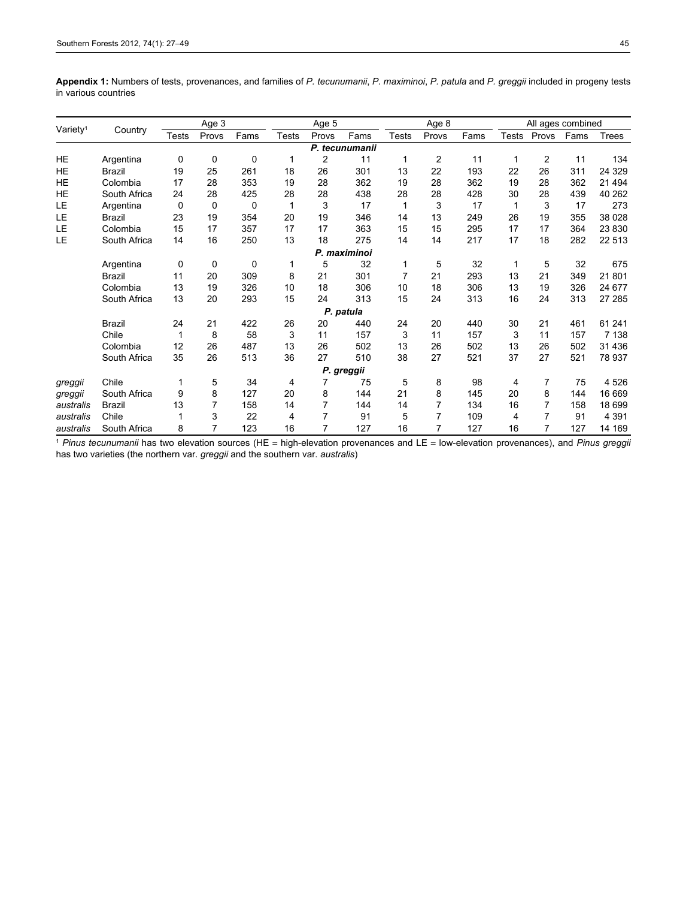**Appendix 1:** Numbers of tests, provenances, and families of *P. tecunumanii*, *P. maximinoi*, *P. patula* and *P. greggii* included in progeny tests in various countries

|                                            |               |       | Age 3          |      |              | Age 5 |                |              | Age 8 |      |              |       | All ages combined |              |
|--------------------------------------------|---------------|-------|----------------|------|--------------|-------|----------------|--------------|-------|------|--------------|-------|-------------------|--------------|
|                                            | Country       | Tests | Provs          | Fams | <b>Tests</b> | Provs | Fams           | <b>Tests</b> | Provs | Fams | <b>Tests</b> | Provs | Fams              | <b>Trees</b> |
|                                            |               |       |                |      |              |       | P. tecunumanii |              |       |      |              |       |                   |              |
| HE                                         | Argentina     | 0     | 0              | 0    | 1            | 2     | 11             | 1            | 2     | 11   | 1            | 2     | 11                | 134          |
| <b>HE</b>                                  | <b>Brazil</b> | 19    | 25             | 261  | 18           | 26    | 301            | 13           | 22    | 193  | 22           | 26    | 311               | 24 3 29      |
| HE                                         | Colombia      | 17    | 28             | 353  | 19           | 28    | 362            | 19           | 28    | 362  | 19           | 28    | 362               | 21 4 9 4     |
| HE                                         | South Africa  | 24    | 28             | 425  | 28           | 28    | 438            | 28           | 28    | 428  | 30           | 28    | 439               | 40 262       |
| LE                                         | Argentina     | 0     | 0              | 0    | 1            | 3     | 17             | 1            | 3     | 17   | 1            | 3     | 17                | 273          |
| LE                                         | <b>Brazil</b> | 23    | 19             | 354  | 20           | 19    | 346            | 14           | 13    | 249  | 26           | 19    | 355               | 38 0 28      |
| LE                                         | Colombia      | 15    | 17             | 357  | 17           | 17    | 363            | 15           | 15    | 295  | 17           | 17    | 364               | 23 830       |
| LE                                         | South Africa  | 14    | 16             | 250  | 13           | 18    | 275            | 14           | 14    | 217  | 17           | 18    | 282               | 22 513       |
|                                            |               |       |                |      |              |       | P. maximinoi   |              |       |      |              |       |                   |              |
|                                            | Argentina     | 0     | 0              | 0    | 1            | 5     | 32             | 1            | 5     | 32   | 1            | 5     | 32                | 675          |
|                                            | <b>Brazil</b> | 11    | 20             | 309  | 8            | 21    | 301            | 7            | 21    | 293  | 13           | 21    | 349               | 21 801       |
|                                            | Colombia      | 13    | 19             | 326  | 10           | 18    | 306            | 10           | 18    | 306  | 13           | 19    | 326               | 24 677       |
|                                            | South Africa  | 13    | 20             | 293  | 15           | 24    | 313            | 15           | 24    | 313  | 16           | 24    | 313               | 27 285       |
|                                            |               |       |                |      |              |       | P. patula      |              |       |      |              |       |                   |              |
| Variety <sup>1</sup><br>greggii<br>greggii | <b>Brazil</b> | 24    | 21             | 422  | 26           | 20    | 440            | 24           | 20    | 440  | 30           | 21    | 461               | 61 241       |
|                                            | Chile         | 1     | 8              | 58   | 3            | 11    | 157            | 3            | 11    | 157  | 3            | 11    | 157               | 7 1 3 8      |
|                                            | Colombia      | 12    | 26             | 487  | 13           | 26    | 502            | 13           | 26    | 502  | 13           | 26    | 502               | 31 4 36      |
|                                            | South Africa  | 35    | 26             | 513  | 36           | 27    | 510            | 38           | 27    | 521  | 37           | 27    | 521               | 78 937       |
|                                            |               |       |                |      |              |       | P. greggii     |              |       |      |              |       |                   |              |
|                                            | Chile         | 1     | 5              | 34   | 4            | 7     | 75             | 5            | 8     | 98   | 4            | 7     | 75                | 4526         |
|                                            | South Africa  | 9     | 8              | 127  | 20           | 8     | 144            | 21           | 8     | 145  | 20           | 8     | 144               | 16 669       |
| australis                                  | <b>Brazil</b> | 13    | 7              | 158  | 14           | 7     | 144            | 14           | 7     | 134  | 16           | 7     | 158               | 18 699       |
| australis                                  | Chile         |       | 3              | 22   | 4            | 7     | 91             | 5            | 7     | 109  | 4            | 7     | 91                | 4 3 9 1      |
| australis                                  | South Africa  | 8     | $\overline{7}$ | 123  | 16           | 7     | 127            | 16           | 7     | 127  | 16           | 7     | 127               | 14 169       |

<sup>1</sup> *Pinus tecunumanii* has two elevation sources (HE = high-elevation provenances and LE = low-elevation provenances), and *Pinus greggii* has two varieties (the northern var. *greggii* and the southern var. *australis*)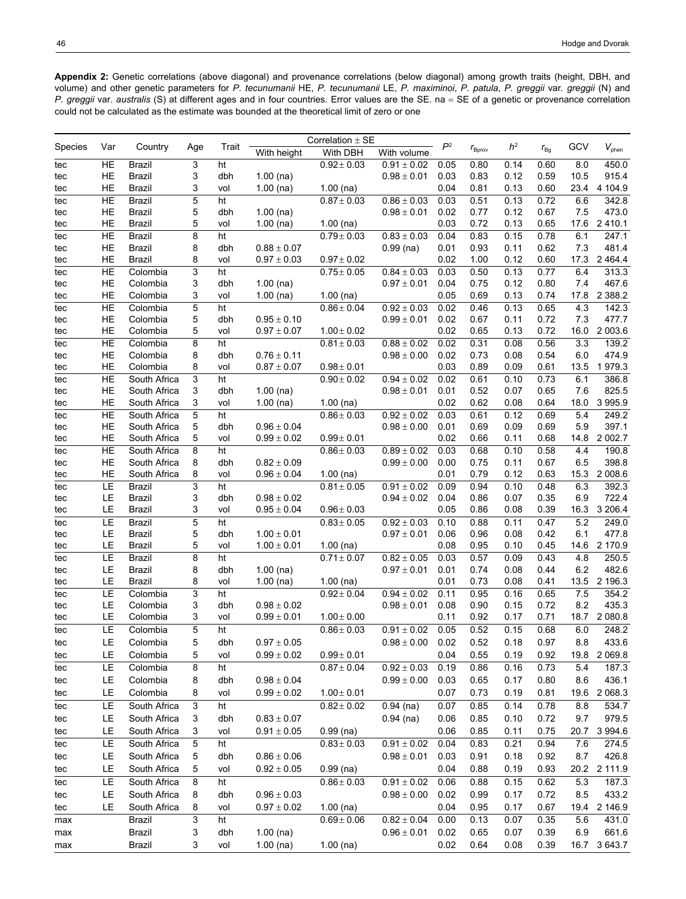**Appendix 2:** Genetic correlations (above diagonal) and provenance correlations (below diagonal) among growth traits (height, DBH, and volume) and other genetic parameters for *P. tecunumanii* HE, *P. tecunumanii* LE, *P. maximinoi*, *P. patula*, *P. greggii* var*. greggii* (N) and *P. greggii* var. *australis* (S) at different ages and in four countries. Error values are the SE. na = SE of a genetic or provenance correlation could not be calculated as the estimate was bounded at the theoretical limit of zero or one

|         |                |               |     |       |                 | Correlation $\pm$ SE |                 | P <sup>2</sup> |                    |                |               |      |                   |
|---------|----------------|---------------|-----|-------|-----------------|----------------------|-----------------|----------------|--------------------|----------------|---------------|------|-------------------|
| Species | Var            | Country       | Age | Trait | With height     | With DBH             | With volume     |                | $r_{\text{Bprov}}$ | h <sup>2</sup> | $r_{\rm{Bg}}$ | GCV  | $V_{\text{phen}}$ |
| tec     | HE             | Brazil        | 3   | ht    |                 | $0.92 \pm 0.03$      | $0.91 \pm 0.02$ | 0.05           | 0.80               | 0.14           | 0.60          | 8.0  | 450.0             |
| tec     | HE             | Brazil        | 3   | dbh   | $1.00$ (na)     |                      | $0.98 \pm 0.01$ | 0.03           | 0.83               | 0.12           | 0.59          | 10.5 | 915.4             |
| tec     | HE             | Brazil        | 3   | vol   | $1.00$ (na)     | $1.00$ (na)          |                 | 0.04           | 0.81               | 0.13           | 0.60          | 23.4 | 4 104.9           |
| tec     | HE             | Brazil        | 5   | ht    |                 | $0.87 \pm 0.03$      | $0.86 \pm 0.03$ | 0.03           | 0.51               | 0.13           | 0.72          | 6.6  | 342.8             |
| tec     | HE             | Brazil        | 5   | dbh   | $1.00$ (na)     |                      | $0.98 \pm 0.01$ | 0.02           | 0.77               | 0.12           | 0.67          | 7.5  | 473.0             |
| tec     | HE             | <b>Brazil</b> | 5   | vol   | $1.00$ (na)     | $1.00$ (na)          |                 | 0.03           | 0.72               | 0.13           | 0.65          | 17.6 | 2410.1            |
| tec     | HE             | Brazil        | 8   | ht    |                 | $0.79 \pm 0.03$      | $0.83 \pm 0.03$ | 0.04           | 0.83               | 0.15           | 0.78          | 6.1  | 247.1             |
| tec     | HE             | Brazil        | 8   | dbh   | $0.88 \pm 0.07$ |                      | $0.99$ (na)     | 0.01           | 0.93               | 0.11           | 0.62          | 7.3  | 481.4             |
| tec     | HE             | Brazil        | 8   | vol   | $0.97 \pm 0.03$ | $0.97 \pm 0.02$      |                 | 0.02           | 1.00               | 0.12           | 0.60          | 17.3 | 2 4 64.4          |
| tec     | HE             | Colombia      | 3   | ht    |                 | $0.75 \pm 0.05$      | $0.84 \pm 0.03$ | 0.03           | 0.50               | 0.13           | 0.77          | 6.4  | 313.3             |
| tec     | HE             | Colombia      | 3   | dbh   | $1.00$ (na)     |                      | $0.97 \pm 0.01$ | 0.04           | 0.75               | 0.12           | 0.80          | 7.4  | 467.6             |
| tec     | <b>HE</b>      | Colombia      | 3   | vol   | $1.00$ (na)     | $1.00$ (na)          |                 | 0.05           | 0.69               | 0.13           | 0.74          | 17.8 | 2 3 8 8.2         |
|         | HE             | Colombia      | 5   | ht    |                 | $0.86 \pm 0.04$      | $0.92\pm0.03$   | 0.02           | 0.46               | 0.13           | 0.65          | 4.3  | 142.3             |
| tec     | <b>HE</b>      | Colombia      | 5   | dbh   | $0.95 \pm 0.10$ |                      | $0.99 \pm 0.01$ | 0.02           | 0.67               | 0.11           | 0.72          | 7.3  | 477.7             |
| tec     | <b>HE</b>      | Colombia      | 5   | vol   | $0.97\pm0.07$   | $1.00 \pm 0.02$      |                 | 0.02           | 0.65               | 0.13           | 0.72          | 16.0 | 2 003.6           |
| tec     | H <sub>E</sub> | Colombia      | 8   | ht    |                 |                      |                 | 0.02           |                    | 0.08           | 0.56          | 3.3  | 139.2             |
| tec     |                |               |     |       |                 | $0.81 \pm 0.03$      | $0.88\pm0.02$   |                | 0.31<br>0.73       |                |               |      | 474.9             |
| tec     | HE             | Colombia      | 8   | dbh   | $0.76 \pm 0.11$ |                      | $0.98 \pm 0.00$ | 0.02<br>0.03   |                    | 0.08           | 0.54          | 6.0  |                   |
| tec     | <b>HE</b>      | Colombia      | 8   | vol   | $0.87 \pm 0.07$ | $0.98 \pm 0.01$      |                 |                | 0.89               | 0.09           | 0.61          | 13.5 | 1979.3            |
| tec     | HE             | South Africa  | 3   | ht    |                 | $0.90 \pm 0.02$      | $0.94 \pm 0.02$ | 0.02           | 0.61               | 0.10           | 0.73          | 6.1  | 386.8             |
| tec     | HE             | South Africa  | 3   | dbh   | $1.00$ (na)     |                      | $0.98 \pm 0.01$ | 0.01           | 0.52               | 0.07           | 0.65          | 7.6  | 825.5             |
| tec     | HE             | South Africa  | 3   | vol   | $1.00$ (na)     | $1.00$ (na)          |                 | 0.02           | 0.62               | 0.08           | 0.64          | 18.0 | 3995.9            |
| tec     | HE             | South Africa  | 5   | ht    |                 | $0.86 \pm 0.03$      | $0.92 \pm 0.02$ | 0.03           | 0.61               | 0.12           | 0.69          | 5.4  | 249.2             |
| tec     | <b>HE</b>      | South Africa  | 5   | dbh   | $0.96 \pm 0.04$ |                      | $0.98 \pm 0.00$ | 0.01           | 0.69               | 0.09           | 0.69          | 5.9  | 397.1             |
| tec     | HE             | South Africa  | 5   | vol   | $0.99 \pm 0.02$ | $0.99 \pm 0.01$      |                 | 0.02           | 0.66               | 0.11           | 0.68          | 14.8 | 2 0 0 2.7         |
| tec     | HE             | South Africa  | 8   | ht    |                 | $0.86 \pm 0.03$      | $0.89 \pm 0.02$ | 0.03           | 0.68               | 0.10           | 0.58          | 4.4  | 190.8             |
| tec     | HE             | South Africa  | 8   | dbh   | $0.82 \pm 0.09$ |                      | $0.99 \pm 0.00$ | 0.00           | 0.75               | 0.11           | 0.67          | 6.5  | 398.8             |
| tec     | HE             | South Africa  | 8   | vol   | $0.96 \pm 0.04$ | $1.00$ (na)          |                 | 0.01           | 0.79               | 0.12           | 0.63          | 15.3 | 2 0 0 8.6         |
| tec     | LE             | Brazil        | 3   | ht    |                 | $0.81\pm0.05$        | $0.91\pm0.02$   | 0.09           | 0.94               | 0.10           | 0.48          | 6.3  | 392.3             |
| tec     | LE             | <b>Brazil</b> | 3   | dbh   | $0.98 \pm 0.02$ |                      | $0.94 \pm 0.02$ | 0.04           | 0.86               | 0.07           | 0.35          | 6.9  | 722.4             |
| tec     | LE             | <b>Brazil</b> | 3   | vol   | $0.95 \pm 0.04$ | $0.96 \pm 0.03$      |                 | 0.05           | 0.86               | 0.08           | 0.39          | 16.3 | 3 2 0 6.4         |
| tec     | LE             | Brazil        | 5   | ht    |                 | $0.83 \pm 0.05$      | $0.92 \pm 0.03$ | 0.10           | 0.88               | 0.11           | 0.47          | 5.2  | 249.0             |
| tec     | LE             | Brazil        | 5   | dbh   | $1.00 \pm 0.01$ |                      | $0.97 \pm 0.01$ | 0.06           | 0.96               | 0.08           | 0.42          | 6.1  | 477.8             |
| tec     | LE             | Brazil        | 5   | vol   | $1.00 \pm 0.01$ | $1.00$ (na)          |                 | 0.08           | 0.95               | 0.10           | 0.45          | 14.6 | 2 170.9           |
| tec     | LE             | Brazil        | 8   | ht    |                 | $0.71 \pm 0.07$      | $0.82\pm0.05$   | 0.03           | 0.57               | 0.09           | 0.43          | 4.8  | 250.5             |
| tec     | LE             | Brazil        | 8   | dbh   | $1.00$ (na)     |                      | $0.97 \pm 0.01$ | 0.01           | 0.74               | 0.08           | 0.44          | 6.2  | 482.6             |
| tec     | LE             | Brazil        | 8   | vol   | $1.00$ (na)     | $1.00$ (na)          |                 | 0.01           | 0.73               | 0.08           | 0.41          | 13.5 | 2 196.3           |
| tec     | LE             | Colombia      | 3   | ht    |                 | $0.92 \pm 0.04$      | $0.94 \pm 0.02$ | 0.11           | 0.95               | 0.16           | 0.65          | 7.5  | 354.2             |
| tec     | LE             | Colombia      | 3   | dbh   | $0.98 \pm 0.02$ |                      | $0.98 \pm 0.01$ | 0.08           | 0.90               | 0.15           | 0.72          | 8.2  | 435.3             |
| tec     | LE             | Colombia      | 3   | vol   | $0.99 \pm 0.01$ | $1.00 \pm 0.00$      |                 | 0.11           | 0.92               | 0.17           | 0.71          | 18.7 | 2 0 8 0.8         |
| tec     | LE             | Colombia      | 5   | ht    |                 | $0.86 \pm 0.03$      | $0.91 \pm 0.02$ | 0.05           | 0.52               | 0.15           | 0.68          | 6.0  | 248.2             |
| tec     | LE             | Colombia      | 5   | dbh   | $0.97 \pm 0.05$ |                      | $0.98 \pm 0.00$ | 0.02           | 0.52               | 0.18           | 0.97          | 8.8  | 433.6             |
| tec     | LE             | Colombia      | 5   | vol   | $0.99\pm0.02$   | $0.99\pm0.01$        |                 | 0.04           | 0.55               | 0.19           | 0.92          |      | 19.8 2 069.8      |
| tec     | LE             | Colombia      | 8   | ht    |                 | $0.87 \pm 0.04$      | $0.92 \pm 0.03$ | 0.19           | 0.86               | 0.16           | 0.73          | 5.4  | 187.3             |
| tec     | LE             | Colombia      | 8   | dbh   | $0.98 \pm 0.04$ |                      | $0.99 \pm 0.00$ | 0.03           | 0.65               | 0.17           | 0.80          | 8.6  | 436.1             |
| tec     | LE             | Colombia      | 8   | vol   | $0.99\pm0.02$   | $1.00 \pm 0.01$      |                 | 0.07           | 0.73               | 0.19           | 0.81          | 19.6 | 2 0 68.3          |
|         | LE             | South Africa  | 3   | ht    |                 | $0.82 \pm 0.02$      | $0.94$ (na)     | 0.07           | 0.85               | 0.14           | 0.78          | 8.8  | 534.7             |
| tec     |                |               |     |       | $0.83 \pm 0.07$ |                      |                 |                |                    |                |               |      |                   |
| tec     | LE             | South Africa  | 3   | dbh   |                 |                      | $0.94$ (na)     | 0.06           | 0.85               | 0.10           | 0.72          | 9.7  | 979.5             |
| tec     | LE             | South Africa  | 3   | vol   | $0.91 \pm 0.05$ | $0.99$ (na)          |                 | 0.06           | 0.85               | 0.11           | 0.75          | 20.7 | 3 9 9 4 . 6       |
| tec     | LE             | South Africa  | 5   | ht    |                 | $0.83 \pm 0.03$      | $0.91 \pm 0.02$ | 0.04           | 0.83               | 0.21           | 0.94          | 7.6  | 274.5             |
| tec     | LE             | South Africa  | 5   | dbh   | $0.86\pm0.06$   |                      | $0.98 \pm 0.01$ | 0.03           | 0.91               | 0.18           | 0.92          | 8.7  | 426.8             |
| tec     | LE             | South Africa  | 5   | vol   | $0.92\pm0.05$   | $0.99$ (na)          |                 | 0.04           | 0.88               | 0.19           | 0.93          | 20.2 | 2 111.9           |
| tec     | LE             | South Africa  | 8   | ht    |                 | $0.86 \pm 0.03$      | $0.91 \pm 0.02$ | 0.06           | 0.88               | 0.15           | 0.62          | 5.3  | 187.3             |
| tec     | LE             | South Africa  | 8   | dbh   | $0.96 \pm 0.03$ |                      | $0.98 \pm 0.00$ | 0.02           | 0.99               | 0.17           | 0.72          | 8.5  | 433.2             |
| tec     | LE             | South Africa  | 8   | vol   | $0.97\pm0.02$   | $1.00$ (na)          |                 | 0.04           | 0.95               | 0.17           | 0.67          |      | 19.4 2 146.9      |
| max     |                | Brazil        | 3   | ht    |                 | $0.69 \pm 0.06$      | $0.82\pm0.04$   | 0.00           | 0.13               | 0.07           | 0.35          | 5.6  | 431.0             |
| max     |                | <b>Brazil</b> | 3   | dbh   | $1.00$ (na)     |                      | $0.96 \pm 0.01$ | 0.02           | 0.65               | 0.07           | 0.39          | 6.9  | 661.6             |
|         |                | Brazil        | 3   | vol   | $1.00$ (na)     | $1.00$ (na)          |                 | 0.02           | 0.64               | 0.08           | 0.39          | 16.7 | 3643.7            |
| max     |                |               |     |       |                 |                      |                 |                |                    |                |               |      |                   |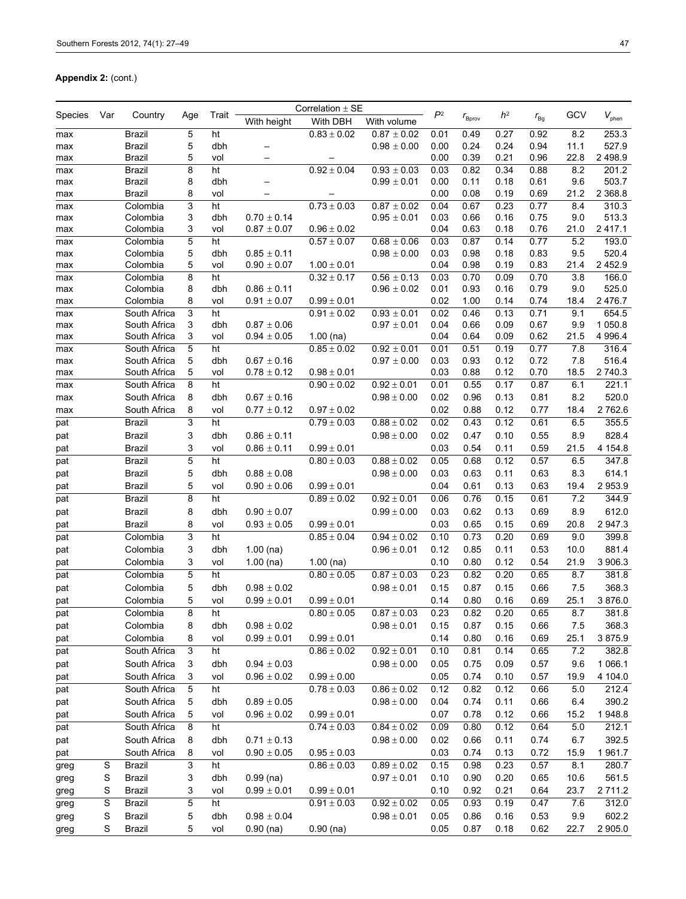## **Appendix 2:** (cont.)

|            |               |                      |              |           |                                    | Correlation $\pm$ SE     |                   |                |                                        |                |              |             |                   |
|------------|---------------|----------------------|--------------|-----------|------------------------------------|--------------------------|-------------------|----------------|----------------------------------------|----------------|--------------|-------------|-------------------|
| Species    | Var           | Country              | Age          | Trait     | With height                        | With DBH                 | With volume       | P <sup>2</sup> | $r_{\scriptscriptstyle\mathrm{Bprov}}$ | h <sup>2</sup> | $r_{\rm Bg}$ | GCV         | $V_{\text{phen}}$ |
| max        |               | <b>Brazil</b>        | 5            | ht        |                                    | $0.83\pm0.02$            | $0.87 \pm 0.02$   | 0.01           | 0.49                                   | 0.27           | 0.92         | 8.2         | 253.3             |
| max        |               | Brazil               | 5            | dbh       |                                    |                          | $0.98 \pm 0.00$   | 0.00           | 0.24                                   | 0.24           | 0.94         | 11.1        | 527.9             |
| max        |               | <b>Brazil</b>        | 5            | vol       |                                    |                          |                   | 0.00           | 0.39                                   | 0.21           | 0.96         | 22.8        | 2498.9            |
| max        |               | Brazil               | 8            | ht        |                                    | $0.92 \pm 0.04$          | $0.93 \pm 0.03$   | 0.03           | 0.82                                   | 0.34           | 0.88         | 8.2         | 201.2             |
| max        |               | Brazil               | 8            | dbh       |                                    |                          | $0.99\,\pm\,0.01$ | 0.00           | 0.11                                   | 0.18           | 0.61         | 9.6         | 503.7             |
| max        |               | <b>Brazil</b>        | 8            | vol       | $\overline{\phantom{0}}$           |                          |                   | 0.00           | 0.08                                   | 0.19           | 0.69         | 21.2        | 2 3 68.8          |
| max        |               | Colombia             | 3            | ht        |                                    | $0.73 \pm 0.03$          | $0.87 \pm 0.02$   | 0.04           | 0.67                                   | 0.23           | 0.77         | 8.4         | 310.3             |
| max        |               | Colombia             | 3            | dbh       | $0.70 \pm 0.14$                    |                          | $0.95 \pm 0.01$   | 0.03           | 0.66                                   | 0.16           | 0.75         | 9.0         | 513.3             |
| max        |               | Colombia             | 3            | vol       | $0.87 \pm 0.07$                    | $0.96 \pm 0.02$          |                   | 0.04           | 0.63                                   | 0.18           | 0.76         | 21.0        | 2417.1            |
| max        |               | Colombia             | 5            | ht        |                                    | $0.57 \pm 0.07$          | $0.68\,\pm\,0.06$ | 0.03           | 0.87                                   | 0.14           | 0.77         | 5.2         | 193.0             |
| max        |               | Colombia             | 5<br>5       | dbh       | $0.85 \pm 0.11$<br>$0.90 \pm 0.07$ | $1.00 \pm 0.01$          | $0.98 \pm 0.00$   | 0.03<br>0.04   | 0.98<br>0.98                           | 0.18<br>0.19   | 0.83<br>0.83 | 9.5<br>21.4 | 520.4<br>2452.9   |
| max        |               | Colombia<br>Colombia | 8            | vol<br>ht |                                    | $0.32 \pm 0.17$          | $0.56 \pm 0.13$   | 0.03           | 0.70                                   | 0.09           | 0.70         | 3.8         | 166.0             |
| max<br>max |               | Colombia             | 8            | dbh       | $0.86 \pm 0.11$                    |                          | $0.96 \pm 0.02$   | 0.01           | 0.93                                   | 0.16           | 0.79         | 9.0         | 525.0             |
| max        |               | Colombia             | 8            | vol       | $0.91 \pm 0.07$                    | $0.99 \pm 0.01$          |                   | 0.02           | 1.00                                   | 0.14           | 0.74         | 18.4        | 2476.7            |
| max        |               | South Africa         | 3            | ht        |                                    | $0.91 \pm 0.02$          | $0.93 \pm 0.01$   | 0.02           | 0.46                                   | 0.13           | 0.71         | 9.1         | 654.5             |
| max        |               | South Africa         | 3            | dbh       | $0.87 \pm 0.06$                    |                          | $0.97 \pm 0.01$   | 0.04           | 0.66                                   | 0.09           | 0.67         | 9.9         | 1 0 5 0.8         |
| max        |               | South Africa         | 3            | vol       | $0.94 \pm 0.05$                    | $1.00$ (na)              |                   | 0.04           | 0.64                                   | 0.09           | 0.62         | 21.5        | 4 9 9 6.4         |
| max        |               | South Africa         | 5            | ht        |                                    | $0.85 \pm 0.02$          | $0.92 \pm 0.01$   | 0.01           | 0.51                                   | 0.19           | 0.77         | 7.8         | 316.4             |
| max        |               | South Africa         | 5            | dbh       | $0.67 \pm 0.16$                    |                          | $0.97 \pm 0.00$   | 0.03           | 0.93                                   | 0.12           | 0.72         | 7.8         | 516.4             |
| max        |               | South Africa         | 5            | vol       | $0.78 \pm 0.12$                    | $0.98 \pm 0.01$          |                   | 0.03           | 0.88                                   | 0.12           | 0.70         | 18.5        | 2 740.3           |
| max        |               | South Africa         | 8            | ht        |                                    | $0.90 \pm 0.02$          | $0.92 \pm 0.01$   | 0.01           | 0.55                                   | 0.17           | 0.87         | 6.1         | 221.1             |
| max        |               | South Africa         | 8            | dbh       | $0.67 \pm 0.16$                    |                          | $0.98 \pm 0.00$   | 0.02           | 0.96                                   | 0.13           | 0.81         | 8.2         | 520.0             |
| max        |               | South Africa         | 8            | vol       | $0.77 \pm 0.12$                    | $0.97 \pm 0.02$          |                   | 0.02           | 0.88                                   | 0.12           | 0.77         | 18.4        | 2762.6            |
| pat        |               | <b>Brazil</b>        | 3            | ht        |                                    | $0.79 \pm 0.03$          | $0.88\pm0.02$     | 0.02           | 0.43                                   | 0.12           | 0.61         | 6.5         | 355.5             |
| pat        |               | <b>Brazil</b>        | 3            | dbh       | $0.86 \pm 0.11$                    |                          | $0.98 \pm 0.00$   | 0.02           | 0.47                                   | 0.10           | 0.55         | 8.9         | 828.4             |
| pat        |               | <b>Brazil</b>        | 3            | vol       | $0.86 \pm 0.11$                    | $0.99 \pm 0.01$          |                   | 0.03           | 0.54                                   | 0.11           | 0.59         | 21.5        | 4 1 5 4 . 8       |
| pat        |               | <b>Brazil</b>        | 5            | ht        |                                    | $0.80 \pm 0.03$          | $0.88\pm0.02$     | 0.05           | 0.68                                   | 0.12           | 0.57         | 6.5         | 347.8             |
| pat        |               | Brazil               | 5            | dbh       | $0.88 \pm 0.08$                    |                          | $0.98\pm0.00$     | 0.03           | 0.63                                   | 0.11           | 0.63         | 8.3         | 614.1             |
| pat        |               | Brazil               | 5            | vol       | $0.90 \pm 0.06$                    | $0.99 \pm 0.01$          |                   | 0.04           | 0.61                                   | 0.13           | 0.63         | 19.4        | 2953.9            |
| pat        |               | <b>Brazil</b>        | 8            | ht        |                                    | $0.89 \pm 0.02$          | $0.92 \pm 0.01$   | 0.06           | 0.76                                   | 0.15           | 0.61         | 7.2         | 344.9             |
| pat        |               | <b>Brazil</b>        | 8            | dbh       | $0.90 \pm 0.07$                    |                          | $0.99 \pm 0.00$   | 0.03           | 0.62                                   | 0.13           | 0.69         | 8.9         | 612.0             |
| pat        |               | <b>Brazil</b>        | 8            | vol       | $0.93 \pm 0.05$                    | $0.99 \pm 0.01$          |                   | 0.03           | 0.65                                   | 0.15           | 0.69         | 20.8        | 2947.3            |
| pat        |               | Colombia             | 3            | ht        |                                    | $\overline{0.85\pm0.04}$ | $0.94 \pm 0.02$   | 0.10           | 0.73                                   | 0.20           | 0.69         | 9.0         | 399.8             |
| pat        |               | Colombia             | 3            | dbh       | $1.00$ (na)                        |                          | $0.96 \pm 0.01$   | 0.12           | 0.85                                   | 0.11           | 0.53         | 10.0        | 881.4             |
| pat        |               | Colombia             | 3            | vol       | $1.00$ (na)                        | $1.00$ (na)              |                   | 0.10           | 0.80                                   | 0.12           | 0.54         | 21.9        | 3 906.3           |
| pat        |               | Colombia             | 5            | ht        |                                    | $0.80 \pm 0.05$          | $0.87\pm0.03$     | 0.23           | 0.82                                   | 0.20           | 0.65         | 8.7         | 381.8             |
| pat        |               | Colombia             | 5            | dbh       | $0.98 \pm 0.02$                    |                          | $0.98 \pm 0.01$   | 0.15           | 0.87                                   | 0.15           | 0.66         | 7.5         | 368.3             |
| pat        |               | Colombia             | 5            | vol       | $0.99 \pm 0.01$                    | $0.99 \pm 0.01$          |                   | 0.14           | 0.80                                   | 0.16           | 0.69         | 25.1        | 3876.0            |
| pat        |               | Colombia             | 8            | ht        |                                    | $0.80 \pm 0.05$          | $0.87 \pm 0.03$   | 0.23           | 0.82                                   | 0.20           | 0.65         | 8.7         | 381.8             |
| pat        |               | Colombia             | 8            | dbh       | $0.98\,\pm0.02$                    |                          | $0.98 \pm 0.01$   | 0.15           | 0.87                                   | 0.15           | 0.66         | 7.5         | 368.3             |
| pat        |               | Colombia             | 8            | vol       | $0.99 \pm 0.01$                    | $0.99 \pm 0.01$          |                   | 0.14           | 0.80                                   | 0.16           | 0.69         | 25.1        | 3875.9            |
| pat        |               | South Africa         | $\mathbf{3}$ | ht        |                                    | $0.86 \pm 0.02$          | $0.92\pm0.01$     | 0.10           | 0.81                                   | 0.14           | 0.65         | 7.2         | 382.8             |
| pat        |               | South Africa         | 3            | dbh       | $0.94 \pm 0.03$                    |                          | $0.98\pm0.00$     | 0.05           | 0.75                                   | 0.09           | 0.57         | 9.6         | 1 0 66.1          |
| pat        |               | South Africa         | 3            | vol       | $0.96\pm0.02$                      | $0.99\pm0.00$            |                   | 0.05           | 0.74                                   | 0.10           | 0.57         | 19.9        | 4 104.0           |
| pat        |               | South Africa         | 5            | ht        |                                    | $0.78 \pm 0.03$          | $0.86 \pm 0.02$   | 0.12           | 0.82                                   | 0.12           | 0.66         | 5.0         | 212.4             |
| pat        |               | South Africa         | 5            | dbh       | $0.89\,\pm0.05$                    |                          | $0.98\pm0.00$     | 0.04           | 0.74                                   | 0.11           | 0.66         | 6.4         | 390.2             |
| pat        |               | South Africa         | 5            | vol       | $0.96 \pm 0.02$                    | $0.99 \pm 0.01$          |                   | 0.07           | 0.78                                   | 0.12           | 0.66         | 15.2        | 1948.8            |
| pat        |               | South Africa         | 8            | ht        |                                    | $0.74 \pm 0.03$          | $0.84\pm0.02$     | 0.09           | 0.80                                   | 0.12           | 0.64         | 5.0         | 212.1             |
| pat        |               | South Africa         | 8            | dbh       | $0.71 \pm 0.13$                    |                          | $0.98\pm0.00$     | 0.02           | 0.66                                   | 0.11           | 0.74         | 6.7         | 392.5             |
| pat        |               | South Africa         | 8            | vol       | $0.90\pm0.05$                      | $0.95\pm0.03$            |                   | 0.03           | 0.74                                   | 0.13           | 0.72         | 15.9        | 1961.7            |
| greg       | S             | Brazil               | 3            | ht        |                                    | $0.86 \pm 0.03$          | $0.89\pm0.02$     | 0.15           | 0.98                                   | 0.23           | 0.57         | 8.1         | 280.7             |
| greg       | S             | <b>Brazil</b>        | 3            | dbh       | $0.99$ (na)                        |                          | $0.97 \pm 0.01$   | 0.10           | 0.90                                   | 0.20           | 0.65         | 10.6        | 561.5             |
| greg       | $\mathbb S$   | Brazil               | 3            | vol       | $0.99\,\pm0.01$                    | $0.99 \pm 0.01$          |                   | 0.10           | 0.92                                   | 0.21           | 0.64         | 23.7        | 2711.2            |
| greg       | ${\mathbb S}$ | Brazil               | 5            | ht        |                                    | $0.91 \pm 0.03$          | $0.92\pm0.02$     | 0.05           | 0.93                                   | 0.19           | 0.47         | 7.6         | 312.0             |
| greg       | S             | <b>Brazil</b>        | 5            | dbh       | $0.98 \pm 0.04$                    |                          | $0.98 \pm 0.01$   | 0.05           | 0.86                                   | 0.16           | 0.53         | 9.9         | 602.2             |
| greg       | S             | Brazil               | 5            | vol       | $0.90$ (na)                        | $0.90$ (na)              |                   | 0.05           | 0.87                                   | 0.18           | 0.62         | 22.7        | 2 905.0           |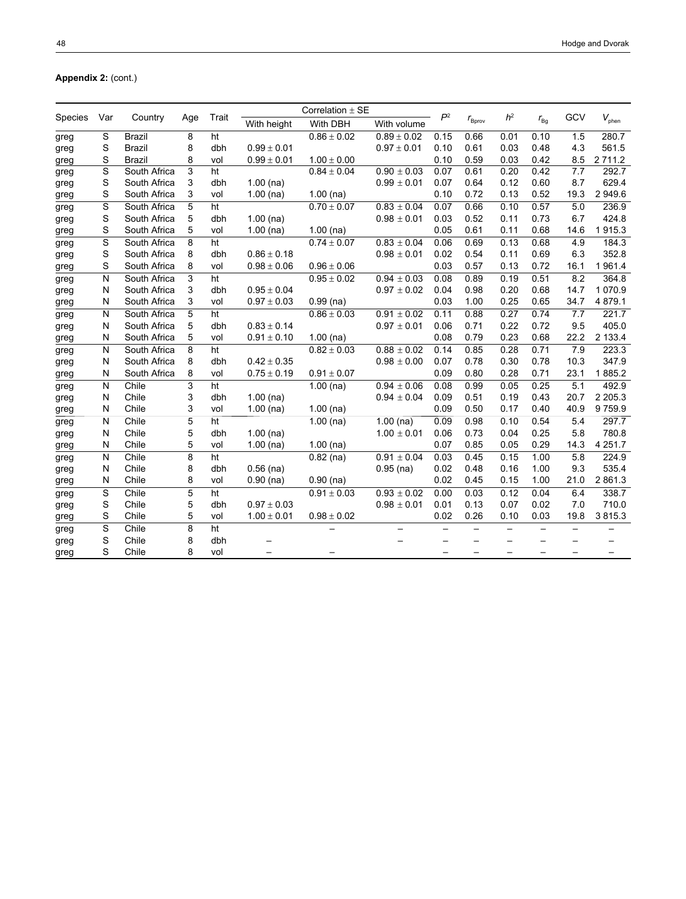## **Appendix 2:** (cont.)

|         |         |               |     |       |                 | Correlation $\pm$ SE       |                 | P <sup>2</sup> |                          |                |                 |                          |                   |
|---------|---------|---------------|-----|-------|-----------------|----------------------------|-----------------|----------------|--------------------------|----------------|-----------------|--------------------------|-------------------|
| Species | Var     | Country       | Age | Trait | With height     | With DBH                   | With volume     |                | $r_{\mbox{\tiny Bprov}}$ | h <sup>2</sup> | $r_{\text{Bg}}$ | GCV                      | $V_{\text{phen}}$ |
| greg    | S       | <b>Brazil</b> | 8   | ht    |                 | $0.86 \pm 0.02$            | $0.89 \pm 0.02$ | 0.15           | 0.66                     | 0.01           | 0.10            | 1.5                      | 280.7             |
| greg    | S       | <b>Brazil</b> | 8   | dbh   | $0.99 \pm 0.01$ |                            | $0.97 \pm 0.01$ | 0.10           | 0.61                     | 0.03           | 0.48            | 4.3                      | 561.5             |
| greg    | S       | <b>Brazil</b> | 8   | vol   | $0.99 \pm 0.01$ | $1.00\pm0.00$              |                 | 0.10           | 0.59                     | 0.03           | 0.42            | 8.5                      | 2711.2            |
| greg    | S       | South Africa  | 3   | ht    |                 | $0.84\pm0.04$              | $0.90 \pm 0.03$ | 0.07           | 0.61                     | 0.20           | 0.42            | 7.7                      | 292.7             |
| greg    | S       | South Africa  | 3   | dbh   | $1.00$ (na)     |                            | $0.99 \pm 0.01$ | 0.07           | 0.64                     | 0.12           | 0.60            | 8.7                      | 629.4             |
| greg    | S       | South Africa  | 3   | vol   | $1.00$ (na)     | $1.00$ (na)                |                 | 0.10           | 0.72                     | 0.13           | 0.52            | 19.3                     | 2 949.6           |
| greg    | S       | South Africa  | 5   | ht    |                 | $\overline{0.70} \pm 0.07$ | $0.83 \pm 0.04$ | 0.07           | 0.66                     | 0.10           | 0.57            | 5.0                      | 236.9             |
| greg    | S       | South Africa  | 5   | dbh   | $1.00$ (na)     |                            | $0.98 \pm 0.01$ | 0.03           | 0.52                     | 0.11           | 0.73            | 6.7                      | 424.8             |
| greg    | S       | South Africa  | 5   | vol   | $1.00$ (na)     | $1.00$ (na)                |                 | 0.05           | 0.61                     | 0.11           | 0.68            | 14.6                     | 1915.3            |
| greg    | $\rm S$ | South Africa  | 8   | ht    |                 | $0.74 \pm 0.07$            | $0.83 \pm 0.04$ | 0.06           | 0.69                     | 0.13           | 0.68            | 4.9                      | 184.3             |
| greg    | S       | South Africa  | 8   | dbh   | $0.86 \pm 0.18$ |                            | $0.98 \pm 0.01$ | 0.02           | 0.54                     | 0.11           | 0.69            | 6.3                      | 352.8             |
| greg    | S       | South Africa  | 8   | vol   | $0.98 \pm 0.06$ | $0.96 \pm 0.06$            |                 | 0.03           | 0.57                     | 0.13           | 0.72            | 16.1                     | 1961.4            |
| greg    | N       | South Africa  | 3   | ht    |                 | $0.95 \pm 0.02$            | $0.94 \pm 0.03$ | 0.08           | 0.89                     | 0.19           | 0.51            | 8.2                      | 364.8             |
| greg    | N       | South Africa  | 3   | dbh   | $0.95 \pm 0.04$ |                            | $0.97\,\pm0.02$ | 0.04           | 0.98                     | 0.20           | 0.68            | 14.7                     | 1070.9            |
| greg    | N       | South Africa  | 3   | vol   | $0.97\pm0.03$   | $0.99$ (na)                |                 | 0.03           | 1.00                     | 0.25           | 0.65            | 34.7                     | 4 8 7 9.1         |
| greg    | N       | South Africa  | 5   | ht    |                 | $\overline{0.86\pm0.03}$   | $0.91 \pm 0.02$ | 0.11           | 0.88                     | 0.27           | 0.74            | 7.7                      | 221.7             |
| greg    | N       | South Africa  | 5   | dbh   | $0.83 \pm 0.14$ |                            | $0.97 \pm 0.01$ | 0.06           | 0.71                     | 0.22           | 0.72            | 9.5                      | 405.0             |
| greg    | N       | South Africa  | 5   | vol   | $0.91 \pm 0.10$ | $1.00$ (na)                |                 | 0.08           | 0.79                     | 0.23           | 0.68            | 22.2                     | 2 133.4           |
| greg    | N       | South Africa  | 8   | ht    |                 | $0.82 \pm 0.03$            | $0.88 \pm 0.02$ | 0.14           | 0.85                     | 0.28           | 0.71            | 7.9                      | 223.3             |
| greg    | N       | South Africa  | 8   | dbh   | $0.42\pm0.35$   |                            | $0.98 \pm 0.00$ | 0.07           | 0.78                     | 0.30           | 0.78            | 10.3                     | 347.9             |
| greg    | N       | South Africa  | 8   | vol   | $0.75 \pm 0.19$ | $0.91 \pm 0.07$            |                 | 0.09           | 0.80                     | 0.28           | 0.71            | 23.1                     | 1885.2            |
| greg    | N       | Chile         | 3   | ht    |                 | $1.00$ (na)                | $0.94 \pm 0.06$ | 0.08           | 0.99                     | 0.05           | 0.25            | 5.1                      | 492.9             |
| greg    | N       | Chile         | 3   | dbh   | $1.00$ (na)     |                            | $0.94 \pm 0.04$ | 0.09           | 0.51                     | 0.19           | 0.43            | 20.7                     | 2 2 0 5 .3        |
| greg    | N       | Chile         | 3   | vol   | $1.00$ (na)     | $1.00$ (na)                |                 | 0.09           | 0.50                     | 0.17           | 0.40            | 40.9                     | 9759.9            |
| greg    | N       | Chile         | 5   | ht    |                 | $\overline{1.00}$ (na)     | $1.00$ (na)     | 0.09           | 0.98                     | 0.10           | 0.54            | 5.4                      | 297.7             |
| greg    | N       | Chile         | 5   | dbh   | $1.00$ (na)     |                            | $1.00\pm0.01$   | 0.06           | 0.73                     | 0.04           | 0.25            | 5.8                      | 780.8             |
| greg    | N       | Chile         | 5   | vol   | $1.00$ (na)     | $1.00$ (na)                |                 | 0.07           | 0.85                     | 0.05           | 0.29            | 14.3                     | 4 2 5 1 . 7       |
| greg    | N       | Chile         | 8   | ht    |                 | $0.82$ (na)                | $0.91 \pm 0.04$ | 0.03           | 0.45                     | 0.15           | 1.00            | 5.8                      | 224.9             |
| greg    | N       | Chile         | 8   | dbh   | $0.56$ (na)     |                            | $0.95$ (na)     | 0.02           | 0.48                     | 0.16           | 1.00            | 9.3                      | 535.4             |
| greg    | N       | Chile         | 8   | vol   | $0.90$ (na)     | $0.90$ (na)                |                 | 0.02           | 0.45                     | 0.15           | 1.00            | 21.0                     | 2861.3            |
| greg    | S       | Chile         | 5   | ht    |                 | $0.91 \pm 0.03$            | $0.93 \pm 0.02$ | 0.00           | 0.03                     | 0.12           | 0.04            | 6.4                      | 338.7             |
| greg    | S       | Chile         | 5   | dbh   | $0.97 \pm 0.03$ |                            | $0.98 \pm 0.01$ | 0.01           | 0.13                     | 0.07           | 0.02            | 7.0                      | 710.0             |
| greg    | S       | Chile         | 5   | vol   | $1.00 \pm 0.01$ | $0.98\pm0.02$              |                 | 0.02           | 0.26                     | 0.10           | 0.03            | 19.8                     | 3815.3            |
| greg    | S       | Chile         | 8   | ht    |                 |                            |                 |                |                          |                |                 | —                        |                   |
| greg    | S       | Chile         | 8   | dbh   |                 |                            |                 |                |                          |                |                 |                          |                   |
| greg    | S       | Chile         | 8   | vol   |                 |                            |                 |                |                          |                |                 | $\overline{\phantom{0}}$ |                   |